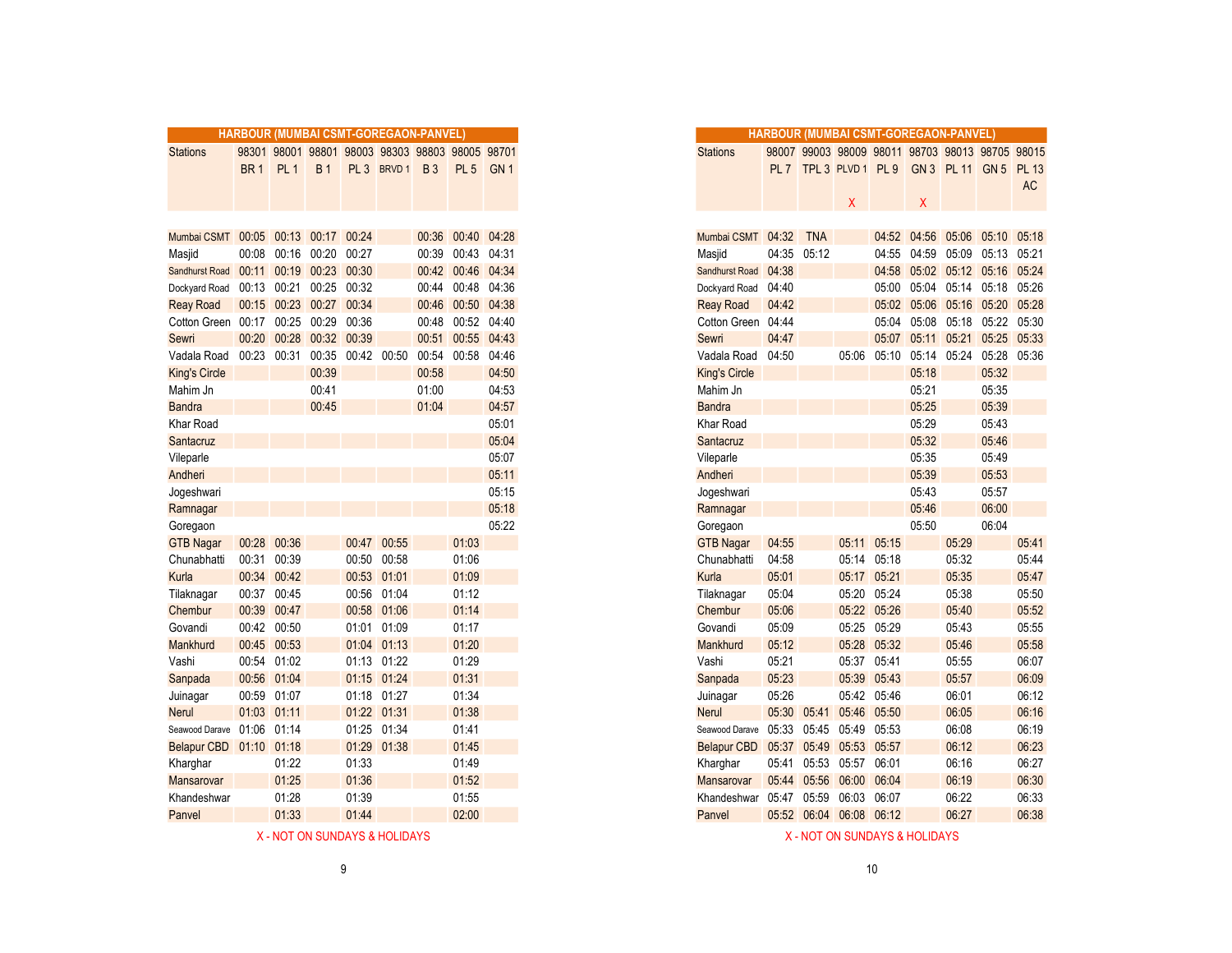|                                     | <b>HARBOUR (MUMBAI CSMT-GOREGAON-PANVEL)</b> |                   |                         |             |                                           |           |                   |                 |
|-------------------------------------|----------------------------------------------|-------------------|-------------------------|-------------|-------------------------------------------|-----------|-------------------|-----------------|
| <b>Stations</b>                     | 98301                                        |                   |                         |             | 98001 98801 98003 98303 98803 98005 98701 |           |                   |                 |
|                                     | BR <sub>1</sub>                              | PL <sub>1</sub>   | <b>B1</b>               |             | PL 3 BRVD 1                               | <b>B3</b> | PL <sub>5</sub>   | GN <sub>1</sub> |
|                                     |                                              |                   |                         |             |                                           |           |                   |                 |
|                                     |                                              |                   |                         |             |                                           |           |                   |                 |
|                                     |                                              |                   |                         |             |                                           |           |                   |                 |
| Mumbai CSMT 00:05 00:13 00:17 00:24 |                                              |                   |                         |             |                                           |           | 00:36 00:40 04:28 |                 |
| Masjid                              |                                              | 00:08 00:16 00:20 |                         | 00:27       |                                           | 00:39     | 00:43 04:31       |                 |
| Sandhurst Road 00:11                |                                              |                   | 00:19 00:23 00:30       |             |                                           |           | 00:42 00:46 04:34 |                 |
| Dockyard Road                       | 00:13 00:21                                  |                   |                         | 00:25 00:32 |                                           | 00:44     | 00:48 04:36       |                 |
| <b>Reay Road</b>                    |                                              |                   | 00:15 00:23 00:27 00:34 |             |                                           | 00:46     | 00:50 04:38       |                 |
| Cotton Green 00:17 00:25            |                                              |                   | 00:29                   | 00:36       |                                           | 00:48     | 00:52 04:40       |                 |
| Sewri                               |                                              |                   | 00:20 00:28 00:32 00:39 |             |                                           |           | 00:51 00:55 04:43 |                 |
| Vadala Road                         |                                              | 00:23 00:31       | 00:35                   |             | 00:42 00:50                               | 00:54     | 00:58 04:46       |                 |
| <b>King's Circle</b>                |                                              |                   | 00:39                   |             |                                           | 00:58     |                   | 04:50           |
| Mahim Jn                            |                                              |                   | 00:41                   |             |                                           | 01:00     |                   | 04:53           |
| <b>Bandra</b>                       |                                              |                   | 00:45                   |             |                                           | 01:04     |                   | 04:57           |
| Khar Road                           |                                              |                   |                         |             |                                           |           |                   | 05:01           |
| Santacruz                           |                                              |                   |                         |             |                                           |           |                   | 05:04           |
| Vileparle                           |                                              |                   |                         |             |                                           |           |                   | 05:07           |
| Andheri                             |                                              |                   |                         |             |                                           |           |                   | 05:11           |
| Jogeshwari                          |                                              |                   |                         |             |                                           |           |                   | 05:15           |
| Ramnagar                            |                                              |                   |                         |             |                                           |           |                   | 05:18           |
| Goregaon                            |                                              |                   |                         |             |                                           |           |                   | 05:22           |
| <b>GTB Nagar</b>                    |                                              | 00:28 00:36       |                         | 00:47       | 00:55                                     |           | 01:03             |                 |
| Chunabhatti                         | 00:31                                        | 00:39             |                         | 00:50       | 00:58                                     |           | 01:06             |                 |
| Kurla                               |                                              | 00:34 00:42       |                         |             | 00:53 01:01                               |           | 01:09             |                 |
| Tilaknagar                          | 00:37 00:45                                  |                   |                         |             | 00:56 01:04                               |           | 01:12             |                 |
| Chembur                             | 00:39                                        | 00:47             |                         |             | 00:58 01:06                               |           | 01:14             |                 |
| Govandi                             | 00:42 00:50                                  |                   |                         |             | 01:01 01:09                               |           | 01:17             |                 |
| Mankhurd                            |                                              | 00:45 00:53       |                         |             | 01:04 01:13                               |           | 01:20             |                 |
| Vashi                               |                                              | 00:54 01:02       |                         |             | 01:13 01:22                               |           | 01:29             |                 |
| Sanpada                             |                                              | 00:56 01:04       |                         |             | 01:15 01:24                               |           | 01:31             |                 |
| Juinagar                            |                                              | 00:59 01:07       |                         |             | 01:18 01:27                               |           | 01:34             |                 |
| <b>Nerul</b>                        | 01:03 01:11                                  |                   |                         | 01:22 01:31 |                                           |           | 01:38             |                 |
| Seawood Darave 01:06 01:14          |                                              |                   |                         |             | 01:25 01:34                               |           | 01:41             |                 |
| Belapur CBD  01:10  01:18           |                                              |                   |                         | 01:29       | 01:38                                     |           | 01:45             |                 |
| Kharghar                            |                                              | 01:22             |                         | 01:33       |                                           |           | 01:49             |                 |
| Mansarovar                          |                                              | 01:25             |                         | 01:36       |                                           |           | 01:52             |                 |
| Khandeshwar                         |                                              | 01:28             |                         | 01:39       |                                           |           | 01:55             |                 |
| Panvel                              |                                              | 01:33             |                         | 01:44       |                                           |           | 02:00             |                 |

|       |                 | <b>BOUR (MUMBAI CSMT-GOREGAON-PANVEL)</b> |                   |             |            |                                                 |                 |
|-------|-----------------|-------------------------------------------|-------------------|-------------|------------|-------------------------------------------------|-----------------|
|       |                 |                                           |                   |             |            | 08301 98001 98801 98003 98303 98803 98005 98701 |                 |
| BR 1  | PL <sub>1</sub> | <b>B1</b>                                 |                   | PL 3 BRVD 1 | <b>B</b> 3 | PL <sub>5</sub>                                 | GN <sub>1</sub> |
|       |                 |                                           |                   |             |            |                                                 |                 |
|       |                 |                                           |                   |             |            |                                                 |                 |
|       |                 |                                           |                   |             |            |                                                 |                 |
|       |                 | 00:05 00:13 00:17 00:24                   |                   |             |            | 00:36 00:40 04:28                               |                 |
| 80:00 |                 | 00:16 00:20                               | 00:27             |             |            | 00:39 00:43 04:31                               |                 |
| 0:11  |                 | 00:19 00:23 00:30                         |                   |             |            | 00:42 00:46 04:34                               |                 |
|       | 00:13 00:21     | 00:25                                     | 00:32             |             | 00:44      | 00:48 04:36                                     |                 |
|       |                 | 00:15 00:23 00:27 00:34                   |                   |             | 00:46      | 00:50 04:38                                     |                 |
| 0:17  | 00:25 00:29     |                                           | 00:36             |             | 00:48      | 00:52 04:40                                     |                 |
| 0:20  |                 | 00:28 00:32 00:39                         |                   |             | 00:51      | 00:55 04:43                                     |                 |
|       | 00:23 00:31     |                                           | 00:35 00:42 00:50 |             |            | 00:54 00:58 04:46                               |                 |
|       |                 | 00:39                                     |                   |             | 00:58      |                                                 | 04:50           |
|       |                 | 00:41                                     |                   |             | 01:00      |                                                 | 04:53           |
|       |                 | 00:45                                     |                   |             | 01:04      |                                                 | 04:57           |
|       |                 |                                           |                   |             |            |                                                 | 05:01           |
|       |                 |                                           |                   |             |            |                                                 | 05:04           |
|       |                 |                                           |                   |             |            |                                                 | 05:07           |
|       |                 |                                           |                   |             |            |                                                 | 05:11           |
|       |                 |                                           |                   |             |            |                                                 | 05:15           |
|       |                 |                                           |                   |             |            |                                                 | 05:18           |
|       |                 |                                           |                   |             |            |                                                 | 05:22           |
|       | 00:28 00:36     |                                           |                   | 00:47 00:55 |            | 01:03                                           |                 |
|       | 00:31 00:39     |                                           | 00:50             | 00:58       |            | 01:06                                           |                 |
|       | 00:34 00:42     |                                           | 00:53             | 01:01       |            | 01:09                                           |                 |
|       | 00:37 00:45     |                                           | 00:56             | 01:04       |            | 01:12                                           |                 |
|       | 00:39 00:47     |                                           |                   | 00:58 01:06 |            | 01:14                                           |                 |
|       | 00:42 00:50     |                                           | 01:01             | 01:09       |            | 01:17                                           |                 |
|       | 00:45 00:53     |                                           |                   | 01:04 01:13 |            | 01:20                                           |                 |
|       | 00:54 01:02     |                                           |                   | 01:13 01:22 |            | 01:29                                           |                 |
|       | 00:56 01:04     |                                           |                   | 01:15 01:24 |            | 01:31                                           |                 |
|       | 00:59 01:07     |                                           |                   | 01:18 01:27 |            | 01:34                                           |                 |
|       | 01:03 01:11     |                                           |                   | 01:22 01:31 |            | 01:38                                           |                 |
| 01:06 | 01:14           |                                           |                   | 01:25 01:34 |            | 01:41                                           |                 |
|       | 01:10 01:18     |                                           |                   | 01:29 01:38 |            | 01:45                                           |                 |
|       | 01:22<br>01:25  |                                           | 01:33             |             |            | 01:49                                           |                 |
|       | 01:28           |                                           | 01:36<br>01:39    |             |            | 01:52<br>01:55                                  |                 |
|       | 01:33           |                                           | 01:44             |             |            | 02:00                                           |                 |
|       |                 |                                           |                   |             |            |                                                 |                 |

X - NOT ON SUNDAYS & HOLIDAYS AND SUNDAYS A HOLIDAYS ASSAULT AND SUNDAYS A HOLIDAYS A HOLIDAYS A HOLIDAYS A HOLIDAYS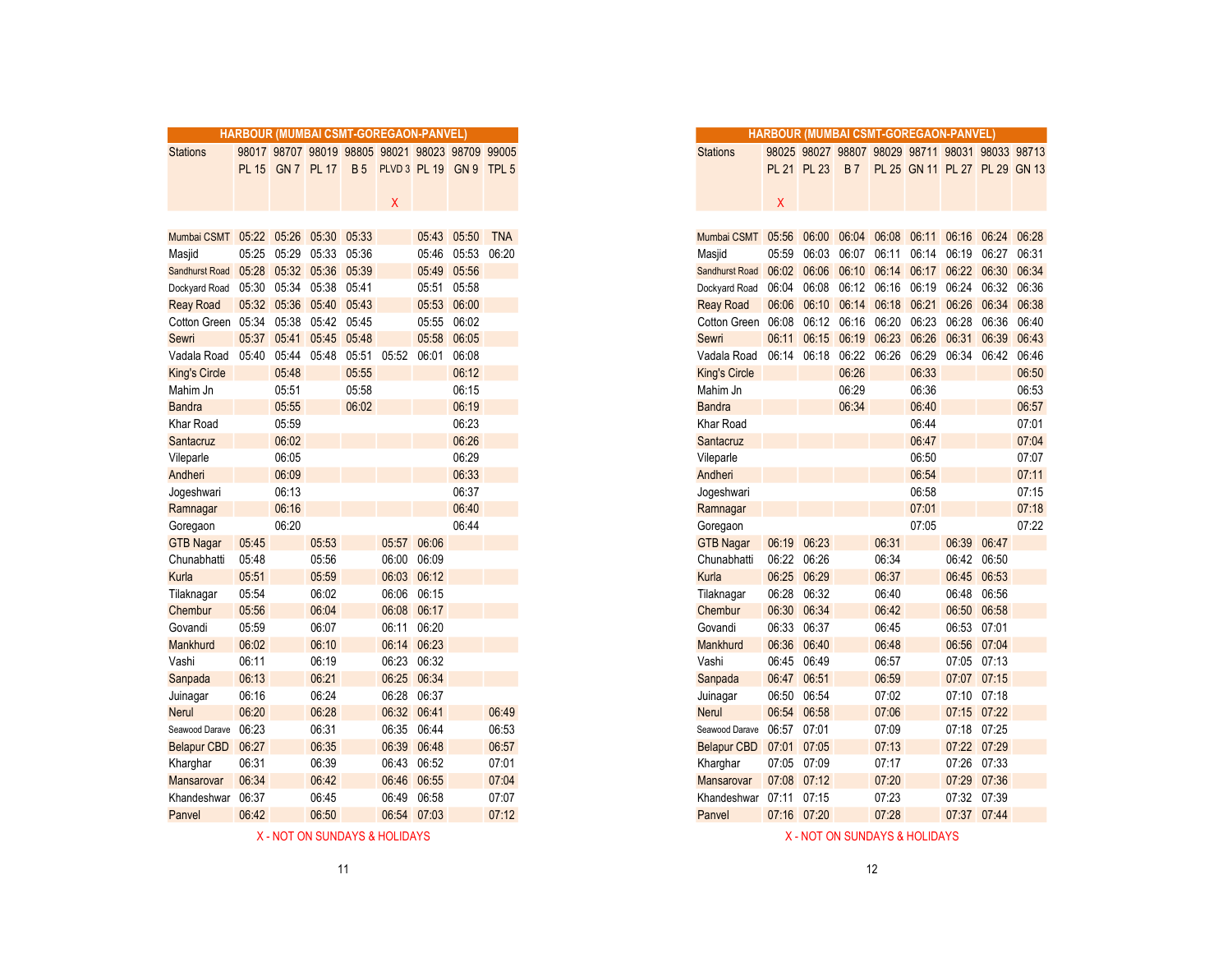|                      | <b>HARBOUR (MUMBAI CSMT-GOREGAON-PANVEL)</b> |             |                         |             |                                                 |             |             |            |
|----------------------|----------------------------------------------|-------------|-------------------------|-------------|-------------------------------------------------|-------------|-------------|------------|
| <b>Stations</b>      |                                              |             |                         |             | 98017 98707 98019 98805 98021 98023 98709 99005 |             |             |            |
|                      |                                              |             | PL 15 GN 7 PL 17        | <b>B</b> 5  | PLVD 3 PL 19 GN 9 TPL 5                         |             |             |            |
|                      |                                              |             |                         |             |                                                 |             |             |            |
|                      |                                              |             |                         |             | X                                               |             |             |            |
|                      |                                              |             |                         |             |                                                 |             |             |            |
| Mumbai CSMT          |                                              |             | 05:22 05:26 05:30 05:33 |             |                                                 |             | 05:43 05:50 | <b>TNA</b> |
| Masjid               | 05:25                                        | 05:29       |                         | 05:33 05:36 |                                                 |             | 05:46 05:53 | 06:20      |
| Sandhurst Road       | 05:28                                        |             | 05:32 05:36 05:39       |             |                                                 |             | 05:49 05:56 |            |
| Dockyard Road        | 05:30                                        | 05:34       |                         | 05:38 05:41 |                                                 |             | 05:51 05:58 |            |
| <b>Reay Road</b>     |                                              | 05:32 05:36 | 05:40 05:43             |             |                                                 |             | 05:53 06:00 |            |
| Cotton Green 05:34   |                                              | 05:38       | 05:42 05:45             |             |                                                 |             | 05:55 06:02 |            |
| Sewri                | 05:37                                        | 05:41       | 05:45                   | 05:48       |                                                 |             | 05:58 06:05 |            |
| Vadala Road          | 05:40                                        | 05:44       | 05:48                   | 05:51       | 05:52                                           | 06:01       | 06:08       |            |
| <b>King's Circle</b> |                                              | 05:48       |                         | 05:55       |                                                 |             | 06:12       |            |
| Mahim Jn             |                                              | 05:51       |                         | 05:58       |                                                 |             | 06:15       |            |
| <b>Bandra</b>        |                                              | 05:55       |                         | 06:02       |                                                 |             | 06:19       |            |
| Khar Road            |                                              | 05:59       |                         |             |                                                 |             | 06:23       |            |
| Santacruz            |                                              | 06:02       |                         |             |                                                 |             | 06:26       |            |
| Vileparle            |                                              | 06:05       |                         |             |                                                 |             | 06:29       |            |
| Andheri              |                                              | 06:09       |                         |             |                                                 |             | 06:33       |            |
| Jogeshwari           |                                              | 06:13       |                         |             |                                                 |             | 06:37       |            |
| Ramnagar             |                                              | 06:16       |                         |             |                                                 |             | 06:40       |            |
| Goregaon             |                                              | 06:20       |                         |             |                                                 |             | 06:44       |            |
| <b>GTB Nagar</b>     | 05:45                                        |             | 05:53                   |             |                                                 | 05:57 06:06 |             |            |
| Chunabhatti          | 05:48                                        |             | 05:56                   |             |                                                 | 06:00 06:09 |             |            |
| Kurla                | 05:51                                        |             | 05:59                   |             |                                                 | 06:03 06:12 |             |            |
| Tilaknagar           | 05:54                                        |             | 06:02                   |             |                                                 | 06:06 06:15 |             |            |
| Chembur              | 05:56                                        |             | 06:04                   |             | 06:08                                           | 06:17       |             |            |
| Govandi              | 05:59                                        |             | 06:07                   |             | 06:11                                           | 06:20       |             |            |
| Mankhurd             | 06:02                                        |             | 06:10                   |             |                                                 | 06:14 06:23 |             |            |
| Vashi                | 06:11                                        |             | 06:19                   |             |                                                 | 06:23 06:32 |             |            |
| Sanpada              | 06:13                                        |             | 06:21                   |             |                                                 | 06:25 06:34 |             |            |
| Juinagar             | 06:16                                        |             | 06:24                   |             | 06:28                                           | 06:37       |             |            |
| <b>Nerul</b>         | 06:20                                        |             | 06:28                   |             |                                                 | 06:32 06:41 |             | 06:49      |
| Seawood Darave       | 06:23                                        |             | 06:31                   |             | 06:35                                           | 06:44       |             | 06:53      |
| <b>Belapur CBD</b>   | 06:27                                        |             | 06:35                   |             |                                                 | 06:39 06:48 |             | 06:57      |
| Kharghar             | 06:31                                        |             | 06:39                   |             |                                                 | 06:43 06:52 |             | 07:01      |
| Mansarovar           | 06:34                                        |             | 06:42                   |             |                                                 | 06:46 06:55 |             | 07:04      |
| Khandeshwar          | 06:37                                        |             | 06:45                   |             | 06:49                                           | 06:58       |             | 07:07      |
| Panvel               | 06:42                                        |             | 06:50                   |             |                                                 | 06:54 07:03 |             | 07:12      |
|                      |                                              |             |                         |             |                                                 |             |             |            |

|                         |       |             |                   |            | <b>HARBOUR (MUMBAI CSMT-GOREGAON-PANVEL)</b>    |       |             |            |
|-------------------------|-------|-------------|-------------------|------------|-------------------------------------------------|-------|-------------|------------|
| <b>Stations</b>         |       |             |                   |            | 98017 98707 98019 98805 98021 98023 98709 99005 |       |             |            |
|                         |       |             | PL 15 GN 7 PL 17  | <b>B</b> 5 | PLVD 3 PL 19 GN 9 TPL 5                         |       |             |            |
|                         |       |             |                   |            |                                                 |       |             |            |
|                         |       |             |                   |            | Χ                                               |       |             |            |
|                         |       |             |                   |            |                                                 |       |             |            |
| Mumbai CSMT 05:22 05:26 |       |             | 05:30             | 05:33      |                                                 |       | 05:43 05:50 | <b>TNA</b> |
| Masjid                  | 05:25 | 05:29       | 05:33             | 05:36      |                                                 |       | 05:46 05:53 | 06:20      |
| <b>Sandhurst Road</b>   | 05:28 | 05:32 05:36 |                   | 05:39      |                                                 | 05:49 | 05:56       |            |
| Dockyard Road           | 05:30 | 05:34       | 05:38             | 05:41      |                                                 | 05:51 | 05:58       |            |
| <b>Reay Road</b>        |       |             | 05:32 05:36 05:40 | 05:43      |                                                 |       | 05:53 06:00 |            |
| Cotton Green            | 05:34 | 05:38       | 05:42             | 05:45      |                                                 | 05:55 | 06:02       |            |
| Sewri                   | 05:37 | 05:41       | 05:45             | 05:48      |                                                 | 05:58 | 06:05       |            |
| Vadala Road             | 05:40 | 05:44       | 05:48             | 05:51      | 05:52                                           | 06:01 | 06:08       |            |
| King's Circle           |       | 05:48       |                   | 05:55      |                                                 |       | 06:12       |            |
| Mahim Jn                |       | 05:51       |                   | 05:58      |                                                 |       | 06:15       |            |
| <b>Bandra</b>           |       | 05:55       |                   | 06:02      |                                                 |       | 06:19       |            |
| Khar Road               |       | 05:59       |                   |            |                                                 |       | 06:23       |            |
| Santacruz               |       | 06:02       |                   |            |                                                 |       | 06:26       |            |
| Vileparle               |       | 06:05       |                   |            |                                                 |       | 06:29       |            |
| Andheri                 |       | 06:09       |                   |            |                                                 |       | 06:33       |            |
| Jogeshwari              |       | 06:13       |                   |            |                                                 |       | 06:37       |            |
| Ramnagar                |       | 06:16       |                   |            |                                                 |       | 06:40       |            |
| Goregaon                |       | 06:20       |                   |            |                                                 |       | 06:44       |            |
| <b>GTB Nagar</b>        | 05:45 |             | 05:53             |            | 05:57                                           | 06:06 |             |            |
| Chunabhatti             | 05:48 |             | 05:56             |            | 06:00                                           | 06:09 |             |            |
| Kurla                   | 05:51 |             | 05:59             |            | 06:03                                           | 06:12 |             |            |
| Tilaknagar              | 05:54 |             | 06:02             |            | 06:06                                           | 06:15 |             |            |
| Chembur                 | 05:56 |             | 06:04             |            | 06:08                                           | 06:17 |             |            |
| Govandi                 | 05:59 |             | 06:07             |            | 06:11                                           | 06:20 |             |            |
| Mankhurd                | 06:02 |             | 06:10             |            | 06:14                                           | 06:23 |             |            |
| Vashi                   | 06:11 |             | 06:19             |            | 06:23                                           | 06:32 |             |            |
| Sanpada                 | 06:13 |             | 06:21             |            | 06:25                                           | 06:34 |             |            |
| Juinagar                | 06:16 |             | 06:24             |            | 06:28                                           | 06:37 |             |            |
| Nerul                   | 06:20 |             | 06:28             |            | 06:32                                           | 06:41 |             | 06:49      |
| Seawood Darave          | 06:23 |             | 06:31             |            | 06:35                                           | 06:44 |             | 06:53      |
| <b>Belapur CBD</b>      | 06:27 |             | 06:35             |            | 06:39                                           | 06:48 |             | 06:57      |
| Kharghar                | 06:31 |             | 06:39             |            | 06:43                                           | 06:52 |             | 07:01      |
| Mansarovar              | 06:34 |             | 06:42             |            | 06:46                                           | 06:55 |             | 07:04      |
| Khandeshwar             | 06:37 |             | 06:45             |            | 06:49                                           | 06:58 |             | 07:07      |

Panvel 07:16 07:20 07:28 07:37 07:44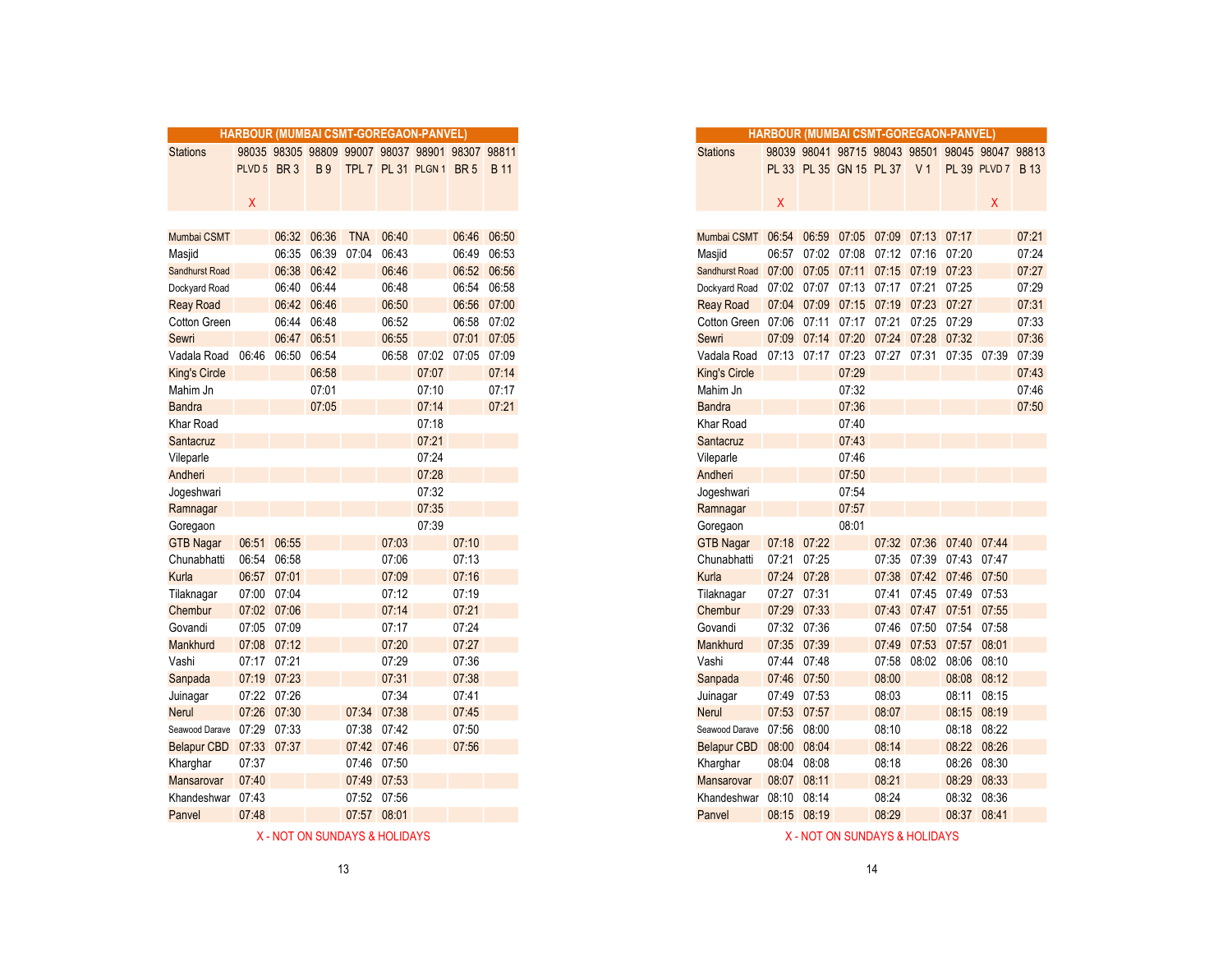|                            | <b>HARBOUR (MUMBAI CSMT-GOREGAON-PANVEL)</b> |             |             |            |                                                 |       |             |             |
|----------------------------|----------------------------------------------|-------------|-------------|------------|-------------------------------------------------|-------|-------------|-------------|
| <b>Stations</b>            |                                              |             |             |            | 98035 98305 98809 99007 98037 98901 98307 98811 |       |             |             |
|                            | PLVD 5 BR 3                                  |             |             |            | B9 TPL 7 PL 31 PLGN 1 BR 5                      |       |             | <b>B</b> 11 |
|                            |                                              |             |             |            |                                                 |       |             |             |
|                            | Χ                                            |             |             |            |                                                 |       |             |             |
|                            |                                              |             |             |            |                                                 |       |             |             |
| Mumbai CSMT                |                                              |             | 06:32 06:36 | <b>TNA</b> | 06:40                                           |       |             | 06:46 06:50 |
| Masjid                     |                                              |             | 06:35 06:39 | 07:04      | 06:43                                           |       |             | 06:49 06:53 |
| Sandhurst Road             |                                              |             | 06:38 06:42 |            | 06:46                                           |       |             | 06:52 06:56 |
| Dockyard Road              |                                              |             | 06:40 06:44 |            | 06:48                                           |       |             | 06:54 06:58 |
| <b>Reay Road</b>           |                                              |             | 06:42 06:46 |            | 06:50                                           |       |             | 06:56 07:00 |
| Cotton Green               |                                              |             | 06:44 06:48 |            | 06:52                                           |       |             | 06:58 07:02 |
| Sewri                      |                                              |             | 06:47 06:51 |            | 06:55                                           |       |             | 07:01 07:05 |
| Vadala Road                |                                              | 06:46 06:50 | 06:54       |            | 06:58                                           | 07:02 | 07:05 07:09 |             |
| <b>King's Circle</b>       |                                              |             | 06:58       |            |                                                 | 07:07 |             | 07:14       |
| Mahim Jn                   |                                              |             | 07:01       |            |                                                 | 07:10 |             | 07:17       |
| <b>Bandra</b>              |                                              |             | 07:05       |            |                                                 | 07:14 |             | 07:21       |
| Khar Road                  |                                              |             |             |            |                                                 | 07:18 |             |             |
| Santacruz                  |                                              |             |             |            |                                                 | 07:21 |             |             |
| Vileparle                  |                                              |             |             |            |                                                 | 07:24 |             |             |
| Andheri                    |                                              |             |             |            |                                                 | 07:28 |             |             |
| Jogeshwari                 |                                              |             |             |            |                                                 | 07:32 |             |             |
| Ramnagar                   |                                              |             |             |            |                                                 | 07:35 |             |             |
| Goregaon                   |                                              |             |             |            |                                                 | 07:39 |             |             |
| <b>GTB Nagar</b>           | 06:51 06:55                                  |             |             |            | 07:03                                           |       | 07:10       |             |
| Chunabhatti                | 06:54                                        | 06:58       |             |            | 07:06                                           |       | 07:13       |             |
| Kurla                      | 06:57 07:01                                  |             |             |            | 07:09                                           |       | 07:16       |             |
| Tilaknagar                 | 07:00 07:04                                  |             |             |            | 07:12                                           |       | 07:19       |             |
| Chembur                    | 07:02 07:06                                  |             |             |            | 07:14                                           |       | 07:21       |             |
| Govandi                    | 07:05 07:09                                  |             |             |            | 07:17                                           |       | 07:24       |             |
| Mankhurd                   | 07:08 07:12                                  |             |             |            | 07:20                                           |       | 07:27       |             |
| Vashi                      | 07:17 07:21                                  |             |             |            | 07:29                                           |       | 07:36       |             |
| Sanpada                    | 07:19 07:23                                  |             |             |            | 07:31                                           |       | 07:38       |             |
|                            | 07:22 07:26                                  |             |             |            | 07:34                                           |       | 07:41       |             |
| Juinagar<br>Nerul          | 07:26 07:30                                  |             |             |            | 07:34 07:38                                     |       | 07:45       |             |
| Seawood Darave 07:29 07:33 |                                              |             |             | 07:38      | 07:42                                           |       | 07:50       |             |
|                            |                                              |             |             |            |                                                 |       | 07:56       |             |
| Belapur CBD 07:33 07:37    |                                              |             |             |            | 07:42 07:46                                     |       |             |             |
| Kharghar                   | 07:37                                        |             |             |            | 07:46 07:50                                     |       |             |             |
| Mansarovar                 | 07:40                                        |             |             |            | 07:49 07:53                                     |       |             |             |
| Khandeshwar 07:43          |                                              |             |             |            | 07:52 07:56                                     |       |             |             |
| Panvel                     | 07:48                                        |             |             |            | 07:57 08:01                                     |       |             |             |

|                  | <b>HARBOUR (MUMBAI CSMT-GOREGAON-PANVEL)</b> |             |                       |             |             |                                                 |       |             |
|------------------|----------------------------------------------|-------------|-----------------------|-------------|-------------|-------------------------------------------------|-------|-------------|
| Stations         |                                              |             |                       |             |             | 98035 98305 98809 99007 98037 98901 98307 98811 |       |             |
|                  | PLVD 5 BR 3                                  |             | <b>B</b> <sub>9</sub> |             |             | TPL 7 PL 31 PLGN 1 BR 5                         |       | <b>B</b> 11 |
|                  |                                              |             |                       |             |             |                                                 |       |             |
|                  | X                                            |             |                       |             |             |                                                 |       |             |
|                  |                                              |             |                       |             |             |                                                 |       |             |
| Mumbai CSMT      |                                              | 06:32 06:36 |                       | <b>TNA</b>  | 06:40       |                                                 | 06:46 | 06:50       |
| Masjid           |                                              | 06:35 06:39 |                       | 07:04       | 06:43       |                                                 | 06:49 | 06:53       |
| Sandhurst Road   |                                              | 06:38 06:42 |                       |             | 06:46       |                                                 |       | 06:52 06:56 |
| Dockyard Road    |                                              | 06:40 06:44 |                       |             | 06:48       |                                                 |       | 06:54 06:58 |
| <b>Reay Road</b> |                                              | 06:42 06:46 |                       |             | 06:50       |                                                 | 06:56 | 07:00       |
| Cotton Green     |                                              | 06:44       | 06:48                 |             | 06:52       |                                                 | 06:58 | 07:02       |
| Sewri            |                                              | 06:47 06:51 |                       |             | 06:55       |                                                 | 07:01 | 07:05       |
| Vadala Road      | 06:46                                        | 06:50       | 06:54                 |             | 06:58       | 07:02                                           | 07:05 | 07:09       |
| King's Circle    |                                              |             | 06:58                 |             |             | 07:07                                           |       | 07:14       |
| Mahim Jn         |                                              |             | 07:01                 |             |             | 07:10                                           |       | 07:17       |
| <b>Bandra</b>    |                                              |             | 07:05                 |             |             | 07:14                                           |       | 07:21       |
| Khar Road        |                                              |             |                       |             |             | 07:18                                           |       |             |
| Santacruz        |                                              |             |                       |             |             | 07:21                                           |       |             |
| Vileparle        |                                              |             |                       |             |             | 07:24                                           |       |             |
| Andheri          |                                              |             |                       |             |             | 07:28                                           |       |             |
| Jogeshwari       |                                              |             |                       |             |             | 07:32                                           |       |             |
| Ramnagar         |                                              |             |                       |             |             | 07:35                                           |       |             |
| Goregaon         |                                              |             |                       |             |             | 07:39                                           |       |             |
| <b>GTB Nagar</b> | 06:51 06:55                                  |             |                       |             | 07:03       |                                                 | 07:10 |             |
| Chunabhatti      | 06:54                                        | 06:58       |                       |             | 07:06       |                                                 | 07:13 |             |
| Kurla            | 06:57 07:01                                  |             |                       |             | 07:09       |                                                 | 07:16 |             |
| Tilaknagar       | 07:00 07:04                                  |             |                       |             | 07:12       |                                                 | 07:19 |             |
| Chembur          | 07:02 07:06                                  |             |                       |             | 07:14       |                                                 | 07:21 |             |
| Govandi          | 07:05 07:09                                  |             |                       |             | 07:17       |                                                 | 07:24 |             |
| Mankhurd         | 07:08 07:12                                  |             |                       |             | 07:20       |                                                 | 07:27 |             |
| Vashi            | 07:17 07:21                                  |             |                       |             | 07:29       |                                                 | 07:36 |             |
| Sanpada          | 07:19                                        | 07:23       |                       |             | 07:31       |                                                 | 07:38 |             |
| Juinagar         |                                              | 07:22 07:26 |                       |             | 07:34       |                                                 | 07:41 |             |
| Nerul            | 07:26 07:30                                  |             |                       | 07:34       | 07:38       |                                                 | 07:45 |             |
| Seawood Darave   | 07:29 07:33                                  |             |                       |             | 07:38 07:42 |                                                 | 07:50 |             |
| Belapur CBD      | 07:33 07:37                                  |             |                       |             | 07:42 07:46 |                                                 | 07:56 |             |
| Kharghar         | 07:37                                        |             |                       |             | 07:46 07:50 |                                                 |       |             |
| Mansarovar       | 07:40                                        |             |                       |             | 07:49 07:53 |                                                 |       |             |
| Khandeshwar      | 07:43                                        |             |                       |             | 07:52 07:56 |                                                 |       |             |
| Panvel           | 07:48                                        |             |                       | 07:57 08:01 |             |                                                 |       |             |
|                  |                                              |             |                       |             |             |                                                 |       |             |

X - NOT ON SUNDAYS & HOLIDAYS X - NOT ON SUNDAYS & HOLIDAYS

| K - NOT ON SUNDAYS & HOLIDAYS |  |  |
|-------------------------------|--|--|
|-------------------------------|--|--|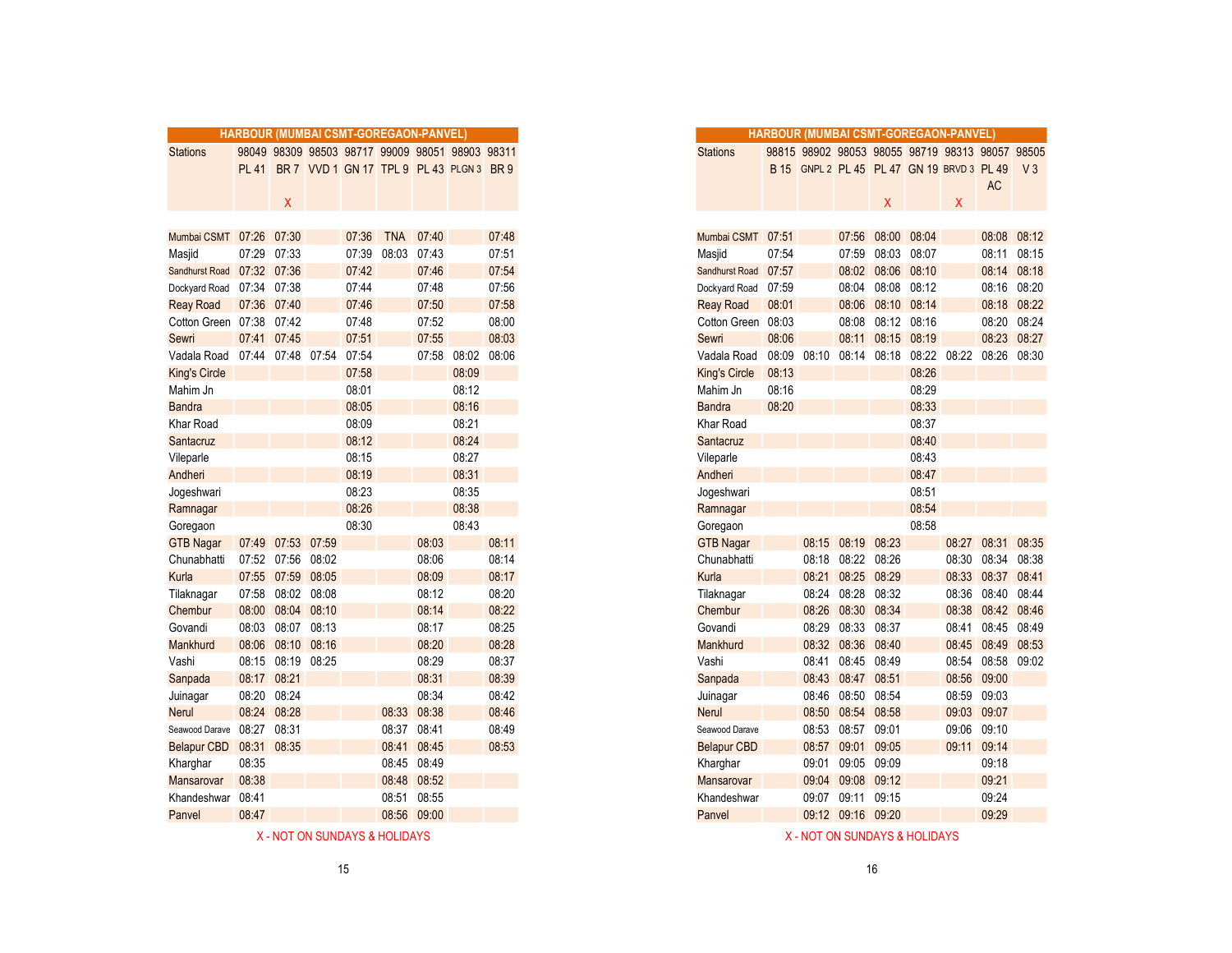|                            | HARBOUR (MUMBAI CSMT-GOREGAON-PANVEL) |                   |                   |       |                                                 |             |       |       |
|----------------------------|---------------------------------------|-------------------|-------------------|-------|-------------------------------------------------|-------------|-------|-------|
| <b>Stations</b>            |                                       |                   |                   |       | 98049 98309 98503 98717 99009 98051 98903 98311 |             |       |       |
|                            | <b>PL 41</b>                          |                   |                   |       | BR 7 VVD 1 GN 17 TPL 9 PL 43 PLGN 3 BR 9        |             |       |       |
|                            |                                       |                   |                   |       |                                                 |             |       |       |
|                            |                                       | X                 |                   |       |                                                 |             |       |       |
|                            |                                       |                   |                   |       |                                                 |             |       |       |
| Mumbai CSMT 07:26 07:30    |                                       |                   |                   | 07:36 | <b>TNA</b>                                      | 07:40       |       | 07:48 |
| Masjid                     | 07:29                                 | 07:33             |                   | 07:39 | 08:03                                           | 07:43       |       | 07:51 |
| Sandhurst Road 07:32 07:36 |                                       |                   |                   | 07:42 |                                                 | 07:46       |       | 07:54 |
| Dockyard Road 07:34 07:38  |                                       |                   |                   | 07:44 |                                                 | 07:48       |       | 07:56 |
| <b>Reay Road</b>           | 07:36 07:40                           |                   |                   | 07:46 |                                                 | 07:50       |       | 07:58 |
| Cotton Green 07:38 07:42   |                                       |                   |                   | 07:48 |                                                 | 07:52       |       | 08:00 |
| Sewri                      | 07:41 07:45                           |                   |                   | 07:51 |                                                 | 07:55       |       | 08:03 |
| Vadala Road                |                                       |                   | 07:44 07:48 07:54 | 07:54 |                                                 | 07:58       | 08:02 | 08:06 |
| <b>King's Circle</b>       |                                       |                   |                   | 07:58 |                                                 |             | 08:09 |       |
| Mahim Jn                   |                                       |                   |                   | 08:01 |                                                 |             | 08:12 |       |
| <b>Bandra</b>              |                                       |                   |                   | 08:05 |                                                 |             | 08:16 |       |
| <b>Khar Road</b>           |                                       |                   |                   | 08:09 |                                                 |             | 08:21 |       |
| Santacruz                  |                                       |                   |                   | 08:12 |                                                 |             | 08:24 |       |
| Vileparle                  |                                       |                   |                   | 08:15 |                                                 |             | 08:27 |       |
| Andheri                    |                                       |                   |                   | 08:19 |                                                 |             | 08:31 |       |
| Jogeshwari                 |                                       |                   |                   | 08:23 |                                                 |             | 08:35 |       |
| Ramnagar                   |                                       |                   |                   | 08:26 |                                                 |             | 08:38 |       |
| Goregaon                   |                                       |                   |                   | 08:30 |                                                 |             | 08:43 |       |
| <b>GTB Nagar</b>           |                                       | 07:49 07:53 07:59 |                   |       |                                                 | 08:03       |       | 08:11 |
| Chunabhatti                |                                       | 07:52 07:56 08:02 |                   |       |                                                 | 08:06       |       | 08:14 |
| Kurla                      |                                       | 07:55 07:59 08:05 |                   |       |                                                 | 08:09       |       | 08:17 |
| Tilaknagar                 |                                       | 07:58 08:02 08:08 |                   |       |                                                 | 08:12       |       | 08:20 |
| Chembur                    | 08:00                                 | 08:04 08:10       |                   |       |                                                 | 08:14       |       | 08:22 |
| Govandi                    | 08:03                                 | 08:07             | 08:13             |       |                                                 | 08:17       |       | 08:25 |
| Mankhurd                   |                                       | 08:06 08:10 08:16 |                   |       |                                                 | 08:20       |       | 08:28 |
| Vashi                      |                                       | 08:15 08:19 08:25 |                   |       |                                                 | 08:29       |       | 08:37 |
| Sanpada                    | 08:17 08:21                           |                   |                   |       |                                                 | 08:31       |       | 08:39 |
| Juinagar                   | 08:20                                 | 08:24             |                   |       |                                                 | 08:34       |       | 08:42 |
| <b>Nerul</b>               | 08:24 08:28                           |                   |                   |       | 08:33                                           | 08:38       |       | 08:46 |
| Seawood Darave             | 08:27                                 | 08:31             |                   |       | 08:37                                           | 08:41       |       | 08:49 |
| <b>Belapur CBD</b>         | 08:31                                 | 08:35             |                   |       | 08:41                                           | 08:45       |       | 08:53 |
| Kharghar                   | 08:35                                 |                   |                   |       |                                                 | 08:45 08:49 |       |       |
| Mansarovar                 | 08:38                                 |                   |                   |       |                                                 | 08:48 08:52 |       |       |
| Khandeshwar 08:41          |                                       |                   |                   |       | 08:51                                           | 08:55       |       |       |
| Panvel                     | 08:47                                 |                   |                   |       |                                                 | 08:56 09:00 |       |       |
|                            |                                       |                   |                   |       |                                                 |             |       |       |

|                    |              |                   | <b>HARBOUR (MUMBAI CSMT-GOREGAON-PANVEL)</b> |       |             |             |                                                 |       |
|--------------------|--------------|-------------------|----------------------------------------------|-------|-------------|-------------|-------------------------------------------------|-------|
| <b>Stations</b>    |              |                   |                                              |       |             |             | 98049 98309 98503 98717 99009 98051 98903 98311 |       |
|                    | <b>PL 41</b> |                   |                                              |       |             |             | BR 7 VVD 1 GN 17 TPL 9 PL 43 PLGN 3 BR 9        |       |
|                    |              |                   |                                              |       |             |             |                                                 |       |
|                    |              | X.                |                                              |       |             |             |                                                 |       |
|                    |              |                   |                                              |       |             |             |                                                 |       |
| Mumbai CSMT 07:26  |              | 07:30             |                                              | 07:36 | <b>TNA</b>  | 07:40       |                                                 | 07:48 |
| Masjid             | 07:29        | 07:33             |                                              | 07:39 | 08:03       | 07:43       |                                                 | 07:51 |
| Sandhurst Road     | 07:32 07:36  |                   |                                              | 07:42 |             | 07:46       |                                                 | 07:54 |
| Dockyard Road      | 07:34 07:38  |                   |                                              | 07:44 |             | 07:48       |                                                 | 07:56 |
| <b>Reay Road</b>   | 07:36 07:40  |                   |                                              | 07:46 |             | 07:50       |                                                 | 07:58 |
| Cotton Green 07:38 |              | 07:42             |                                              | 07:48 |             | 07:52       |                                                 | 08:00 |
| Sewri              |              | 07:41 07:45       |                                              | 07:51 |             | 07:55       |                                                 | 08:03 |
| Vadala Road        |              | 07:44 07:48 07:54 |                                              | 07:54 |             | 07:58       | 08:02 08:06                                     |       |
| King's Circle      |              |                   |                                              | 07:58 |             |             | 08:09                                           |       |
| Mahim Jn           |              |                   |                                              | 08:01 |             |             | 08:12                                           |       |
| <b>Bandra</b>      |              |                   |                                              | 08:05 |             |             | 08:16                                           |       |
| Khar Road          |              |                   |                                              | 08:09 |             |             | 08:21                                           |       |
| Santacruz          |              |                   |                                              | 08:12 |             |             | 08:24                                           |       |
| Vileparle          |              |                   |                                              | 08:15 |             |             | 08:27                                           |       |
| Andheri            |              |                   |                                              | 08:19 |             |             | 08:31                                           |       |
| Jogeshwari         |              |                   |                                              | 08:23 |             |             | 08:35                                           |       |
| Ramnagar           |              |                   |                                              | 08:26 |             |             | 08:38                                           |       |
| Goregaon           |              |                   |                                              | 08:30 |             |             | 08:43                                           |       |
| <b>GTB Nagar</b>   | 07:49        | 07:53 07:59       |                                              |       |             | 08:03       |                                                 | 08:11 |
| Chunabhatti        | 07:52        | 07:56             | 08:02                                        |       |             | 08:06       |                                                 | 08:14 |
| Kurla              |              | 07:55 07:59 08:05 |                                              |       |             | 08:09       |                                                 | 08:17 |
| Tilaknagar         | 07:58        | 08:02             | 08:08                                        |       |             | 08:12       |                                                 | 08:20 |
| Chembur            | 08:00        | 08:04             | 08:10                                        |       |             | 08:14       |                                                 | 08:22 |
| Govandi            | 08:03        | 08:07             | 08:13                                        |       |             | 08:17       |                                                 | 08:25 |
| <b>Mankhurd</b>    | 08:06        | 08:10             | 08:16                                        |       |             | 08:20       |                                                 | 08:28 |
| Vashi              |              | 08:15 08:19 08:25 |                                              |       |             | 08:29       |                                                 | 08:37 |
| Sanpada            | 08:17 08:21  |                   |                                              |       |             | 08:31       |                                                 | 08:39 |
| Juinagar           | 08:20        | 08:24             |                                              |       |             | 08:34       |                                                 | 08:42 |
| Nerul              |              | 08:24 08:28       |                                              |       | 08:33 08:38 |             |                                                 | 08:46 |
| Seawood Darave     | 08:27        | 08:31             |                                              |       | 08:37       | 08:41       |                                                 | 08:49 |
| Belapur CBD        | 08:31 08:35  |                   |                                              |       | 08:41       | 08:45       |                                                 | 08:53 |
| Kharghar           | 08:35        |                   |                                              |       |             | 08:45 08:49 |                                                 |       |
| Mansarovar         | 08:38        |                   |                                              |       |             | 08:48 08:52 |                                                 |       |
| Khandeshwar        | 08:41        |                   |                                              |       | 08:51       | 08:55       |                                                 |       |

X - NOT ON SUNDAYS & HOLIDAYS & HOLIDAYS ASSOCIATED AND A SUNDAYS ASSOCIATED ASSOCIATED ASSOCIATED ASSOCIATED ASSOCIATED ASSOCIATED ASSOCIATED ASSOCIATED ASSOCIATED ASSOCIATED ASSOCIATED ASSOCIATED ASSOCIATED ASSOCIATED AS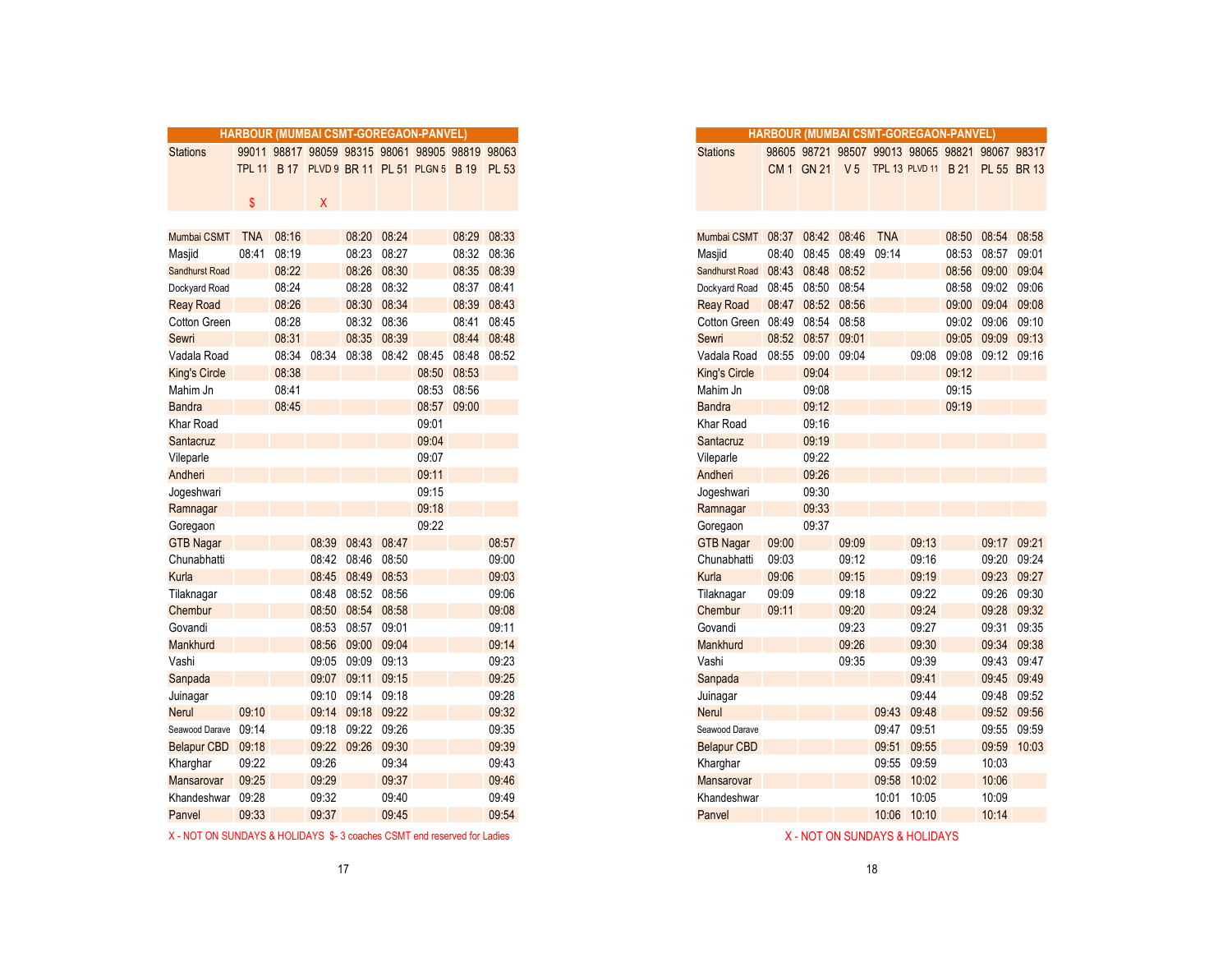|                       |            |       |       |                   |             | HARBOUR (MUMBAI CSMT-GOREGAON-PANVEL)           |             |              |
|-----------------------|------------|-------|-------|-------------------|-------------|-------------------------------------------------|-------------|--------------|
| <b>Stations</b>       |            |       |       |                   |             | 99011 98817 98059 98315 98061 98905 98819 98063 |             |              |
|                       |            |       |       |                   |             | TPL 11 B 17 PLVD 9 BR 11 PL 51 PLGN 5 B 19      |             | <b>PL 53</b> |
|                       |            |       |       |                   |             |                                                 |             |              |
|                       | \$         |       | Χ     |                   |             |                                                 |             |              |
|                       |            |       |       |                   |             |                                                 |             |              |
| Mumbai CSMT           | <b>TNA</b> | 08:16 |       |                   | 08:20 08:24 |                                                 |             | 08:29 08:33  |
| Masjid                | 08:41      | 08:19 |       |                   | 08:23 08:27 |                                                 |             | 08:32 08:36  |
| <b>Sandhurst Road</b> |            | 08:22 |       | 08:26             | 08:30       |                                                 |             | 08:35 08:39  |
| Dockyard Road         |            | 08:24 |       |                   | 08:28 08:32 |                                                 |             | 08:37 08:41  |
| <b>Reay Road</b>      |            | 08:26 |       |                   | 08:30 08:34 |                                                 | 08:39       | 08:43        |
| Cotton Green          |            | 08:28 |       |                   | 08:32 08:36 |                                                 |             | 08:41 08:45  |
| Sewri                 |            | 08:31 |       |                   | 08:35 08:39 |                                                 |             | 08:44 08:48  |
| Vadala Road           |            | 08:34 | 08:34 | 08:38             | 08:42       | 08:45                                           | 08:48       | 08:52        |
| <b>King's Circle</b>  |            | 08:38 |       |                   |             | 08:50 08:53                                     |             |              |
| Mahim Jn              |            | 08:41 |       |                   |             |                                                 | 08:53 08:56 |              |
| <b>Bandra</b>         |            | 08:45 |       |                   |             |                                                 | 08:57 09:00 |              |
| Khar Road             |            |       |       |                   |             | 09:01                                           |             |              |
| Santacruz             |            |       |       |                   |             | 09:04                                           |             |              |
| Vileparle             |            |       |       |                   |             | 09:07                                           |             |              |
| Andheri               |            |       |       |                   |             | 09:11                                           |             |              |
| Jogeshwari            |            |       |       |                   |             | 09:15                                           |             |              |
| Ramnagar              |            |       |       |                   |             | 09:18                                           |             |              |
| Goregaon              |            |       |       |                   |             | 09:22                                           |             |              |
| <b>GTB Nagar</b>      |            |       |       | 08:39 08:43       | 08:47       |                                                 |             | 08:57        |
| Chunabhatti           |            |       |       | 08:42 08:46 08:50 |             |                                                 |             | 09:00        |
| Kurla                 |            |       |       | 08:45 08:49       | 08:53       |                                                 |             | 09:03        |
| Tilaknagar            |            |       |       | 08:48 08:52 08:56 |             |                                                 |             | 09:06        |
| Chembur               |            |       |       | 08:50 08:54 08:58 |             |                                                 |             | 09:08        |
| Govandi               |            |       |       | 08:53 08:57       | 09:01       |                                                 |             | 09:11        |
| Mankhurd              |            |       |       | 08:56 09:00       | 09:04       |                                                 |             | 09:14        |
| Vashi                 |            |       |       | 09:05 09:09       | 09:13       |                                                 |             | 09:23        |
| Sanpada               |            |       |       | 09:07 09:11 09:15 |             |                                                 |             | 09:25        |
| Juinagar              |            |       |       | 09:10 09:14 09:18 |             |                                                 |             | 09:28        |
| <b>Nerul</b>          | 09:10      |       |       | 09:14 09:18 09:22 |             |                                                 |             | 09:32        |
| Seawood Darave 09:14  |            |       |       | 09:18 09:22 09:26 |             |                                                 |             | 09:35        |
| <b>Belapur CBD</b>    | 09:18      |       |       | 09:22 09:26 09:30 |             |                                                 |             | 09:39        |
| Kharghar              | 09:22      |       | 09:26 |                   | 09:34       |                                                 |             | 09:43        |
| Mansarovar            | 09:25      |       | 09:29 |                   | 09:37       |                                                 |             | 09:46        |
| Khandeshwar           | 09:28      |       | 09:32 |                   | 09:40       |                                                 |             | 09:49        |
| Panvel                | 09:33      |       | 09:37 |                   | 09:45       |                                                 |             | 09:54        |
|                       |            |       |       |                   |             |                                                 |             |              |

| X - NOT ON SUNDAYS & HOLIDAYS \$-3 coaches CSMT end reserved for Ladies | X - NOT ON SUNDAYS & HOLIDAYS |
|-------------------------------------------------------------------------|-------------------------------|
|                                                                         |                               |

|                    |            |       |       |                   |             | <b>HARBOUR (MUMBAI CSMT-GOREGAON-PANVEL)</b>     |             |             |
|--------------------|------------|-------|-------|-------------------|-------------|--------------------------------------------------|-------------|-------------|
| <b>Stations</b>    |            |       |       |                   |             | 99011 98817 98059 98315 98061 98905 98819 98063  |             |             |
|                    |            |       |       |                   |             | TPL 11 B 17 PLVD 9 BR 11 PL 51 PLGN 5 B 19 PL 53 |             |             |
|                    |            |       |       |                   |             |                                                  |             |             |
|                    | \$         |       | X     |                   |             |                                                  |             |             |
|                    |            |       |       |                   |             |                                                  |             |             |
| Mumbai CSMT        | <b>TNA</b> | 08:16 |       | 08:20 08:24       |             |                                                  |             | 08:29 08:33 |
| Masjid             | 08:41      | 08:19 |       |                   | 08:23 08:27 |                                                  |             | 08:32 08:36 |
| Sandhurst Road     |            | 08:22 |       | 08:26             | 08:30       |                                                  |             | 08:35 08:39 |
| Dockyard Road      |            | 08:24 |       |                   | 08:28 08:32 |                                                  | 08:37 08:41 |             |
| <b>Reay Road</b>   |            | 08:26 |       | 08:30 08:34       |             |                                                  | 08:39 08:43 |             |
| Cotton Green       |            | 08:28 |       |                   | 08:32 08:36 |                                                  |             | 08:41 08:45 |
| Sewri              |            | 08:31 |       |                   | 08:35 08:39 |                                                  |             | 08:44 08:48 |
| Vadala Road        |            | 08:34 | 08:34 | 08:38             | 08:42       | 08:45                                            | 08:48       | 08:52       |
| King's Circle      |            | 08:38 |       |                   |             | 08:50                                            | 08:53       |             |
| Mahim Jn           |            | 08:41 |       |                   |             |                                                  | 08:53 08:56 |             |
| <b>Bandra</b>      |            | 08:45 |       |                   |             | 08:57                                            | 09:00       |             |
| Khar Road          |            |       |       |                   |             | 09:01                                            |             |             |
| Santacruz          |            |       |       |                   |             | 09:04                                            |             |             |
| Vileparle          |            |       |       |                   |             | 09:07                                            |             |             |
| Andheri            |            |       |       |                   |             | 09:11                                            |             |             |
| Jogeshwari         |            |       |       |                   |             | 09:15                                            |             |             |
| Ramnagar           |            |       |       |                   |             | 09:18                                            |             |             |
| Goregaon           |            |       |       |                   |             | 09:22                                            |             |             |
| <b>GTB Nagar</b>   |            |       | 08:39 | 08:43             | 08:47       |                                                  |             | 08:57       |
| Chunabhatti        |            |       |       | 08:42 08:46       | 08:50       |                                                  |             | 09:00       |
| Kurla              |            |       | 08:45 | 08:49             | 08:53       |                                                  |             | 09:03       |
| Tilaknagar         |            |       | 08:48 | 08:52             | 08:56       |                                                  |             | 09:06       |
| Chembur            |            |       |       | 08:50 08:54 08:58 |             |                                                  |             | 09:08       |
| Govandi            |            |       | 08:53 | 08:57 09:01       |             |                                                  |             | 09:11       |
| Mankhurd           |            |       | 08:56 | 09:00             | 09:04       |                                                  |             | 09:14       |
| Vashi              |            |       | 09:05 | 09:09             | 09:13       |                                                  |             | 09:23       |
| Sanpada            |            |       |       | 09:07 09:11       | 09:15       |                                                  |             | 09:25       |
| Juinagar           |            |       | 09:10 | 09:14             | 09:18       |                                                  |             | 09:28       |
| Nerul              | 09:10      |       | 09:14 | 09:18 09:22       |             |                                                  |             | 09:32       |
| Seawood Darave     | 09:14      |       |       | 09:18 09:22 09:26 |             |                                                  |             | 09:35       |
| <b>Belapur CBD</b> | 09:18      |       |       | 09:22 09:26       | 09:30       |                                                  |             | 09:39       |
| Kharghar           | 09:22      |       | 09:26 |                   | 09:34       |                                                  |             | 09:43       |
| Mansarovar         | 09:25      |       | 09:29 |                   | 09:37       |                                                  |             | 09:46       |
| Khandeshwar        | 09:28      |       | 09:32 |                   | 09:40       |                                                  |             | 09:49       |
| Panvel             | 09:33      |       | 09:37 |                   | 09:45       |                                                  |             | 09:54       |
|                    |            |       |       |                   |             |                                                  |             |             |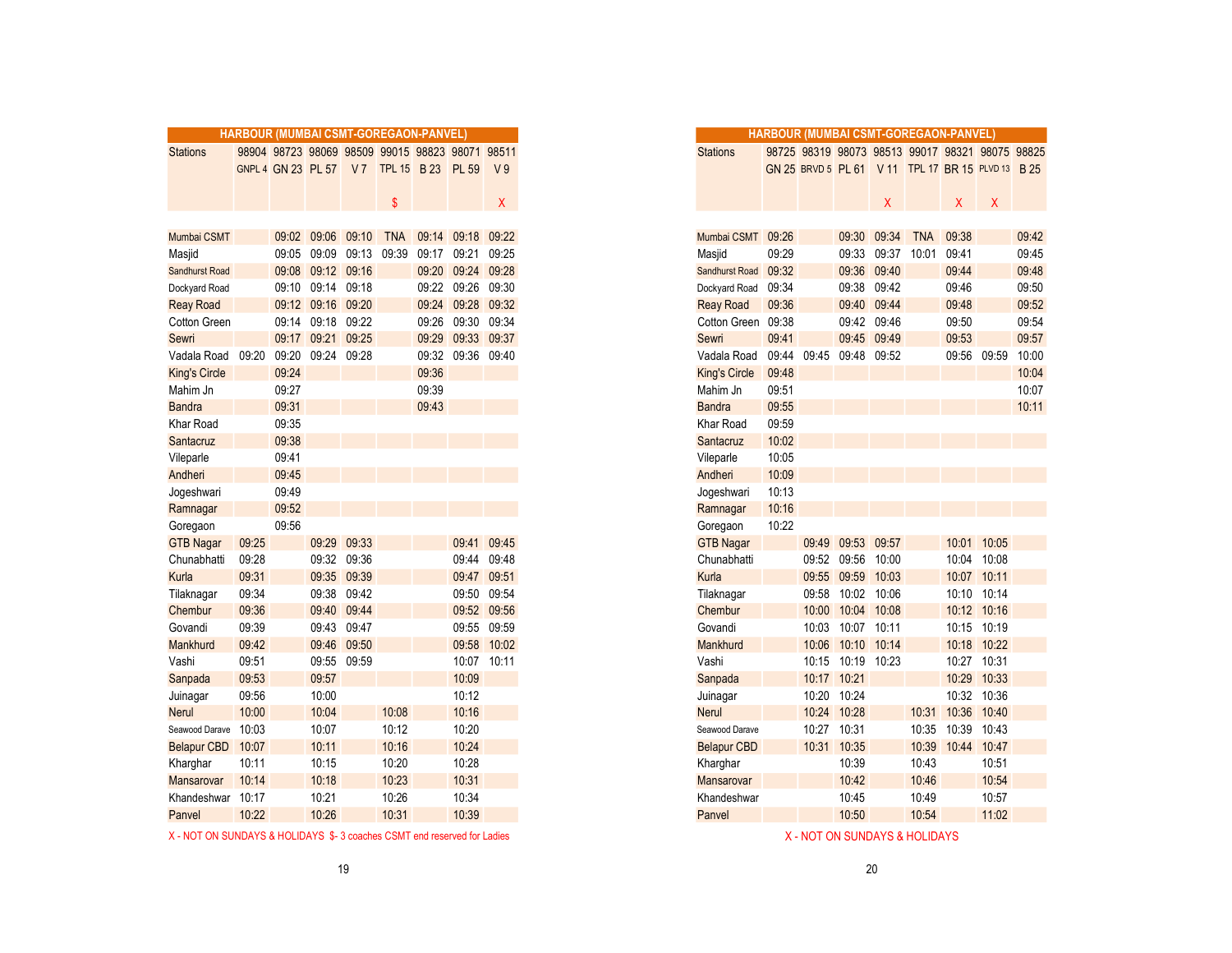|                      | <b>HARBOUR (MUMBAI CSMT-GOREGAON-PANVEL)</b> |       |                   |             |                                                 |       |                   |                |
|----------------------|----------------------------------------------|-------|-------------------|-------------|-------------------------------------------------|-------|-------------------|----------------|
| <b>Stations</b>      |                                              |       |                   |             | 98904 98723 98069 98509 99015 98823 98071 98511 |       |                   |                |
|                      |                                              |       |                   |             | GNPL 4 GN 23 PL 57 V 7 TPL 15 B 23 PL 59        |       |                   | V <sub>9</sub> |
|                      |                                              |       |                   |             |                                                 |       |                   |                |
|                      |                                              |       |                   |             | \$                                              |       |                   | X.             |
|                      |                                              |       |                   |             |                                                 |       |                   |                |
| Mumbai CSMT          |                                              |       | 09:02 09:06 09:10 |             | <b>TNA</b>                                      |       | 09:14 09:18 09:22 |                |
| Masjid               |                                              | 09:05 | 09:09             | 09:13       | 09:39                                           |       | 09:17 09:21       | 09:25          |
| Sandhurst Road       |                                              |       | 09:08 09:12 09:16 |             |                                                 |       | 09:20 09:24 09:28 |                |
| Dockyard Road        |                                              |       | 09:10 09:14 09:18 |             |                                                 |       | 09:22 09:26 09:30 |                |
| <b>Reay Road</b>     |                                              |       | 09:12 09:16 09:20 |             |                                                 | 09:24 | 09:28             | 09:32          |
| Cotton Green         |                                              |       | 09:14 09:18 09:22 |             |                                                 |       | 09:26 09:30 09:34 |                |
| Sewri                |                                              | 09:17 | 09:21 09:25       |             |                                                 |       | 09:29 09:33 09:37 |                |
| Vadala Road          | 09:20                                        | 09:20 | 09:24             | 09:28       |                                                 | 09:32 | 09:36 09:40       |                |
| <b>King's Circle</b> |                                              | 09:24 |                   |             |                                                 | 09:36 |                   |                |
| Mahim Jn             |                                              | 09:27 |                   |             |                                                 | 09:39 |                   |                |
| <b>Bandra</b>        |                                              | 09:31 |                   |             |                                                 | 09:43 |                   |                |
| Khar Road            |                                              | 09:35 |                   |             |                                                 |       |                   |                |
| Santacruz            |                                              | 09:38 |                   |             |                                                 |       |                   |                |
| Vileparle            |                                              | 09:41 |                   |             |                                                 |       |                   |                |
| Andheri              |                                              | 09:45 |                   |             |                                                 |       |                   |                |
| Jogeshwari           |                                              | 09:49 |                   |             |                                                 |       |                   |                |
| Ramnagar             |                                              | 09:52 |                   |             |                                                 |       |                   |                |
| Goregaon             |                                              | 09:56 |                   |             |                                                 |       |                   |                |
| <b>GTB Nagar</b>     | 09:25                                        |       |                   | 09:29 09:33 |                                                 |       | 09:41             | 09:45          |
| Chunabhatti          | 09:28                                        |       |                   | 09:32 09:36 |                                                 |       |                   | 09:44 09:48    |
| Kurla                | 09:31                                        |       |                   | 09:35 09:39 |                                                 |       | 09:47             | 09:51          |
| Tilaknagar           | 09:34                                        |       |                   | 09:38 09:42 |                                                 |       |                   | 09:50 09:54    |
| Chembur              | 09:36                                        |       |                   | 09:40 09:44 |                                                 |       |                   | 09:52 09:56    |
| Govandi              | 09:39                                        |       |                   | 09:43 09:47 |                                                 |       |                   | 09:55 09:59    |
| Mankhurd             | 09:42                                        |       |                   | 09:46 09:50 |                                                 |       |                   | 09:58 10:02    |
| Vashi                | 09:51                                        |       |                   | 09:55 09:59 |                                                 |       |                   | 10:07 10:11    |
| Sanpada              | 09:53                                        |       | 09:57             |             |                                                 |       | 10:09             |                |
| Juinagar             | 09:56                                        |       | 10:00             |             |                                                 |       | 10:12             |                |
| <b>Nerul</b>         | 10:00                                        |       | 10:04             |             | 10:08                                           |       | 10:16             |                |
| Seawood Darave       | 10:03                                        |       | 10:07             |             | 10:12                                           |       | 10:20             |                |
| Belapur CBD          | 10:07                                        |       | 10:11             |             | 10:16                                           |       | 10:24             |                |
| Kharghar             | 10:11                                        |       | 10:15             |             | 10:20                                           |       | 10:28             |                |
| Mansarovar           | 10:14                                        |       | 10:18             |             | 10:23                                           |       | 10:31             |                |
| Khandeshwar          | 10:17                                        |       | 10:21             |             | 10:26                                           |       | 10:34             |                |
| Panvel               | 10:22                                        |       | 10:26             |             | 10:31                                           |       | 10:39             |                |
|                      |                                              |       |                   |             |                                                 |       |                   |                |

| X - NOT ON SUNDAYS & HOLIDAYS \$-3 coaches CSMT end reserved for Ladies | X - NOT ON SUNDAYS & HOLIDAYS |
|-------------------------------------------------------------------------|-------------------------------|
|                                                                         |                               |

|                    |       |                    |                   |             | <b>HARBOUR (MUMBAI CSMT-GOREGAON-PANVEL)</b> |       |                   |                |
|--------------------|-------|--------------------|-------------------|-------------|----------------------------------------------|-------|-------------------|----------------|
| <b>Stations</b>    |       |                    |                   |             | 98904 98723 98069 98509 99015 98823 98071    |       |                   | 98511          |
|                    |       | GNPL 4 GN 23 PL 57 |                   |             | V7 TPL 15 B 23                               |       | PL 59             | V <sub>9</sub> |
|                    |       |                    |                   |             |                                              |       |                   |                |
|                    |       |                    |                   |             | $\mathbf{\$}$                                |       |                   | X.             |
|                    |       |                    |                   |             |                                              |       |                   |                |
| Mumbai CSMT        |       |                    | 09:02 09:06       | 09:10       | <b>TNA</b>                                   |       | 09:14 09:18 09:22 |                |
| Masjid             |       | 09:05              | 09:09             | 09:13       | 09:39                                        |       | 09:17 09:21       | 09:25          |
| Sandhurst Road     |       |                    | 09:08 09:12 09:16 |             |                                              |       | 09:20 09:24 09:28 |                |
| Dockyard Road      |       |                    | 09:10 09:14       | 09:18       |                                              |       | 09:22 09:26 09:30 |                |
| <b>Reay Road</b>   |       |                    | 09:12 09:16       | 09:20       |                                              | 09:24 | 09:28 09:32       |                |
| Cotton Green       |       | 09:14              | 09:18             | 09:22       |                                              | 09:26 | 09:30 09:34       |                |
| Sewri              |       |                    | 09:17 09:21 09:25 |             |                                              |       | 09:29 09:33 09:37 |                |
| Vadala Road        | 09:20 | 09:20              | 09:24 09:28       |             |                                              | 09:32 | 09:36 09:40       |                |
| King's Circle      |       | 09:24              |                   |             |                                              | 09:36 |                   |                |
| Mahim Jn           |       | 09:27              |                   |             |                                              | 09:39 |                   |                |
| Bandra             |       | 09:31              |                   |             |                                              | 09:43 |                   |                |
| Khar Road          |       | 09:35              |                   |             |                                              |       |                   |                |
| Santacruz          |       | 09:38              |                   |             |                                              |       |                   |                |
| Vileparle          |       | 09:41              |                   |             |                                              |       |                   |                |
| Andheri            |       | 09:45              |                   |             |                                              |       |                   |                |
| Jogeshwari         |       | 09:49              |                   |             |                                              |       |                   |                |
| Ramnagar           |       | 09:52              |                   |             |                                              |       |                   |                |
| Goregaon           |       | 09:56              |                   |             |                                              |       |                   |                |
| <b>GTB Nagar</b>   | 09:25 |                    | 09:29 09:33       |             |                                              |       |                   | 09:41 09:45    |
| Chunabhatti        | 09:28 |                    | 09:32             | 09:36       |                                              |       | 09:44 09:48       |                |
| Kurla              | 09:31 |                    | 09:35 09:39       |             |                                              |       | 09:47 09:51       |                |
| Tilaknagar         | 09:34 |                    |                   | 09:38 09:42 |                                              |       | 09:50 09:54       |                |
| Chembur            | 09:36 |                    | 09:40             | 09:44       |                                              |       |                   | 09:52 09:56    |
| Govandi            | 09:39 |                    | 09:43 09:47       |             |                                              |       | 09:55 09:59       |                |
| Mankhurd           | 09:42 |                    | 09:46             | 09:50       |                                              |       |                   | 09:58 10:02    |
| Vashi              | 09:51 |                    | 09:55             | 09:59       |                                              |       | 10:07 10:11       |                |
| Sanpada            | 09:53 |                    | 09:57             |             |                                              |       | 10:09             |                |
| Juinagar           | 09:56 |                    | 10:00             |             |                                              |       | 10:12             |                |
| Nerul              | 10:00 |                    | 10:04             |             | 10:08                                        |       | 10:16             |                |
| Seawood Darave     | 10:03 |                    | 10:07             |             | 10:12                                        |       | 10:20             |                |
| <b>Belapur CBD</b> | 10:07 |                    | 10:11             |             | 10:16                                        |       | 10:24             |                |
| Kharghar           | 10:11 |                    | 10:15             |             | 10:20                                        |       | 10:28             |                |
| Mansarovar         | 10:14 |                    | 10:18             |             | 10:23                                        |       | 10:31             |                |
| Khandeshwar        | 10:17 |                    | 10:21             |             | 10:26                                        |       | 10:34             |                |
| Panvel             | 10:22 |                    | 10:26             |             | 10:31                                        |       | 10:39             |                |
|                    |       |                    |                   |             |                                              |       |                   |                |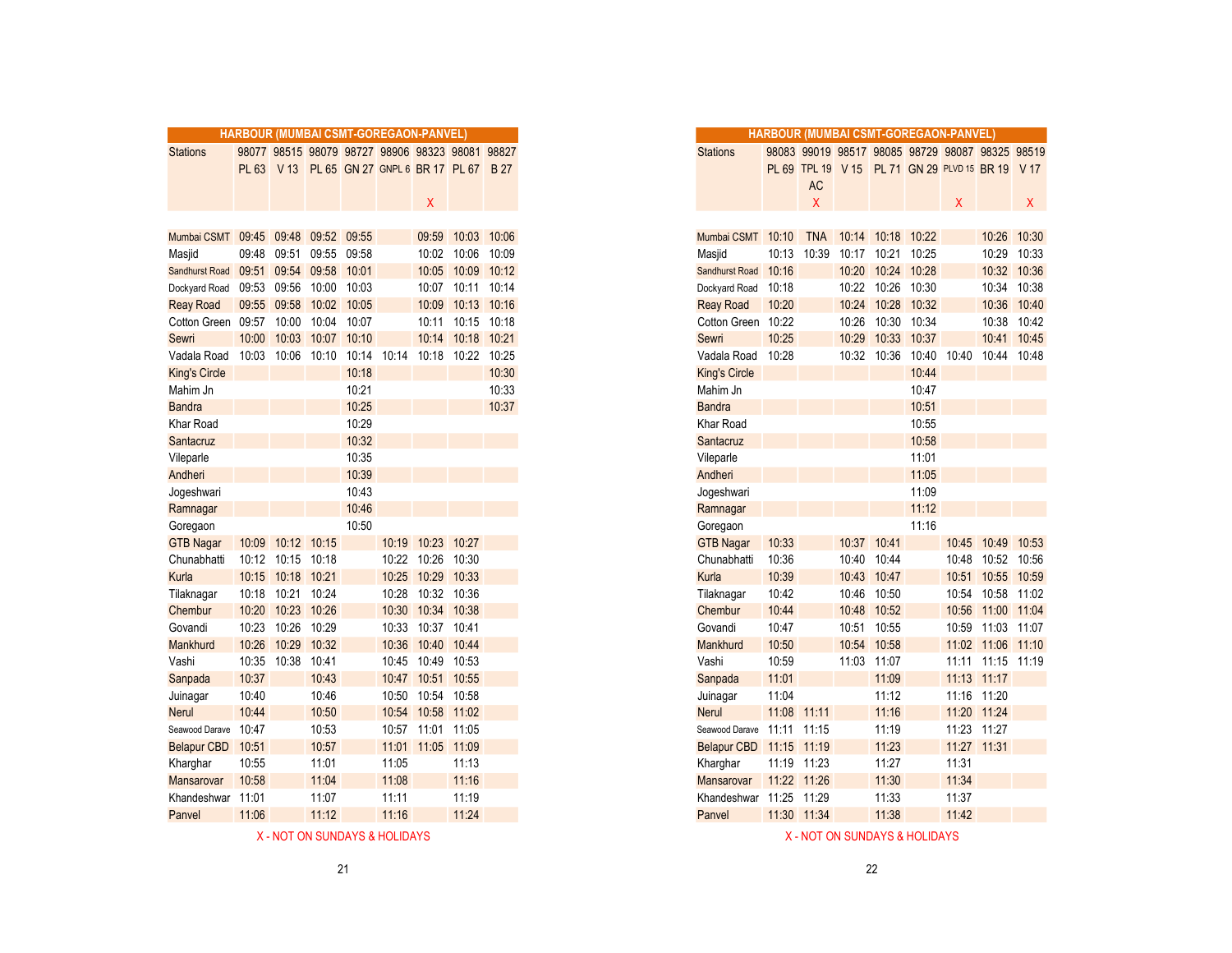|                                     |       |                         |             |             | HARBOUR (MUMBAI CSMT-GOREGAON-PANVEL)           |                   |                   |            |
|-------------------------------------|-------|-------------------------|-------------|-------------|-------------------------------------------------|-------------------|-------------------|------------|
| <b>Stations</b>                     |       |                         |             |             | 98077 98515 98079 98727 98906 98323 98081 98827 |                   |                   |            |
|                                     |       |                         |             |             | PL 63 V 13 PL 65 GN 27 GNPL 6 BR 17 PL 67       |                   |                   | <b>B27</b> |
|                                     |       |                         |             |             |                                                 |                   |                   |            |
|                                     |       |                         |             |             |                                                 | Χ                 |                   |            |
|                                     |       |                         |             |             |                                                 |                   |                   |            |
| Mumbai CSMT 09:45 09:48 09:52 09:55 |       |                         |             |             |                                                 |                   | 09:59 10:03 10:06 |            |
| Masjid                              | 09:48 | 09:51                   |             | 09:55 09:58 |                                                 |                   | 10:02 10:06       | 10:09      |
| Sandhurst Road                      |       | 09:51 09:54 09:58 10:01 |             |             |                                                 |                   | 10:05 10:09       | 10:12      |
| Dockyard Road                       | 09:53 | 09:56                   |             | 10:00 10:03 |                                                 |                   | 10:07 10:11 10:14 |            |
| <b>Reay Road</b>                    |       | 09:55 09:58 10:02       |             | 10:05       |                                                 |                   | 10:09 10:13 10:16 |            |
| Cotton Green 09:57                  |       | 10:00                   | 10:04       | 10:07       |                                                 | 10:11             | 10:15             | 10:18      |
| Sewri                               | 10:00 |                         | 10:03 10:07 | 10:10       |                                                 |                   | 10:14 10:18       | 10:21      |
| Vadala Road                         | 10:03 | 10:06                   | 10:10       | 10:14       | 10:14                                           | 10:18             | 10:22             | 10:25      |
| <b>King's Circle</b>                |       |                         |             | 10:18       |                                                 |                   |                   | 10:30      |
| Mahim Jn                            |       |                         |             | 10:21       |                                                 |                   |                   | 10:33      |
| <b>Bandra</b>                       |       |                         |             | 10:25       |                                                 |                   |                   | 10:37      |
| Khar Road                           |       |                         |             | 10:29       |                                                 |                   |                   |            |
| Santacruz                           |       |                         |             | 10:32       |                                                 |                   |                   |            |
| Vileparle                           |       |                         |             | 10:35       |                                                 |                   |                   |            |
| Andheri                             |       |                         |             | 10:39       |                                                 |                   |                   |            |
| Jogeshwari                          |       |                         |             | 10:43       |                                                 |                   |                   |            |
| Ramnagar                            |       |                         |             | 10:46       |                                                 |                   |                   |            |
| Goregaon                            |       |                         |             | 10:50       |                                                 |                   |                   |            |
| <b>GTB Nagar</b>                    |       | 10:09 10:12 10:15       |             |             |                                                 | 10:19 10:23 10:27 |                   |            |
| Chunabhatti                         |       | 10:12 10:15 10:18       |             |             |                                                 | 10:22 10:26 10:30 |                   |            |
| Kurla                               |       | 10:15 10:18 10:21       |             |             |                                                 | 10:25 10:29       | 10:33             |            |
| Tilaknagar                          |       | 10:18 10:21             | 10:24       |             | 10:28                                           |                   | 10:32 10:36       |            |
| Chembur                             |       | 10:20 10:23 10:26       |             |             |                                                 | 10:30 10:34 10:38 |                   |            |
| Govandi                             | 10:23 | 10:26                   | 10:29       |             | 10:33                                           | 10:37 10:41       |                   |            |
| Mankhurd                            | 10:26 | 10:29                   | 10:32       |             | 10:36                                           | 10:40 10:44       |                   |            |
| Vashi                               |       | 10:35 10:38             | 10:41       |             |                                                 | 10:45 10:49 10:53 |                   |            |
| Sanpada                             | 10:37 |                         | 10:43       |             | 10:47                                           |                   | 10:51 10:55       |            |
| Juinagar                            | 10:40 |                         | 10:46       |             | 10:50                                           | 10:54 10:58       |                   |            |
| Nerul                               | 10:44 |                         | 10:50       |             |                                                 | 10:54 10:58 11:02 |                   |            |
| Seawood Darave                      | 10:47 |                         | 10:53       |             |                                                 | 10:57 11:01 11:05 |                   |            |
| <b>Belapur CBD</b>                  | 10:51 |                         | 10:57       |             |                                                 | 11:01 11:05 11:09 |                   |            |
| Kharghar                            | 10:55 |                         | 11:01       |             | 11:05                                           |                   | 11:13             |            |
| Mansarovar                          | 10:58 |                         | 11:04       |             | 11:08                                           |                   | 11:16             |            |
| Khandeshwar                         | 11:01 |                         | 11:07       |             | 11:11                                           |                   | 11:19             |            |
| Panvel                              | 11:06 |                         | 11:12       |             | 11:16                                           |                   | 11:24             |            |
|                                     |       |                         |             |             |                                                 |                   |                   |            |

|                    |       |                   |       |       |       | <b>HARBOUR (MUMBAI CSMT-GOREGAON-PANVEL)</b>    |                   |       |
|--------------------|-------|-------------------|-------|-------|-------|-------------------------------------------------|-------------------|-------|
| <b>Stations</b>    |       |                   |       |       |       | 98077 98515 98079 98727 98906 98323 98081 98827 |                   |       |
|                    |       |                   |       |       |       | PL 63 V 13 PL 65 GN 27 GNPL 6 BR 17 PL 67 B 27  |                   |       |
|                    |       |                   |       |       |       |                                                 |                   |       |
|                    |       |                   |       |       |       | X                                               |                   |       |
|                    |       |                   |       |       |       |                                                 |                   |       |
| Mumbai CSMT 09:45  |       | 09:48             | 09:52 | 09:55 |       | 09:59                                           | 10:03             | 10:06 |
| Masjid             | 09:48 | 09:51             | 09:55 | 09:58 |       | 10:02                                           | 10:06             | 10:09 |
| Sandhurst Road     | 09:51 | 09:54             | 09:58 | 10:01 |       | 10:05                                           | 10:09             | 10:12 |
| Dockyard Road      | 09:53 | 09:56             | 10:00 | 10:03 |       |                                                 | 10:07 10:11 10:14 |       |
| <b>Reay Road</b>   | 09:55 | 09:58             | 10:02 | 10:05 |       | 10:09                                           | 10:13             | 10:16 |
| Cotton Green 09:57 |       | 10:00             | 10:04 | 10:07 |       | 10:11                                           | 10:15             | 10:18 |
| Sewri              | 10:00 | 10:03             | 10:07 | 10:10 |       | 10:14                                           | 10:18             | 10:21 |
| Vadala Road        | 10:03 | 10:06             | 10:10 | 10:14 | 10:14 | 10:18                                           | 10:22             | 10:25 |
| King's Circle      |       |                   |       | 10:18 |       |                                                 |                   | 10:30 |
| Mahim Jn           |       |                   |       | 10:21 |       |                                                 |                   | 10:33 |
| Bandra             |       |                   |       | 10:25 |       |                                                 |                   | 10:37 |
| Khar Road          |       |                   |       | 10:29 |       |                                                 |                   |       |
| Santacruz          |       |                   |       | 10:32 |       |                                                 |                   |       |
| Vileparle          |       |                   |       | 10:35 |       |                                                 |                   |       |
| Andheri            |       |                   |       | 10:39 |       |                                                 |                   |       |
| Jogeshwari         |       |                   |       | 10:43 |       |                                                 |                   |       |
| Ramnagar           |       |                   |       | 10:46 |       |                                                 |                   |       |
| Goregaon           |       |                   |       | 10:50 |       |                                                 |                   |       |
| <b>GTB Nagar</b>   |       | 10:09 10:12 10:15 |       |       |       | 10:19 10:23 10:27                               |                   |       |
| Chunabhatti        | 10:12 | 10:15 10:18       |       |       | 10:22 | 10:26                                           | 10:30             |       |
| Kurla              | 10:15 | 10:18             | 10:21 |       | 10:25 | 10:29                                           | 10:33             |       |
| Tilaknagar         | 10:18 | 10:21             | 10:24 |       | 10:28 | 10:32                                           | 10:36             |       |
| Chembur            | 10:20 | 10:23             | 10:26 |       | 10:30 | 10:34                                           | 10:38             |       |
| Govandi            | 10:23 | 10:26             | 10:29 |       | 10:33 | 10:37 10:41                                     |                   |       |
| Mankhurd           | 10:26 | 10:29             | 10:32 |       | 10:36 | 10:40                                           | 10:44             |       |
| Vashi              | 10:35 | 10:38             | 10:41 |       | 10:45 | 10:49                                           | 10:53             |       |
| Sanpada            | 10:37 |                   | 10:43 |       | 10:47 | 10:51                                           | 10:55             |       |
| Juinagar           | 10:40 |                   | 10:46 |       | 10:50 | 10:54                                           | 10:58             |       |
| Nerul              | 10:44 |                   | 10:50 |       | 10:54 | 10:58 11:02                                     |                   |       |
| Seawood Darave     | 10:47 |                   | 10:53 |       |       | 10:57 11:01 11:05                               |                   |       |
| <b>Belapur CBD</b> | 10:51 |                   | 10:57 |       | 11:01 | 11:05 11:09                                     |                   |       |
| Kharghar           | 10:55 |                   | 11:01 |       | 11:05 |                                                 | 11:13             |       |
| Mansarovar         | 10:58 |                   | 11:04 |       | 11:08 |                                                 | 11:16             |       |
| Khandeshwar        | 11:01 |                   | 11:07 |       | 11:11 |                                                 | 11:19             |       |
| Panvel             | 11:06 |                   | 11:12 |       | 11:16 |                                                 | 11:24             |       |
|                    |       |                   |       |       |       |                                                 |                   |       |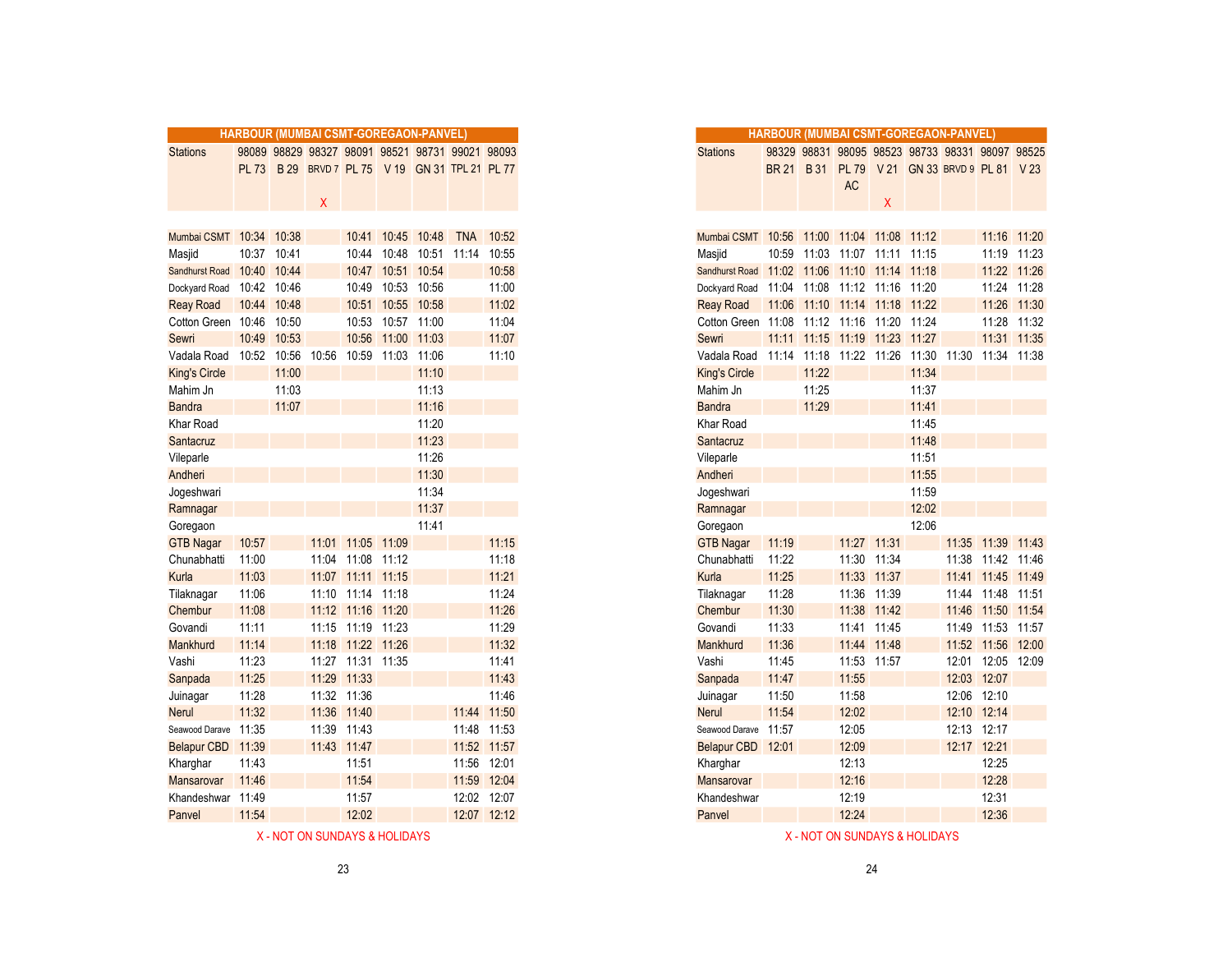|                         |              |             |       | HARBOUR (MUMBAI CSMT-GOREGAON-PANVEL)           |                   |                         |             |
|-------------------------|--------------|-------------|-------|-------------------------------------------------|-------------------|-------------------------|-------------|
| <b>Stations</b>         |              |             |       | 98089 98829 98327 98091 98521 98731 99021 98093 |                   |                         |             |
|                         | <b>PL 73</b> |             |       | B 29 BRVD 7 PL 75 V 19 GN 31 TPL 21 PL 77       |                   |                         |             |
|                         |              |             |       |                                                 |                   |                         |             |
|                         |              |             | Χ     |                                                 |                   |                         |             |
|                         |              |             |       |                                                 |                   |                         |             |
| Mumbai CSMT 10:34 10:38 |              |             |       |                                                 | 10:41 10:45 10:48 |                         | TNA 10:52   |
| Masjid                  | 10:37 10:41  |             |       | 10:44                                           |                   | 10:48 10:51 11:14 10:55 |             |
| Sandhurst Road          | 10:40        | 10:44       |       | 10:47                                           |                   | 10:51 10:54             | 10:58       |
| Dockyard Road           | 10:42 10:46  |             |       | 10:49                                           | 10:53             | 10:56                   | 11:00       |
| <b>Reay Road</b>        |              | 10:44 10:48 |       | 10:51                                           |                   | 10:55 10:58             | 11:02       |
| Cotton Green 10:46      |              | 10:50       |       |                                                 | 10:53 10:57 11:00 |                         | 11:04       |
| Sewri                   | 10:49        | 10:53       |       | 10:56                                           |                   | 11:00 11:03             | 11:07       |
| Vadala Road             |              | 10:52 10:56 | 10:56 |                                                 | 10:59 11:03 11:06 |                         | 11:10       |
| <b>King's Circle</b>    |              | 11:00       |       |                                                 |                   | 11:10                   |             |
| Mahim Jn                |              | 11:03       |       |                                                 |                   | 11:13                   |             |
| <b>Bandra</b>           |              | 11:07       |       |                                                 |                   | 11:16                   |             |
| Khar Road               |              |             |       |                                                 |                   | 11:20                   |             |
| Santacruz               |              |             |       |                                                 |                   | 11:23                   |             |
| Vileparle               |              |             |       |                                                 |                   | 11:26                   |             |
| Andheri                 |              |             |       |                                                 |                   | 11:30                   |             |
| Jogeshwari              |              |             |       |                                                 |                   | 11:34                   |             |
| Ramnagar                |              |             |       |                                                 |                   | 11:37                   |             |
| Goregaon                |              |             |       |                                                 |                   | 11:41                   |             |
| <b>GTB Nagar</b>        | 10:57        |             |       | 11:01 11:05 11:09                               |                   |                         | 11:15       |
| Chunabhatti             | 11:00        |             |       | 11:04 11:08                                     | 11:12             |                         | 11:18       |
| Kurla                   | 11:03        |             |       | 11:07 11:11 11:15                               |                   |                         | 11:21       |
| Tilaknagar              | 11:06        |             |       | 11:10 11:14 11:18                               |                   |                         | 11:24       |
| Chembur                 | 11:08        |             |       | 11:12 11:16 11:20                               |                   |                         | 11:26       |
| Govandi                 | 11:11        |             |       | 11:15 11:19 11:23                               |                   |                         | 11:29       |
| Mankhurd                | 11:14        |             |       | 11:18 11:22 11:26                               |                   |                         | 11:32       |
| Vashi                   | 11:23        |             |       | 11:27 11:31 11:35                               |                   |                         | 11:41       |
| Sanpada                 | 11:25        |             |       | 11:29 11:33                                     |                   |                         | 11:43       |
| Juinagar                | 11:28        |             |       | 11:32 11:36                                     |                   |                         | 11:46       |
| <b>Nerul</b>            | 11:32        |             |       | 11:36 11:40                                     |                   |                         | 11:44 11:50 |
| Seawood Darave 11:35    |              |             |       | 11:39 11:43                                     |                   |                         | 11:48 11:53 |
| Belapur CBD 11:39       |              |             |       | 11:43 11:47                                     |                   |                         | 11:52 11:57 |
| Kharghar                | 11:43        |             |       | 11:51                                           |                   |                         | 11:56 12:01 |
| Mansarovar              | 11:46        |             |       | 11:54                                           |                   |                         | 11:59 12:04 |
| Khandeshwar 11:49       |              |             |       | 11:57                                           |                   |                         | 12:02 12:07 |
| Panvel                  | 11:54        |             |       | 12:02                                           |                   |                         | 12:07 12:12 |

|                         |              |       | <b>HARBOUR (MUMBAI CSMT-GOREGAON-PANVEL)</b> |                   |                   |                       |                                                 |                 |
|-------------------------|--------------|-------|----------------------------------------------|-------------------|-------------------|-----------------------|-------------------------------------------------|-----------------|
| Stations                |              |       |                                              |                   |                   |                       | 98089 98829 98327 98091 98521 98731 99021 98093 |                 |
|                         | <b>PL 73</b> |       |                                              |                   |                   |                       | B 29 BRVD 7 PL 75 V 19 GN 31 TPL 21 PL 77       |                 |
|                         |              |       |                                              |                   |                   |                       |                                                 |                 |
|                         |              |       | x                                            |                   |                   |                       |                                                 |                 |
|                         |              |       |                                              |                   |                   |                       |                                                 |                 |
| Mumbai CSMT 10:34 10:38 |              |       |                                              |                   |                   | 10:41 10:45 10:48 TNA |                                                 | 10:52           |
| Masjid                  | 10:37 10:41  |       |                                              |                   | 10:44 10:48       | 10:51 11:14           |                                                 | 10:55           |
| <b>Sandhurst Road</b>   | 10:40        | 10:44 |                                              |                   | 10:47 10:51 10:54 |                       |                                                 | 10:58           |
| Dockyard Road           | 10:42        | 10:46 |                                              |                   | 10:49 10:53       | 10:56                 |                                                 | 11:00           |
| <b>Reay Road</b>        | 10:44        | 10:48 |                                              |                   | 10:51 10:55 10:58 |                       |                                                 | 11:02           |
| Cotton Green 10:46      |              | 10:50 |                                              |                   | 10:53 10:57 11:00 |                       |                                                 | 11:04           |
| Sewri                   | 10:49        | 10:53 |                                              | 10:56             | 11:00             | 11:03                 |                                                 | 11:07           |
| Vadala Road             | 10:52        | 10:56 | 10:56                                        | 10:59             | 11:03             | 11:06                 |                                                 | 11:10           |
| King's Circle           |              | 11:00 |                                              |                   |                   | 11:10                 |                                                 |                 |
| Mahim Jn                |              | 11:03 |                                              |                   |                   | 11:13                 |                                                 |                 |
| Bandra                  |              | 11:07 |                                              |                   |                   | 11:16                 |                                                 |                 |
| Khar Road               |              |       |                                              |                   |                   | 11:20                 |                                                 |                 |
| Santacruz               |              |       |                                              |                   |                   | 11:23                 |                                                 |                 |
| Vileparle               |              |       |                                              |                   |                   | 11:26                 |                                                 |                 |
| Andheri                 |              |       |                                              |                   |                   | 11:30                 |                                                 |                 |
| Jogeshwari              |              |       |                                              |                   |                   | 11:34                 |                                                 |                 |
| Ramnagar                |              |       |                                              |                   |                   | 11:37                 |                                                 |                 |
| Goregaon                |              |       |                                              |                   |                   | 11:41                 |                                                 |                 |
| <b>GTB Nagar</b>        | 10:57        |       |                                              | 11:01 11:05 11:09 |                   |                       |                                                 | 11:15           |
| Chunabhatti             | 11:00        |       |                                              | 11:04 11:08       | 11:12             |                       |                                                 | 11:18           |
| Kurla                   | 11:03        |       |                                              | 11:07 11:11 11:15 |                   |                       |                                                 | 11:21           |
| Tilaknagar              | 11:06        |       |                                              | 11:10 11:14 11:18 |                   |                       |                                                 | 11:24           |
| Chembur                 | 11:08        |       |                                              | 11:12 11:16 11:20 |                   |                       |                                                 | 11:26           |
| Govandi                 | 11:11        |       |                                              | 11:15 11:19 11:23 |                   |                       |                                                 | 11:29           |
| Mankhurd                | 11:14        |       |                                              | 11:18 11:22 11:26 |                   |                       |                                                 | 11:32           |
| Vashi                   | 11:23        |       |                                              | 11:27 11:31 11:35 |                   |                       |                                                 | 11:41           |
| Sanpada                 | 11:25        |       | 11:29                                        | 11:33             |                   |                       |                                                 | 11:43           |
| Juinagar                | 11:28        |       |                                              | 11:32 11:36       |                   |                       |                                                 | 11:46           |
| Nerul                   | 11:32        |       |                                              | 11:36 11:40       |                   |                       |                                                 | 11:44 11:50     |
| Seawood Darave          | 11:35        |       |                                              | 11:39 11:43       |                   |                       |                                                 | 11:48 11:53     |
| <b>Belapur CBD</b>      | 11:39        |       |                                              | 11:43 11:47       |                   |                       |                                                 | 11:52 11:57     |
| Kharghar                | 11:43        |       |                                              | 11:51             |                   |                       |                                                 | 11:56 12:01     |
| Mansarovar              | 11:46        |       |                                              | 11:54             |                   |                       |                                                 | 11:59 12:04     |
| $K$ handechwar 11.40    |              |       |                                              | 11.57             |                   |                       |                                                 | $12.02$ $12.07$ |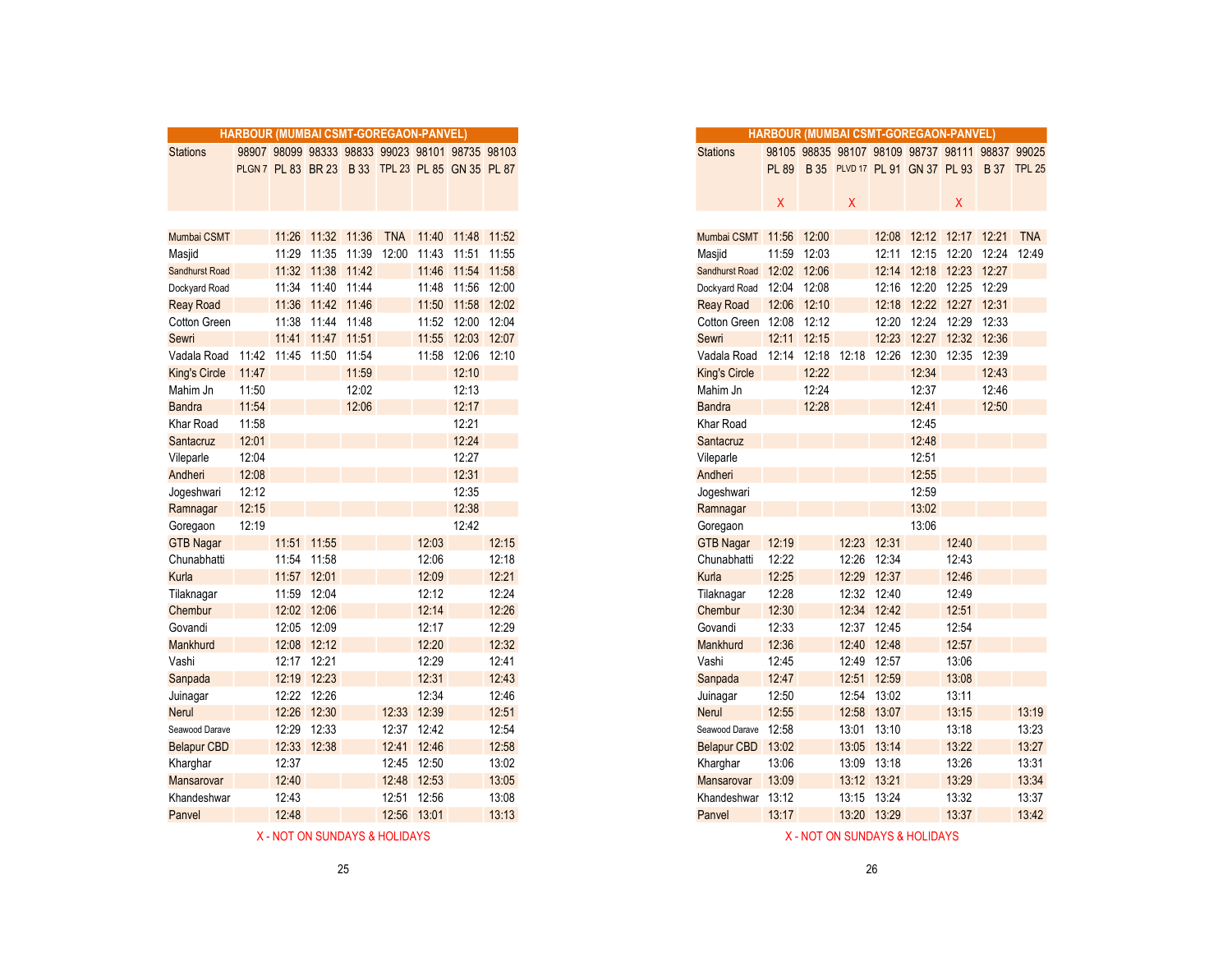|                                  | HARBOUR (MUMBAI CSMT-GOREGAON-PANVEL) |       |                   |                                  |       |                                                  |                   |             |
|----------------------------------|---------------------------------------|-------|-------------------|----------------------------------|-------|--------------------------------------------------|-------------------|-------------|
|                                  |                                       |       |                   |                                  |       | 98907 98099 98333 98833 99023 98101 98735 98103  |                   |             |
| <b>Stations</b>                  |                                       |       |                   |                                  |       |                                                  |                   |             |
|                                  |                                       |       |                   |                                  |       | PLGN 7 PL 83 BR 23 B 33 TPL 23 PL 85 GN 35 PL 87 |                   |             |
|                                  |                                       |       |                   |                                  |       |                                                  |                   |             |
|                                  |                                       |       |                   |                                  |       |                                                  |                   |             |
|                                  |                                       |       |                   |                                  |       |                                                  |                   |             |
| Mumbai CSMT                      |                                       | 11:29 |                   | 11:26 11:32 11:36<br>11:35 11:39 | 12:00 | TNA 11:40 11:48 11:52                            | 11:43 11:51 11:55 |             |
| Masjid<br>Sandhurst Road         |                                       |       | 11:32 11:38 11:42 |                                  |       |                                                  | 11:46 11:54 11:58 |             |
| Dockyard Road                    |                                       |       | 11:34 11:40 11:44 |                                  |       |                                                  | 11:48 11:56 12:00 |             |
|                                  |                                       |       | 11:36 11:42 11:46 |                                  |       |                                                  | 11:50 11:58 12:02 |             |
| <b>Reay Road</b><br>Cotton Green |                                       |       | 11:38 11:44 11:48 |                                  |       |                                                  | 11:52 12:00 12:04 |             |
| Sewri                            |                                       |       | 11:41 11:47 11:51 |                                  |       |                                                  |                   | 12:03 12:07 |
|                                  |                                       |       |                   |                                  |       | 11:55                                            |                   |             |
| Vadala Road                      | 11:42                                 |       | 11:45 11:50       | 11:54                            |       | 11:58                                            |                   | 12:06 12:10 |
| <b>King's Circle</b>             | 11:47                                 |       |                   | 11:59                            |       |                                                  | 12:10             |             |
| Mahim Jn                         | 11:50                                 |       |                   | 12:02                            |       |                                                  | 12:13             |             |
| <b>Bandra</b><br>Khar Road       | 11:54<br>11:58                        |       |                   | 12:06                            |       |                                                  | 12:17<br>12:21    |             |
|                                  | 12:01                                 |       |                   |                                  |       |                                                  | 12:24             |             |
| Santacruz                        |                                       |       |                   |                                  |       |                                                  | 12:27             |             |
| Vileparle                        | 12:04<br>12:08                        |       |                   |                                  |       |                                                  | 12:31             |             |
| Andheri                          | 12:12                                 |       |                   |                                  |       |                                                  | 12:35             |             |
| Jogeshwari                       |                                       |       |                   |                                  |       |                                                  | 12:38             |             |
| Ramnagar                         | 12:15<br>12:19                        |       |                   |                                  |       |                                                  | 12:42             |             |
| Goregaon                         |                                       |       | 11:51 11:55       |                                  |       | 12:03                                            |                   | 12:15       |
| <b>GTB Nagar</b>                 |                                       |       |                   |                                  |       |                                                  |                   |             |
| Chunabhatti                      |                                       |       | 11:54 11:58       |                                  |       | 12:06                                            |                   | 12:18       |
| Kurla                            |                                       |       | 11:57 12:01       |                                  |       | 12:09                                            |                   | 12:21       |
| Tilaknagar                       |                                       |       | 11:59 12:04       |                                  |       | 12:12                                            |                   | 12:24       |
| Chembur                          |                                       |       | 12:02 12:06       |                                  |       | 12:14                                            |                   | 12:26       |
| Govandi                          |                                       |       | 12:05 12:09       |                                  |       | 12:17<br>12:20                                   |                   | 12:29       |
| Mankhurd                         |                                       |       | 12:08 12:12       |                                  |       |                                                  |                   | 12:32       |
| Vashi                            |                                       |       | 12:17 12:21       |                                  |       | 12:29                                            |                   | 12:41       |
| Sanpada                          |                                       |       | 12:19 12:23       |                                  |       | 12:31                                            |                   | 12:43       |
| Juinagar                         |                                       |       | 12:22 12:26       |                                  |       | 12:34                                            |                   | 12:46       |
| <b>Nerul</b>                     |                                       | 12:26 | 12:30             |                                  | 12:33 | 12:39                                            |                   | 12:51       |
| Seawood Darave                   |                                       | 12:29 | 12:33             |                                  | 12:37 | 12:42                                            |                   | 12:54       |
| <b>Belapur CBD</b>               |                                       |       | 12:33 12:38       |                                  |       | 12:41 12:46                                      |                   | 12:58       |
| Kharghar                         |                                       | 12:37 |                   |                                  |       | 12:45 12:50                                      |                   | 13:02       |
| Mansarovar                       |                                       | 12:40 |                   |                                  |       | 12:48 12:53                                      |                   | 13:05       |
| Khandeshwar                      |                                       | 12:43 |                   |                                  | 12:51 | 12:56                                            |                   | 13:08       |
| Panvel                           |                                       | 12:48 |                   |                                  |       | 12:56 13:01                                      |                   | 13:13       |

|                       | <b>HARBOUR (MUMBAI CSMT-GOREGAON-PANVEL)</b> |             |                   |       |                                                  |                   |                   |       |
|-----------------------|----------------------------------------------|-------------|-------------------|-------|--------------------------------------------------|-------------------|-------------------|-------|
| <b>Stations</b>       |                                              |             |                   |       | 98907 98099 98333 98833 99023 98101 98735 98103  |                   |                   |       |
|                       |                                              |             |                   |       | PLGN 7 PL 83 BR 23 B 33 TPL 23 PL 85 GN 35 PL 87 |                   |                   |       |
|                       |                                              |             |                   |       |                                                  |                   |                   |       |
|                       |                                              |             |                   |       |                                                  |                   |                   |       |
|                       |                                              |             |                   |       |                                                  |                   |                   |       |
| Mumbai CSMT           |                                              |             |                   |       | 11:26  11:32  11:36  TNA  11:40  11:48  11:52    |                   |                   |       |
| Masjid                |                                              |             |                   |       | 11:29 11:35 11:39 12:00                          | 11:43 11:51 11:55 |                   |       |
| <b>Sandhurst Road</b> |                                              |             | 11:32 11:38 11:42 |       |                                                  |                   | 11:46 11:54 11:58 |       |
| Dockyard Road         |                                              | 11:34       | 11:40             | 11:44 |                                                  | 11:48             | 11:56             | 12:00 |
| <b>Reay Road</b>      |                                              | 11:36       | 11:42             | 11:46 |                                                  | 11:50             | 11:58             | 12:02 |
| Cotton Green          |                                              | 11:38       | 11:44 11:48       |       |                                                  |                   | 11:52 12:00 12:04 |       |
| Sewri                 |                                              |             | 11:41 11:47 11:51 |       |                                                  | 11:55             | 12:03 12:07       |       |
| Vadala Road           | 11:42                                        |             | 11:45 11:50 11:54 |       |                                                  |                   | 11:58 12:06 12:10 |       |
| King's Circle         | 11:47                                        |             |                   | 11:59 |                                                  |                   | 12:10             |       |
| Mahim Jn              | 11:50                                        |             |                   | 12:02 |                                                  |                   | 12:13             |       |
| <b>Bandra</b>         | 11:54                                        |             |                   | 12:06 |                                                  |                   | 12:17             |       |
| Khar Road             | 11:58                                        |             |                   |       |                                                  |                   | 12:21             |       |
| Santacruz             | 12:01                                        |             |                   |       |                                                  |                   | 12:24             |       |
| Vileparle             | 12:04                                        |             |                   |       |                                                  |                   | 12:27             |       |
| Andheri               | 12:08                                        |             |                   |       |                                                  |                   | 12:31             |       |
| Jogeshwari            | 12:12                                        |             |                   |       |                                                  |                   | 12:35             |       |
| Ramnagar              | 12:15                                        |             |                   |       |                                                  |                   | 12:38             |       |
| Goregaon              | 12:19                                        |             |                   |       |                                                  |                   | 12:42             |       |
| <b>GTB Nagar</b>      |                                              |             | 11:51 11:55       |       |                                                  | 12:03             |                   | 12:15 |
| Chunabhatti           |                                              | 11:54       | 11:58             |       |                                                  | 12:06             |                   | 12:18 |
| Kurla                 |                                              | 11:57       | 12:01             |       |                                                  | 12:09             |                   | 12:21 |
| Tilaknagar            |                                              | 11:59       | 12:04             |       |                                                  | 12:12             |                   | 12:24 |
| Chembur               |                                              |             | 12:02 12:06       |       |                                                  | 12:14             |                   | 12:26 |
| Govandi               |                                              |             | 12:05 12:09       |       |                                                  | 12:17             |                   | 12:29 |
| Mankhurd              |                                              |             | 12:08 12:12       |       |                                                  | 12:20             |                   | 12:32 |
| Vashi                 |                                              | 12:17 12:21 |                   |       |                                                  | 12:29             |                   | 12:41 |
| Sanpada               |                                              | 12:19 12:23 |                   |       |                                                  | 12:31             |                   | 12:43 |
| Juinagar              |                                              |             | 12:22 12:26       |       |                                                  | 12:34             |                   | 12:46 |
| Nerul                 |                                              | 12:26       | 12:30             |       | 12:33                                            | 12:39             |                   | 12:51 |
| Seawood Darave        |                                              | 12:29       | 12:33             |       | 12:37                                            | 12:42             |                   | 12:54 |
| <b>Belapur CBD</b>    |                                              | 12:33       | 12:38             |       | 12:41                                            | 12:46             |                   | 12:58 |
| Kharghar              |                                              | 12:37       |                   |       | 12:45                                            | 12:50             |                   | 13:02 |
| Mansarovar            |                                              | 12:40       |                   |       | 12:48                                            | 12:53             |                   | 13:05 |
| Khandeshwar           |                                              | 12:43       |                   |       |                                                  | 12:51 12:56       |                   | 13:08 |
| Panvel                |                                              | 12:48       |                   |       | 12:56                                            | 13:01             |                   | 13:13 |

X - NOT ON SUNDAYS & HOLIDAYS X - NOT ON SUNDAYS & HOLIDAYS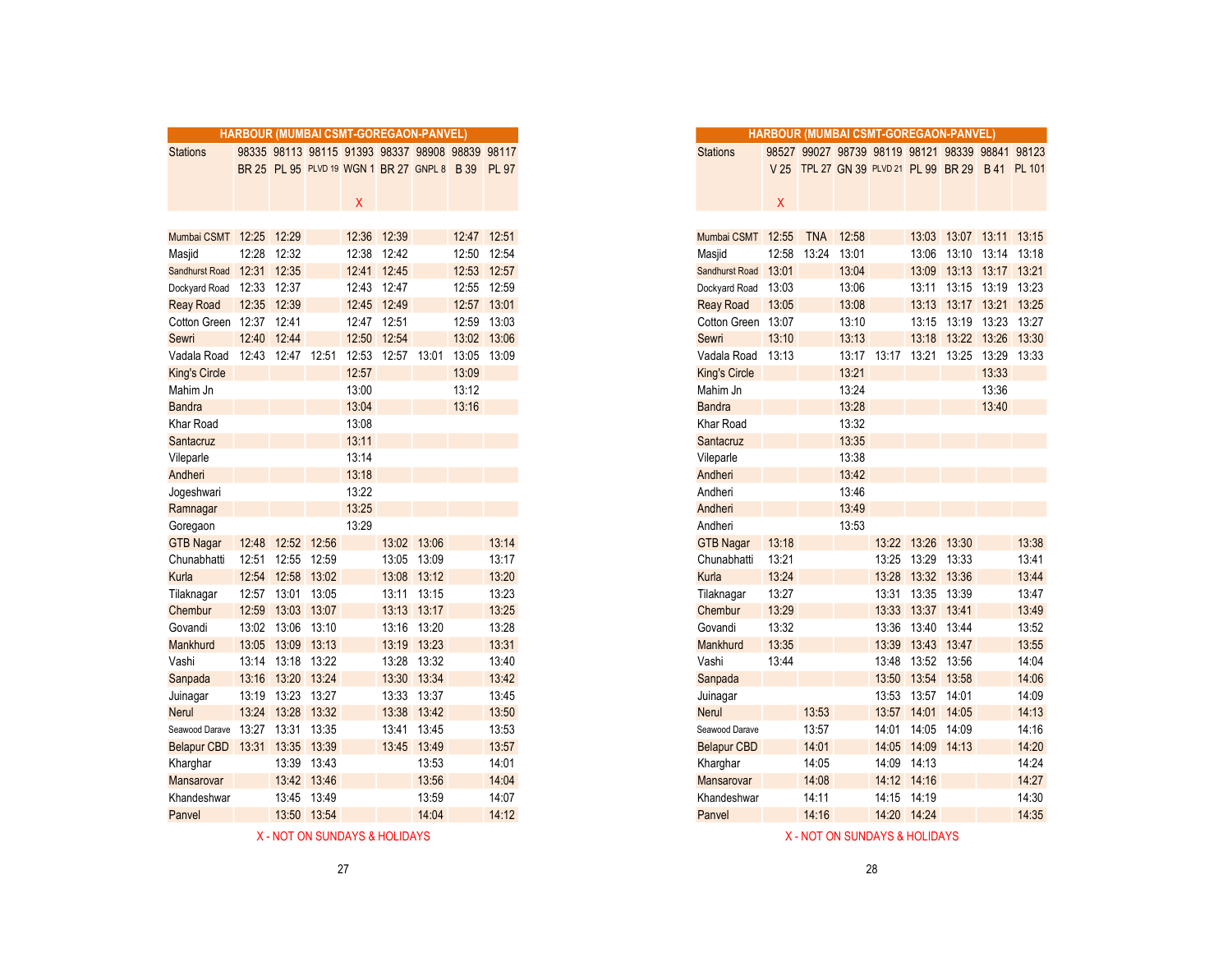|                         |             |                   |             |       |             | HARBOUR (MUMBAI CSMT-GOREGAON-PANVEL)           |       |              |
|-------------------------|-------------|-------------------|-------------|-------|-------------|-------------------------------------------------|-------|--------------|
| <b>Stations</b>         |             |                   |             |       |             | 98335 98113 98115 91393 98337 98908 98839 98117 |       |              |
|                         |             |                   |             |       |             | BR 25 PL 95 PLVD 19 WGN 1 BR 27 GNPL 8 B 39     |       | <b>PL 97</b> |
|                         |             |                   |             |       |             |                                                 |       |              |
|                         |             |                   |             | X     |             |                                                 |       |              |
|                         |             |                   |             |       |             |                                                 |       |              |
| Mumbai CSMT 12:25 12:29 |             |                   |             |       | 12:36 12:39 |                                                 |       | 12:47 12:51  |
| Masjid                  | 12:28       | 12:32             |             | 12:38 | 12:42       |                                                 | 12:50 | 12:54        |
| Sandhurst Road          | 12:31       | 12:35             |             | 12:41 | 12:45       |                                                 |       | 12:53 12:57  |
| Dockyard Road           |             | 12:33 12:37       |             |       | 12:43 12:47 |                                                 |       | 12:55 12:59  |
| <b>Reay Road</b>        |             | 12:35 12:39       |             | 12:45 | 12:49       |                                                 |       | 12:57 13:01  |
| Cotton Green            | 12:37 12:41 |                   |             |       | 12:47 12:51 |                                                 | 12:59 | 13:03        |
| Sewri                   | 12:40       | 12:44             |             |       | 12:50 12:54 |                                                 | 13:02 | 13:06        |
| Vadala Road             |             | 12:43 12:47 12:51 |             | 12:53 |             | 12:57 13:01                                     | 13:05 | 13:09        |
| <b>King's Circle</b>    |             |                   |             | 12:57 |             |                                                 | 13:09 |              |
| Mahim Jn                |             |                   |             | 13:00 |             |                                                 | 13:12 |              |
| <b>Bandra</b>           |             |                   |             | 13:04 |             |                                                 | 13:16 |              |
| Khar Road               |             |                   |             | 13:08 |             |                                                 |       |              |
| Santacruz               |             |                   |             | 13:11 |             |                                                 |       |              |
| Vileparle               |             |                   |             | 13:14 |             |                                                 |       |              |
| Andheri                 |             |                   |             | 13:18 |             |                                                 |       |              |
| Jogeshwari              |             |                   |             | 13:22 |             |                                                 |       |              |
| Ramnagar                |             |                   |             | 13:25 |             |                                                 |       |              |
| Goregaon                |             |                   |             | 13:29 |             |                                                 |       |              |
| <b>GTB Nagar</b>        |             | 12:48 12:52 12:56 |             |       |             | 13:02 13:06                                     |       | 13:14        |
| Chunabhatti             |             | 12:51 12:55 12:59 |             |       |             | 13:05 13:09                                     |       | 13:17        |
| Kurla                   |             | 12:54 12:58 13:02 |             |       |             | 13:08 13:12                                     |       | 13:20        |
| Tilaknagar              |             | 12:57 13:01 13:05 |             |       |             | 13:11 13:15                                     |       | 13:23        |
| Chembur                 |             | 12:59 13:03 13:07 |             |       |             | 13:13 13:17                                     |       | 13:25        |
| Govandi                 |             | 13:02 13:06       | 13:10       |       |             | 13:16 13:20                                     |       | 13:28        |
| Mankhurd                | 13:05       | 13:09             | 13:13       |       | 13:19       | 13:23                                           |       | 13:31        |
| Vashi                   |             | 13:14 13:18 13:22 |             |       |             | 13:28 13:32                                     |       | 13:40        |
| Sanpada                 | 13:16       | 13:20 13:24       |             |       |             | 13:30 13:34                                     |       | 13:42        |
| Juinagar                |             | 13:19 13:23       | 13:27       |       |             | 13:33 13:37                                     |       | 13:45        |
| <b>Nerul</b>            |             | 13:24 13:28 13:32 |             |       |             | 13:38 13:42                                     |       | 13:50        |
| Seawood Darave          | 13:27       | 13:31             | 13:35       |       | 13:41       | 13:45                                           |       | 13:53        |
| Belapur CBD 13:31       |             | 13:35 13:39       |             |       |             | 13:45 13:49                                     |       | 13:57        |
| Kharghar                |             |                   | 13:39 13:43 |       |             | 13:53                                           |       | 14:01        |
| Mansarovar              |             |                   | 13:42 13:46 |       |             | 13:56                                           |       | 14:04        |
| Khandeshwar             |             | 13:45             | 13:49       |       |             | 13:59                                           |       | 14:07        |
| Panvel                  |             |                   | 13:50 13:54 |       |             | 14:04                                           |       | 14:12        |
|                         |             |                   |             |       |             |                                                 |       |              |

|  |  |  |  | X - NOT ON SUNDAYS & HOLIDAYS |  |  |  |  |
|--|--|--|--|-------------------------------|--|--|--|--|
|--|--|--|--|-------------------------------|--|--|--|--|

|                          | <b>HARBOUR (MUMBAI CSMT-GOREGAON-PANVEL)</b> |                   |             |       |                                                 |             |             |              |
|--------------------------|----------------------------------------------|-------------------|-------------|-------|-------------------------------------------------|-------------|-------------|--------------|
| <b>Stations</b>          |                                              |                   |             |       | 98335 98113 98115 91393 98337 98908 98839 98117 |             |             |              |
|                          |                                              |                   |             |       | BR 25 PL 95 PLVD 19 WGN 1 BR 27 GNPL 8 B 39     |             |             | <b>PL 97</b> |
|                          |                                              |                   |             |       |                                                 |             |             |              |
|                          |                                              |                   |             | X     |                                                 |             |             |              |
|                          |                                              |                   |             |       |                                                 |             |             |              |
| Mumbai CSMT 12:25        |                                              | 12:29             |             | 12:36 | 12:39                                           |             |             | 12:47 12:51  |
| Masjid                   | 12:28                                        | 12:32             |             | 12:38 | 12:42                                           |             | 12:50       | 12:54        |
| <b>Sandhurst Road</b>    | 12:31                                        | 12:35             |             | 12:41 | 12:45                                           |             | 12:53       | 12:57        |
| Dockyard Road            | 12:33                                        | 12:37             |             | 12:43 | 12:47                                           |             | 12:55       | 12:59        |
| <b>Reay Road</b>         | 12:35 12:39                                  |                   |             |       | 12:45 12:49                                     |             | 12:57 13:01 |              |
| Cotton Green 12:37 12:41 |                                              |                   |             |       | 12:47 12:51                                     |             |             | 12:59 13:03  |
| Sewri                    | 12:40 12:44                                  |                   |             | 12:50 | 12:54                                           |             | 13:02 13:06 |              |
| Vadala Road              |                                              | 12:43 12:47 12:51 |             | 12:53 |                                                 | 12:57 13:01 | 13:05 13:09 |              |
| King's Circle            |                                              |                   |             | 12:57 |                                                 |             | 13:09       |              |
| Mahim Jn                 |                                              |                   |             | 13:00 |                                                 |             | 13:12       |              |
| Bandra                   |                                              |                   |             | 13:04 |                                                 |             | 13:16       |              |
| Khar Road                |                                              |                   |             | 13:08 |                                                 |             |             |              |
| Santacruz                |                                              |                   |             | 13:11 |                                                 |             |             |              |
| Vileparle                |                                              |                   |             | 13:14 |                                                 |             |             |              |
| Andheri                  |                                              |                   |             | 13:18 |                                                 |             |             |              |
| Jogeshwari               |                                              |                   |             | 13:22 |                                                 |             |             |              |
| Ramnagar                 |                                              |                   |             | 13:25 |                                                 |             |             |              |
| Goregaon                 |                                              |                   |             | 13:29 |                                                 |             |             |              |
| <b>GTB Nagar</b>         | 12:48                                        | 12:52             | 12:56       |       | 13:02                                           | 13:06       |             | 13:14        |
| Chunabhatti              | 12:51                                        | 12:55             | 12:59       |       | 13:05                                           | 13:09       |             | 13:17        |
| Kurla                    | 12:54                                        | 12:58             | 13:02       |       | 13:08                                           | 13:12       |             | 13:20        |
| Tilaknagar               |                                              | 12:57 13:01 13:05 |             |       |                                                 | 13:11 13:15 |             | 13:23        |
| Chembur                  | 12:59                                        | 13:03 13:07       |             |       |                                                 | 13:13 13:17 |             | 13:25        |
| Govandi                  | 13:02                                        | 13:06             | 13:10       |       | 13:16                                           | 13:20       |             | 13:28        |
| Mankhurd                 | 13:05                                        | 13:09             | 13:13       |       | 13:19                                           | 13:23       |             | 13:31        |
| Vashi                    | 13:14                                        | 13:18 13:22       |             |       |                                                 | 13:28 13:32 |             | 13:40        |
| Sanpada                  | 13:16                                        | 13:20 13:24       |             |       | 13:30                                           | 13:34       |             | 13:42        |
| Juinagar                 | 13:19                                        | 13:23             | 13:27       |       | 13:33                                           | 13:37       |             | 13:45        |
| Nerul                    | 13:24                                        | 13:28             | 13:32       |       | 13:38                                           | 13:42       |             | 13:50        |
| Seawood Darave           | 13:27                                        | 13:31             | 13:35       |       | 13:41                                           | 13:45       |             | 13:53        |
| <b>Belapur CBD</b>       | 13:31                                        | 13:35             | 13:39       |       |                                                 | 13:45 13:49 |             | 13:57        |
| Kharghar                 |                                              |                   | 13:39 13:43 |       |                                                 | 13:53       |             | 14:01        |
| Mansarovar               |                                              |                   | 13:42 13:46 |       |                                                 | 13:56       |             | 14:04        |
| Khandeshwar              |                                              | 13:45             | 13:49       |       |                                                 | 13:59       |             | 14:07        |
| Panvel                   |                                              | 13:50 13:54       |             |       |                                                 | 14:04       |             | 14:12        |
|                          |                                              |                   |             |       |                                                 |             |             |              |

X - NOT ON SUNDAYS & HOLIDAYS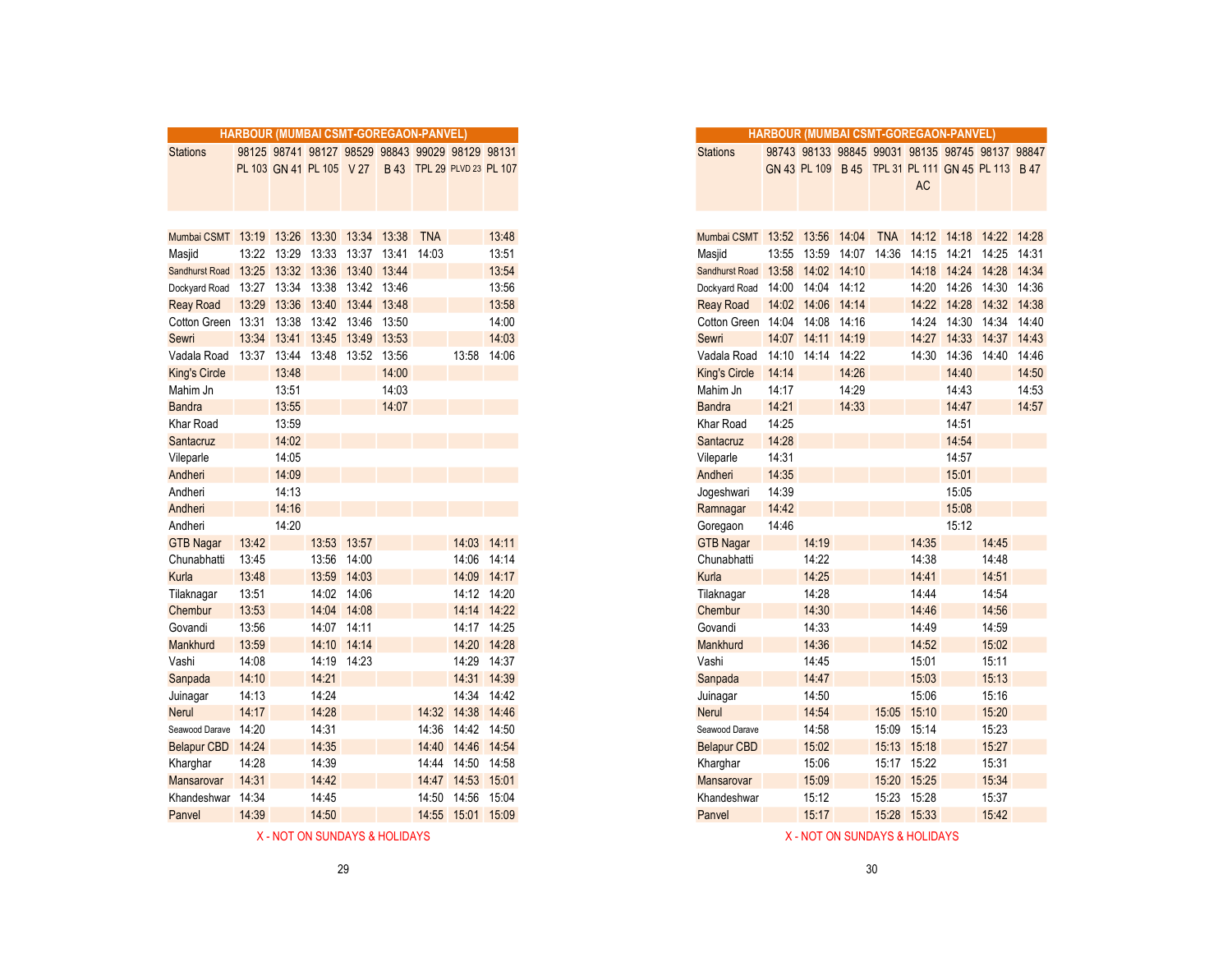|                      |       |             | <b>HARBOUR (MUMBAI CSMT-GOREGAON-PANVEL)</b> |                   |       |            |                                                 |             |
|----------------------|-------|-------------|----------------------------------------------|-------------------|-------|------------|-------------------------------------------------|-------------|
| <b>Stations</b>      |       |             |                                              |                   |       |            | 98125 98741 98127 98529 98843 99029 98129 98131 |             |
|                      |       |             | PL 103 GN 41 PL 105 V 27                     |                   |       |            | B 43 TPL 29 PLVD 23 PL 107                      |             |
| Mumbai CSMT          |       |             | 13:19 13:26 13:30 13:34 13:38                |                   |       | <b>TNA</b> |                                                 | 13:48       |
| Masjid               |       | 13:22 13:29 |                                              | 13:33 13:37       | 13:41 | 14:03      |                                                 | 13:51       |
| Sandhurst Road       | 13:25 | 13:32       | 13:36 13:40                                  |                   | 13:44 |            |                                                 | 13:54       |
| Dockyard Road        | 13:27 | 13:34       |                                              | 13:38 13:42 13:46 |       |            |                                                 | 13:56       |
| <b>Reay Road</b>     | 13:29 |             | 13:36 13:40 13:44 13:48                      |                   |       |            |                                                 | 13:58       |
| Cotton Green         | 13:31 | 13:38       | 13:42 13:46 13:50                            |                   |       |            |                                                 | 14:00       |
| Sewri                | 13:34 | 13:41       |                                              | 13:45 13:49 13:53 |       |            |                                                 | 14:03       |
| Vadala Road          | 13:37 | 13:44       |                                              | 13:48 13:52 13:56 |       |            | 13:58 14:06                                     |             |
| <b>King's Circle</b> |       | 13:48       |                                              |                   | 14:00 |            |                                                 |             |
| Mahim Jn             |       | 13:51       |                                              |                   | 14:03 |            |                                                 |             |
| <b>Bandra</b>        |       | 13:55       |                                              |                   | 14:07 |            |                                                 |             |
| Khar Road            |       | 13:59       |                                              |                   |       |            |                                                 |             |
| Santacruz            |       | 14:02       |                                              |                   |       |            |                                                 |             |
| Vileparle            |       | 14:05       |                                              |                   |       |            |                                                 |             |
| Andheri              |       | 14:09       |                                              |                   |       |            |                                                 |             |
| Andheri              |       | 14:13       |                                              |                   |       |            |                                                 |             |
| Andheri              |       | 14:16       |                                              |                   |       |            |                                                 |             |
| Andheri              |       | 14:20       |                                              |                   |       |            |                                                 |             |
| <b>GTB Nagar</b>     | 13:42 |             | 13:53 13:57                                  |                   |       |            | 14:03 14:11                                     |             |
| Chunabhatti          | 13:45 |             | 13:56                                        | 14:00             |       |            | 14:06                                           | 14:14       |
| Kurla                | 13:48 |             |                                              | 13:59 14:03       |       |            |                                                 | 14:09 14:17 |
| Tilaknagar           | 13:51 |             |                                              | 14:02 14:06       |       |            | 14:12 14:20                                     |             |
| Chembur              | 13:53 |             |                                              | 14:04 14:08       |       |            | 14:14 14:22                                     |             |
| Govandi              | 13:56 |             | 14:07 14:11                                  |                   |       |            | 14:17 14:25                                     |             |
| Mankhurd             | 13:59 |             | 14:10 14:14                                  |                   |       |            | 14:20                                           | 14:28       |
| Vashi                | 14:08 |             |                                              | 14:19 14:23       |       |            | 14:29                                           | 14:37       |
| Sanpada              | 14:10 |             | 14:21                                        |                   |       |            | 14:31 14:39                                     |             |
| Juinagar             | 14:13 |             | 14:24                                        |                   |       |            | 14:34 14:42                                     |             |
| <b>Nerul</b>         | 14:17 |             | 14:28                                        |                   |       |            | 14:32 14:38 14:46                               |             |
| Seawood Darave       | 14:20 |             | 14:31                                        |                   |       | 14:36      | 14:42 14:50                                     |             |
| <b>Belapur CBD</b>   | 14:24 |             | 14:35                                        |                   |       | 14:40      | 14:46                                           | 14:54       |
| Kharghar             | 14:28 |             | 14:39                                        |                   |       |            | 14:44 14:50 14:58                               |             |
| Mansarovar           | 14:31 |             | 14:42                                        |                   |       |            | 14:47 14:53 15:01                               |             |
| Khandeshwar          | 14:34 |             | 14:45                                        |                   |       | 14:50      | 14:56                                           | 15:04       |
| Panvel               | 14:39 |             | 14:50                                        |                   |       |            | 14:55 15:01 15:09                               |             |

| - NOT ON SUNDAYS & HOLIDAYS |  |
|-----------------------------|--|
|-----------------------------|--|

|                                            |             |                   |                   | HARBOUR (MUMBAI CSMT-GOREGAON-PANVEL) |       |            |                                                     |             |
|--------------------------------------------|-------------|-------------------|-------------------|---------------------------------------|-------|------------|-----------------------------------------------------|-------------|
|                                            |             |                   |                   |                                       |       |            |                                                     |             |
| <b>Stations</b>                            |             |                   |                   |                                       |       |            | 98125 98741 98127 98529 98843 99029 98129 98131     |             |
|                                            |             |                   |                   |                                       |       |            | PL 103 GN 41 PL 105 V 27 B 43 TPL 29 PLVD 23 PL 107 |             |
|                                            |             |                   |                   |                                       |       |            |                                                     |             |
| Mumbai CSMT 13:19 13:26 13:30 13:34 13:38  |             |                   |                   |                                       |       | <b>TNA</b> |                                                     | 13:48       |
| Masjid                                     |             | 13:22 13:29       | 13:33             | 13:37 13:41                           |       | 14:03      |                                                     | 13:51       |
| Sandhurst Road                             |             | 13:25 13:32 13:36 |                   | 13:40 13:44                           |       |            |                                                     | 13:54       |
| Dockyard Road                              | 13:27 13:34 |                   | 13:38             | 13:42 13:46                           |       |            |                                                     | 13:56       |
| <b>Reay Road</b>                           |             |                   |                   | 13:29 13:36 13:40 13:44 13:48         |       |            |                                                     | 13:58       |
| Cotton Green 13:31 13:38 13:42 13:46 13:50 |             |                   |                   |                                       |       |            |                                                     | 14:00       |
| Sewri                                      |             |                   | 13:34 13:41 13:45 | 13:49 13:53                           |       |            |                                                     | 14:03       |
| Vadala Road                                | 13:37 13:44 |                   | 13:48             | 13:52 13:56                           |       |            |                                                     | 13:58 14:06 |
| King's Circle                              |             | 13:48             |                   |                                       | 14:00 |            |                                                     |             |
| Mahim Jn                                   |             | 13:51             |                   |                                       | 14:03 |            |                                                     |             |
| <b>Bandra</b>                              |             | 13:55             |                   |                                       | 14:07 |            |                                                     |             |
| Khar Road                                  |             | 13:59             |                   |                                       |       |            |                                                     |             |
| Santacruz                                  |             | 14:02             |                   |                                       |       |            |                                                     |             |
| Vileparle                                  |             | 14:05             |                   |                                       |       |            |                                                     |             |
| Andheri                                    |             | 14:09             |                   |                                       |       |            |                                                     |             |
| Andheri                                    |             | 14:13             |                   |                                       |       |            |                                                     |             |
| Andheri                                    |             | 14:16             |                   |                                       |       |            |                                                     |             |
| Andheri                                    |             | 14:20             |                   |                                       |       |            |                                                     |             |
| <b>GTB Nagar</b>                           | 13:42       |                   |                   | 13:53 13:57                           |       |            |                                                     | 14:03 14:11 |
| Chunabhatti                                | 13:45       |                   | 13:56             | 14:00                                 |       |            |                                                     | 14:06 14:14 |
| Kurla                                      | 13:48       |                   |                   | 13:59 14:03                           |       |            |                                                     | 14:09 14:17 |
| Tilaknagar                                 | 13:51       |                   |                   | 14:02 14:06                           |       |            |                                                     | 14:12 14:20 |
| Chembur                                    | 13:53       |                   |                   | 14:04 14:08                           |       |            |                                                     | 14:14 14:22 |
| Govandi                                    | 13:56       |                   |                   | 14:07 14:11                           |       |            |                                                     | 14:17 14:25 |
| Mankhurd                                   | 13:59       |                   | 14:10             | 14:14                                 |       |            |                                                     | 14:20 14:28 |
| Vashi                                      | 14:08       |                   |                   | 14:19 14:23                           |       |            |                                                     | 14:29 14:37 |
| Sanpada                                    | 14:10       |                   | 14:21             |                                       |       |            |                                                     | 14:31 14:39 |
| Juinagar                                   | 14:13       |                   | 14:24             |                                       |       |            |                                                     | 14:34 14:42 |
| Nerul                                      | 14:17       |                   | 14:28             |                                       |       | 14:32      | 14:38 14:46                                         |             |
| Seawood Darave                             | 14:20       |                   | 14:31             |                                       |       | 14:36      | 14:42 14:50                                         |             |
| <b>Belapur CBD</b>                         | 14:24       |                   | 14:35             |                                       |       | 14:40      |                                                     | 14:46 14:54 |
| Kharghar                                   | 14:28       |                   | 14:39             |                                       |       |            | 14:44 14:50 14:58                                   |             |
|                                            | 14:31       |                   | 14:42             |                                       |       |            |                                                     |             |
| Mansarovar                                 |             |                   |                   |                                       |       |            | 14:47 14:53 15:01                                   |             |
| Khandeshwar                                | 14:34       |                   | 14:45             |                                       |       |            | 14:50 14:56 15:04                                   |             |
| Panvel                                     | 14:39       |                   | 14:50             |                                       |       |            | 14:55 15:01 15:09                                   |             |

X - NOT ON SUNDAYS & HOLIDAYS AND SUNDAYS AND LOCAL THE SUNDAYS AND ALL THE SUNDAYS AND MUNICIPALLY ASSESSMENT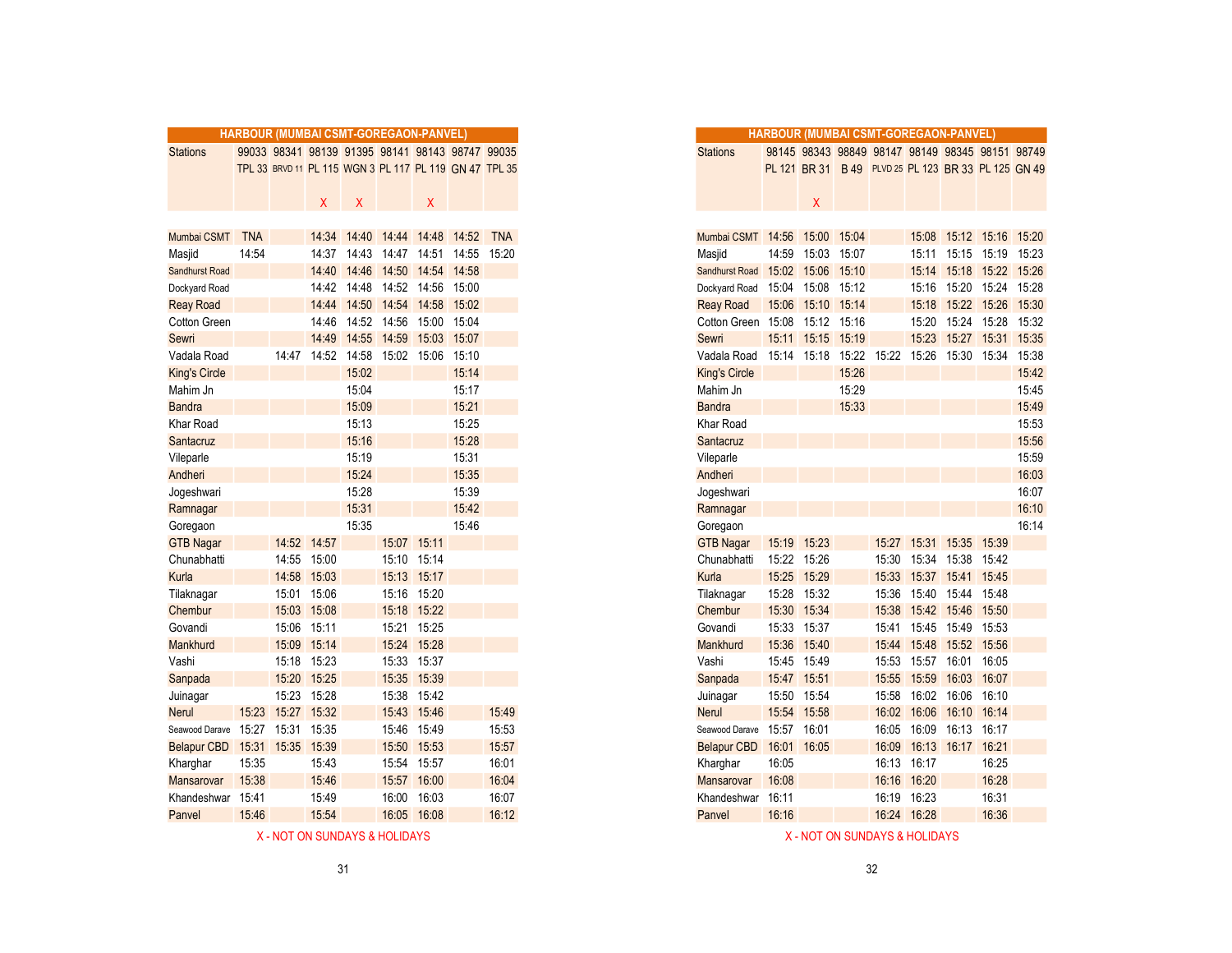|                       |            |             |             |             |       | HARBOUR (MUMBAI CSMT-GOREGAON-PANVEL)                  |             |            |
|-----------------------|------------|-------------|-------------|-------------|-------|--------------------------------------------------------|-------------|------------|
| <b>Stations</b>       |            |             |             |             |       | 99033 98341 98139 91395 98141 98143 98747 99035        |             |            |
|                       |            |             |             |             |       | TPL 33 BRVD 11 PL 115 WGN 3 PL 117 PL 119 GN 47 TPL 35 |             |            |
|                       |            |             |             |             |       |                                                        |             |            |
|                       |            |             | X.          | X           |       | Χ                                                      |             |            |
|                       |            |             |             |             |       |                                                        |             |            |
| Mumbai CSMT           | <b>TNA</b> |             |             | 14:34 14:40 | 14:44 |                                                        | 14:48 14:52 | <b>TNA</b> |
| Masjid                | 14:54      |             |             | 14:37 14:43 | 14:47 | 14:51                                                  | 14:55       | 15:20      |
| <b>Sandhurst Road</b> |            |             |             | 14:40 14:46 |       | 14:50 14:54 14:58                                      |             |            |
| Dockyard Road         |            |             |             | 14:42 14:48 |       | 14:52 14:56 15:00                                      |             |            |
| <b>Reay Road</b>      |            |             |             | 14:44 14:50 | 14:54 | 14:58 15:02                                            |             |            |
| Cotton Green          |            |             | 14:46       | 14:52       | 14:56 | 15:00 15:04                                            |             |            |
| Sewri                 |            |             | 14:49       | 14:55       | 14:59 | 15:03                                                  | 15:07       |            |
| Vadala Road           |            |             | 14:47 14:52 | 14:58       | 15:02 | 15:06                                                  | 15:10       |            |
| <b>King's Circle</b>  |            |             |             | 15:02       |       |                                                        | 15:14       |            |
| Mahim Jn              |            |             |             | 15:04       |       |                                                        | 15:17       |            |
| <b>Bandra</b>         |            |             |             | 15:09       |       |                                                        | 15:21       |            |
| Khar Road             |            |             |             | 15:13       |       |                                                        | 15:25       |            |
| Santacruz             |            |             |             | 15:16       |       |                                                        | 15:28       |            |
| Vileparle             |            |             |             | 15:19       |       |                                                        | 15:31       |            |
| Andheri               |            |             |             | 15:24       |       |                                                        | 15:35       |            |
| Jogeshwari            |            |             |             | 15:28       |       |                                                        | 15:39       |            |
| Ramnagar              |            |             |             | 15:31       |       |                                                        | 15:42       |            |
| Goregaon              |            |             |             | 15:35       |       |                                                        | 15:46       |            |
| <b>GTB Nagar</b>      |            |             | 14:52 14:57 |             |       | 15:07 15:11                                            |             |            |
| Chunabhatti           |            |             | 14:55 15:00 |             |       | 15:10 15:14                                            |             |            |
| Kurla                 |            | 14:58       | 15:03       |             |       | 15:13 15:17                                            |             |            |
| Tilaknagar            |            | 15:01       | 15:06       |             |       | 15:16 15:20                                            |             |            |
| Chembur               |            | 15:03       | 15:08       |             | 15:18 | 15:22                                                  |             |            |
| Govandi               |            | 15:06       | 15:11       |             | 15:21 | 15:25                                                  |             |            |
| Mankhurd              |            |             | 15:09 15:14 |             |       | 15:24 15:28                                            |             |            |
| Vashi                 |            |             | 15:18 15:23 |             |       | 15:33 15:37                                            |             |            |
| Sanpada               |            | 15:20       | 15:25       |             |       | 15:35 15:39                                            |             |            |
| Juinagar              |            | 15:23       | 15:28       |             | 15:38 | 15:42                                                  |             |            |
| <b>Nerul</b>          | 15:23      | 15:27       | 15:32       |             | 15:43 | 15:46                                                  |             | 15:49      |
| Seawood Darave        | 15:27      | 15:31       | 15:35       |             | 15:46 | 15:49                                                  |             | 15:53      |
| <b>Belapur CBD</b>    | 15:31      | 15:35 15:39 |             |             | 15:50 | 15:53                                                  |             | 15:57      |
| Kharghar              | 15:35      |             | 15:43       |             |       | 15:54 15:57                                            |             | 16:01      |
| Mansarovar            | 15:38      |             | 15:46       |             | 15:57 | 16:00                                                  |             | 16:04      |
|                       | 15:41      |             | 15:49       |             | 16:00 | 16:03                                                  |             | 16:07      |
| Khandeshwar           | 15:46      |             | 15:54       |             | 16:05 | 16:08                                                  |             | 16:12      |
| Panvel                |            |             |             |             |       |                                                        |             |            |

|                          |            |             |             |       |             | HARBOUR (MUMBAI CSMT-GOREGAON-PANVEL)                  |             |            |
|--------------------------|------------|-------------|-------------|-------|-------------|--------------------------------------------------------|-------------|------------|
| <b>Stations</b>          |            |             |             |       |             | 99033 98341 98139 91395 98141 98143 98747 99035        |             |            |
|                          |            |             |             |       |             | TPL 33 BRVD 11 PL 115 WGN 3 PL 117 PL 119 GN 47 TPL 35 |             |            |
|                          |            |             |             |       |             |                                                        |             |            |
|                          |            |             | X.          | X     |             | X                                                      |             |            |
|                          |            |             |             |       |             |                                                        |             |            |
| Mumbai CSMT              | <b>TNA</b> |             |             |       |             | 14:34 14:40 14:44 14:48                                | 14:52       | <b>TNA</b> |
| Masjid                   | 14:54      |             | 14:37       | 14:43 | 14:47       |                                                        | 14:51 14:55 | 15:20      |
| <b>Sandhurst Road</b>    |            |             | 14:40       | 14:46 | 14:50       | 14:54 14:58                                            |             |            |
| Dockyard Road            |            |             | 14:42       | 14:48 | 14:52       | 14:56                                                  | 15:00       |            |
| <b>Reay Road</b>         |            |             | 14:44       |       |             | 14:50 14:54 14:58 15:02                                |             |            |
| Cotton Green             |            |             | 14:46       |       | 14:52 14:56 | 15:00 15:04                                            |             |            |
| Sewri                    |            |             | 14:49       |       |             | 14:55 14:59 15:03 15:07                                |             |            |
| Vadala Road              |            | 14:47       | 14:52       | 14:58 |             | 15:02 15:06                                            | 15:10       |            |
| King's Circle            |            |             |             | 15:02 |             |                                                        | 15:14       |            |
| Mahim Jn                 |            |             |             | 15:04 |             |                                                        | 15:17       |            |
| <b>Bandra</b>            |            |             |             | 15:09 |             |                                                        | 15:21       |            |
| Khar Road                |            |             |             | 15:13 |             |                                                        | 15:25       |            |
| Santacruz                |            |             |             | 15:16 |             |                                                        | 15:28       |            |
| Vileparle                |            |             |             | 15:19 |             |                                                        | 15:31       |            |
| Andheri                  |            |             |             | 15:24 |             |                                                        | 15:35       |            |
| Jogeshwari               |            |             |             | 15:28 |             |                                                        | 15:39       |            |
| Ramnagar                 |            |             |             | 15:31 |             |                                                        | 15:42       |            |
| Goregaon                 |            |             |             | 15:35 |             |                                                        | 15:46       |            |
| <b>GTB Nagar</b>         |            | 14:52       | 14:57       |       | 15:07       | 15:11                                                  |             |            |
| Chunabhatti              |            | 14:55       | 15:00       |       | 15:10       | 15:14                                                  |             |            |
| Kurla                    |            | 14:58       | 15:03       |       | 15:13       | 15:17                                                  |             |            |
| Tilaknagar               |            |             | 15:01 15:06 |       |             | 15:16 15:20                                            |             |            |
| Chembur                  |            |             | 15:03 15:08 |       |             | 15:18 15:22                                            |             |            |
| Govandi                  |            |             | 15:06 15:11 |       | 15:21       | 15:25                                                  |             |            |
| <b>Mankhurd</b>          |            | 15:09       | 15:14       |       |             | 15:24 15:28                                            |             |            |
| Vashi                    |            | 15:18       | 15:23       |       | 15:33       | 15:37                                                  |             |            |
| Sanpada                  |            | 15:20       | 15:25       |       | 15:35       | 15:39                                                  |             |            |
| Juinagar                 |            | 15:23       | 15:28       |       | 15:38       | 15:42                                                  |             |            |
| Nerul                    | 15:23      | 15:27       | 15:32       |       | 15:43       | 15:46                                                  |             | 15:49      |
| Seawood Darave           | 15:27      | 15:31       | 15:35       |       |             | 15:46 15:49                                            |             | 15:53      |
| <b>Belapur CBD</b>       |            | 15:31 15:35 | 15:39       |       | 15:50       | 15:53                                                  |             | 15:57      |
| Kharghar                 | 15:35      |             | 15:43       |       |             | 15:54 15:57                                            |             | 16:01      |
| Mansarovar               | 15:38      |             | 15:46       |       |             | 15:57 16:00                                            |             | 16:04      |
| وعارضها والمستورة الملاز | 45.44      |             | 45.40       |       |             | $10.00 \times 10.02$                                   |             | 10.07      |

Panvel 16:16 16:24 16:28 16:36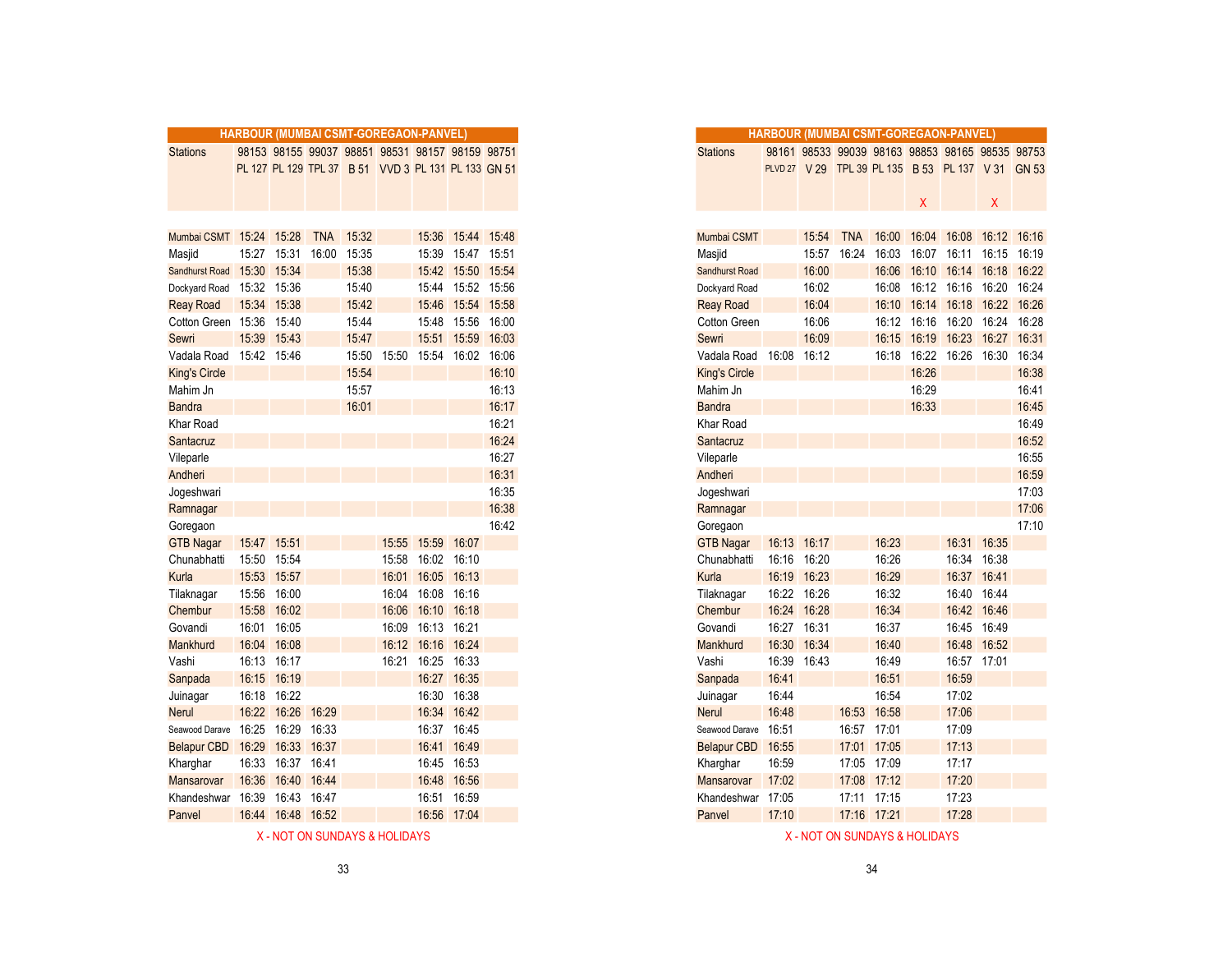|                         |       |                   |       |           | HARBOUR (MUMBAI CSMT-GOREGAON-PANVEL)               |       |                     |       |
|-------------------------|-------|-------------------|-------|-----------|-----------------------------------------------------|-------|---------------------|-------|
| <b>Stations</b>         |       |                   |       |           | 98153 98155 99037 98851 98531 98157 98159 98751     |       |                     |       |
|                         |       |                   |       |           | PL 127 PL 129 TPL 37 B 51 VVD 3 PL 131 PL 133 GN 51 |       |                     |       |
|                         |       |                   |       |           |                                                     |       |                     |       |
|                         |       |                   |       |           |                                                     |       |                     |       |
|                         |       |                   |       |           |                                                     |       |                     |       |
| Mumbai CSMT 15:24 15:28 |       |                   |       | TNA 15:32 |                                                     |       | 15:36 15:44 15:48   |       |
| Masjid                  | 15:27 | 15:31             | 16:00 | 15:35     |                                                     |       | 15:39  15:47  15:51 |       |
| Sandhurst Road          | 15:30 | 15:34             |       | 15:38     |                                                     | 15:42 | 15:50 15:54         |       |
| Dockyard Road           |       | 15:32 15:36       |       | 15:40     |                                                     |       | 15:44 15:52 15:56   |       |
| <b>Reay Road</b>        | 15:34 | 15:38             |       | 15:42     |                                                     | 15:46 | 15:54               | 15:58 |
| Cotton Green 15:36      |       | 15:40             |       | 15:44     |                                                     | 15:48 | 15:56               | 16:00 |
| Sewri                   | 15:39 | 15:43             |       | 15:47     |                                                     | 15:51 | 15:59               | 16:03 |
| Vadala Road             |       | 15:42 15:46       |       | 15:50     | 15:50                                               | 15:54 | 16:02               | 16:06 |
| <b>King's Circle</b>    |       |                   |       | 15:54     |                                                     |       |                     | 16:10 |
| Mahim Jn                |       |                   |       | 15:57     |                                                     |       |                     | 16:13 |
| <b>Bandra</b>           |       |                   |       | 16:01     |                                                     |       |                     | 16:17 |
| <b>Khar Road</b>        |       |                   |       |           |                                                     |       |                     | 16:21 |
| Santacruz               |       |                   |       |           |                                                     |       |                     | 16:24 |
| Vileparle               |       |                   |       |           |                                                     |       |                     | 16:27 |
| Andheri                 |       |                   |       |           |                                                     |       |                     | 16:31 |
| Jogeshwari              |       |                   |       |           |                                                     |       |                     | 16:35 |
| Ramnagar                |       |                   |       |           |                                                     |       |                     | 16:38 |
| Goregaon                |       |                   |       |           |                                                     |       |                     | 16:42 |
| <b>GTB Nagar</b>        | 15:47 | 15:51             |       |           | 15:55                                               | 15:59 | 16:07               |       |
| Chunabhatti             | 15:50 | 15:54             |       |           | 15:58                                               | 16:02 | 16:10               |       |
| Kurla                   |       | 15:53 15:57       |       |           | 16:01                                               | 16:05 | 16:13               |       |
| Tilaknagar              | 15:56 | 16:00             |       |           | 16:04                                               | 16:08 | 16:16               |       |
| Chembur                 | 15:58 | 16:02             |       |           | 16:06                                               |       | 16:10 16:18         |       |
| Govandi                 | 16:01 | 16:05             |       |           | 16:09                                               | 16:13 | 16:21               |       |
| Mankhurd                | 16:04 | 16:08             |       |           | 16:12                                               | 16:16 | 16:24               |       |
| Vashi                   | 16:13 | 16:17             |       |           | 16:21                                               |       | 16:25 16:33         |       |
| Sanpada                 | 16:15 | 16:19             |       |           |                                                     |       | 16:27 16:35         |       |
| Juinagar                | 16:18 | 16:22             |       |           |                                                     |       | 16:30 16:38         |       |
| <b>Nerul</b>            | 16:22 | 16:26             | 16:29 |           |                                                     |       | 16:34 16:42         |       |
| Seawood Darave          | 16:25 | 16:29             | 16:33 |           |                                                     | 16:37 | 16:45               |       |
| Belapur CBD             | 16:29 | 16:33 16:37       |       |           |                                                     | 16:41 | 16:49               |       |
| Kharghar                | 16:33 | 16:37 16:41       |       |           |                                                     |       | 16:45 16:53         |       |
| Mansarovar              | 16:36 | 16:40 16:44       |       |           |                                                     | 16:48 | 16:56               |       |
| Khandeshwar             | 16:39 | 16:43 16:47       |       |           |                                                     | 16:51 | 16:59               |       |
| Panvel                  |       | 16:44 16:48 16:52 |       |           |                                                     |       | 16:56 17:04         |       |

| <b>Stations</b><br>98153 98155 99037 98851 98531 98157 98159 98751<br>PL 127 PL 129 TPL 37 B 51 VVD 3 PL 131 PL 133 GN 51<br>Mumbai CSMT 15:24 15:28<br>15:27 15:31<br>Masjid<br>15:30 15:34<br>Sandhurst Road<br>15:32 15:36<br>Dockyard Road<br>15:34 15:38<br><b>Reay Road</b><br>Cotton Green 15:36<br>15:39<br>Sewri<br>Vadala Road<br>15:42 15:46<br>King's Circle<br>Mahim Jn<br><b>Bandra</b><br>Khar Road<br>Santacruz<br>Vileparle<br>Andheri<br>Jogeshwari<br>Ramnagar<br>Goregaon<br><b>GTB Nagar</b><br>15:47 15:51<br>Chunabhatti<br>15:50<br>15:53 15:57<br>Kurla<br>15:56<br>Tilaknagar<br>15:58<br>Chembur<br>16:01<br>Govandi<br>16:04 16:08<br>Mankhurd<br>16:13 16:17<br>Vashi<br>16:15 16:19<br>Sanpada<br>16:18<br>Juinagar<br>16:22<br>Nerul<br>16:25<br>Seawood Darave<br><b>Belapur CBD</b><br>16:29<br>Kharghar<br>16:33<br>16:36<br>Mansarovar<br>16:39<br>Khandeshwar |        | HARBOUR (MUMBAI CSMT-GOREGAON-PANVEL |             |            |       |             |                   |                   |       |
|---------------------------------------------------------------------------------------------------------------------------------------------------------------------------------------------------------------------------------------------------------------------------------------------------------------------------------------------------------------------------------------------------------------------------------------------------------------------------------------------------------------------------------------------------------------------------------------------------------------------------------------------------------------------------------------------------------------------------------------------------------------------------------------------------------------------------------------------------------------------------------------------------|--------|--------------------------------------|-------------|------------|-------|-------------|-------------------|-------------------|-------|
|                                                                                                                                                                                                                                                                                                                                                                                                                                                                                                                                                                                                                                                                                                                                                                                                                                                                                                   |        |                                      |             |            |       |             |                   |                   |       |
|                                                                                                                                                                                                                                                                                                                                                                                                                                                                                                                                                                                                                                                                                                                                                                                                                                                                                                   |        |                                      |             |            |       |             |                   |                   |       |
|                                                                                                                                                                                                                                                                                                                                                                                                                                                                                                                                                                                                                                                                                                                                                                                                                                                                                                   |        |                                      |             |            |       |             |                   |                   |       |
|                                                                                                                                                                                                                                                                                                                                                                                                                                                                                                                                                                                                                                                                                                                                                                                                                                                                                                   |        |                                      |             |            |       |             |                   |                   |       |
|                                                                                                                                                                                                                                                                                                                                                                                                                                                                                                                                                                                                                                                                                                                                                                                                                                                                                                   |        |                                      |             |            |       |             |                   |                   |       |
|                                                                                                                                                                                                                                                                                                                                                                                                                                                                                                                                                                                                                                                                                                                                                                                                                                                                                                   |        |                                      |             | <b>TNA</b> | 15:32 |             |                   | 15:36 15:44 15:48 |       |
|                                                                                                                                                                                                                                                                                                                                                                                                                                                                                                                                                                                                                                                                                                                                                                                                                                                                                                   |        |                                      |             | 16:00      | 15:35 |             | 15:39             | 15:47 15:51       |       |
|                                                                                                                                                                                                                                                                                                                                                                                                                                                                                                                                                                                                                                                                                                                                                                                                                                                                                                   |        |                                      |             |            | 15:38 |             |                   | 15:42 15:50 15:54 |       |
|                                                                                                                                                                                                                                                                                                                                                                                                                                                                                                                                                                                                                                                                                                                                                                                                                                                                                                   |        |                                      |             |            | 15:40 |             |                   | 15:44 15:52 15:56 |       |
|                                                                                                                                                                                                                                                                                                                                                                                                                                                                                                                                                                                                                                                                                                                                                                                                                                                                                                   |        |                                      |             |            | 15:42 |             | 15:46             | 15:54 15:58       |       |
|                                                                                                                                                                                                                                                                                                                                                                                                                                                                                                                                                                                                                                                                                                                                                                                                                                                                                                   |        |                                      | 15:40       |            | 15:44 |             | 15:48             | 15:56             | 16:00 |
|                                                                                                                                                                                                                                                                                                                                                                                                                                                                                                                                                                                                                                                                                                                                                                                                                                                                                                   |        |                                      | 15:43       |            | 15:47 |             | 15:51             | 15:59 16:03       |       |
|                                                                                                                                                                                                                                                                                                                                                                                                                                                                                                                                                                                                                                                                                                                                                                                                                                                                                                   |        |                                      |             |            |       | 15:50 15:50 |                   | 15:54 16:02       | 16:06 |
|                                                                                                                                                                                                                                                                                                                                                                                                                                                                                                                                                                                                                                                                                                                                                                                                                                                                                                   |        |                                      |             |            | 15:54 |             |                   |                   | 16:10 |
|                                                                                                                                                                                                                                                                                                                                                                                                                                                                                                                                                                                                                                                                                                                                                                                                                                                                                                   |        |                                      |             |            | 15:57 |             |                   |                   | 16:13 |
|                                                                                                                                                                                                                                                                                                                                                                                                                                                                                                                                                                                                                                                                                                                                                                                                                                                                                                   |        |                                      |             |            | 16:01 |             |                   |                   | 16:17 |
|                                                                                                                                                                                                                                                                                                                                                                                                                                                                                                                                                                                                                                                                                                                                                                                                                                                                                                   |        |                                      |             |            |       |             |                   |                   | 16:21 |
|                                                                                                                                                                                                                                                                                                                                                                                                                                                                                                                                                                                                                                                                                                                                                                                                                                                                                                   |        |                                      |             |            |       |             |                   |                   | 16:24 |
|                                                                                                                                                                                                                                                                                                                                                                                                                                                                                                                                                                                                                                                                                                                                                                                                                                                                                                   |        |                                      |             |            |       |             |                   |                   | 16:27 |
|                                                                                                                                                                                                                                                                                                                                                                                                                                                                                                                                                                                                                                                                                                                                                                                                                                                                                                   |        |                                      |             |            |       |             |                   |                   | 16:31 |
|                                                                                                                                                                                                                                                                                                                                                                                                                                                                                                                                                                                                                                                                                                                                                                                                                                                                                                   |        |                                      |             |            |       |             |                   |                   | 16:35 |
|                                                                                                                                                                                                                                                                                                                                                                                                                                                                                                                                                                                                                                                                                                                                                                                                                                                                                                   |        |                                      |             |            |       |             |                   |                   | 16:38 |
|                                                                                                                                                                                                                                                                                                                                                                                                                                                                                                                                                                                                                                                                                                                                                                                                                                                                                                   |        |                                      |             |            |       |             |                   |                   | 16:42 |
|                                                                                                                                                                                                                                                                                                                                                                                                                                                                                                                                                                                                                                                                                                                                                                                                                                                                                                   |        |                                      |             |            |       | 15:55       | 15:59 16:07       |                   |       |
|                                                                                                                                                                                                                                                                                                                                                                                                                                                                                                                                                                                                                                                                                                                                                                                                                                                                                                   |        |                                      | 15:54       |            |       |             | 15:58 16:02 16:10 |                   |       |
|                                                                                                                                                                                                                                                                                                                                                                                                                                                                                                                                                                                                                                                                                                                                                                                                                                                                                                   |        |                                      |             |            |       | 16:01       | 16:05             | 16:13             |       |
|                                                                                                                                                                                                                                                                                                                                                                                                                                                                                                                                                                                                                                                                                                                                                                                                                                                                                                   |        |                                      | 16:00       |            |       | 16:04       | 16:08             | 16:16             |       |
|                                                                                                                                                                                                                                                                                                                                                                                                                                                                                                                                                                                                                                                                                                                                                                                                                                                                                                   |        |                                      | 16:02       |            |       | 16:06       | 16:10             | 16:18             |       |
|                                                                                                                                                                                                                                                                                                                                                                                                                                                                                                                                                                                                                                                                                                                                                                                                                                                                                                   |        |                                      | 16:05       |            |       | 16:09       | 16:13             | 16:21             |       |
|                                                                                                                                                                                                                                                                                                                                                                                                                                                                                                                                                                                                                                                                                                                                                                                                                                                                                                   |        |                                      |             |            |       |             | 16:12 16:16 16:24 |                   |       |
|                                                                                                                                                                                                                                                                                                                                                                                                                                                                                                                                                                                                                                                                                                                                                                                                                                                                                                   |        |                                      |             |            |       |             | 16:21 16:25       | 16:33             |       |
|                                                                                                                                                                                                                                                                                                                                                                                                                                                                                                                                                                                                                                                                                                                                                                                                                                                                                                   |        |                                      |             |            |       |             | 16:27             | 16:35             |       |
|                                                                                                                                                                                                                                                                                                                                                                                                                                                                                                                                                                                                                                                                                                                                                                                                                                                                                                   |        |                                      | 16:22       |            |       |             | 16:30             | 16:38             |       |
|                                                                                                                                                                                                                                                                                                                                                                                                                                                                                                                                                                                                                                                                                                                                                                                                                                                                                                   |        |                                      | 16:26       | 16:29      |       |             | 16:34             | 16:42             |       |
|                                                                                                                                                                                                                                                                                                                                                                                                                                                                                                                                                                                                                                                                                                                                                                                                                                                                                                   |        |                                      | 16:29       | 16:33      |       |             | 16:37             | 16:45             |       |
|                                                                                                                                                                                                                                                                                                                                                                                                                                                                                                                                                                                                                                                                                                                                                                                                                                                                                                   |        |                                      | 16:33       | 16:37      |       |             | 16:41             | 16:49             |       |
|                                                                                                                                                                                                                                                                                                                                                                                                                                                                                                                                                                                                                                                                                                                                                                                                                                                                                                   |        |                                      | 16:37 16:41 |            |       |             | 16:45             | 16:53             |       |
|                                                                                                                                                                                                                                                                                                                                                                                                                                                                                                                                                                                                                                                                                                                                                                                                                                                                                                   |        |                                      | 16:40       | 16:44      |       |             | 16:48             | 16:56             |       |
|                                                                                                                                                                                                                                                                                                                                                                                                                                                                                                                                                                                                                                                                                                                                                                                                                                                                                                   |        |                                      | 16:43       | 16:47      |       |             | 16:51             | 16:59             |       |
| 16:44 16:48                                                                                                                                                                                                                                                                                                                                                                                                                                                                                                                                                                                                                                                                                                                                                                                                                                                                                       | Panvel |                                      |             | 16:52      |       |             |                   | 16:56 17:04       |       |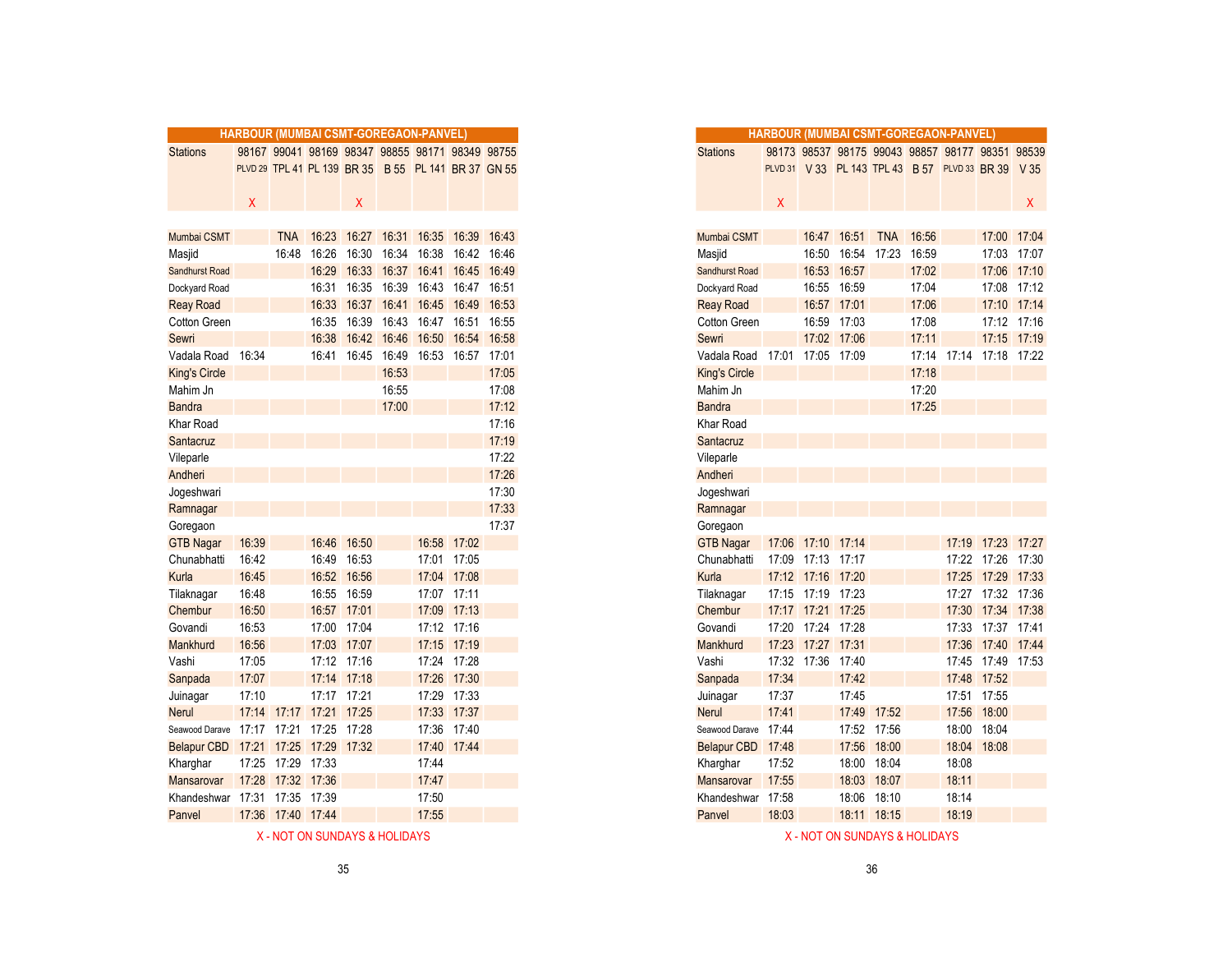|                      | HARBOUR (MUMBAI CSMT-GOREGAON-PANVEL) |                   |             |             |             |                                                     |                   |       |
|----------------------|---------------------------------------|-------------------|-------------|-------------|-------------|-----------------------------------------------------|-------------------|-------|
| <b>Stations</b>      |                                       |                   |             |             |             | 98167 99041 98169 98347 98855 98171 98349 98755     |                   |       |
|                      |                                       |                   |             |             |             | PLVD 29 TPL 41 PL 139 BR 35 B 55 PL 141 BR 37 GN 55 |                   |       |
|                      |                                       |                   |             |             |             |                                                     |                   |       |
|                      | X                                     |                   |             | X           |             |                                                     |                   |       |
|                      |                                       |                   |             |             |             |                                                     |                   |       |
| Mumbai CSMT          |                                       | <b>TNA</b>        |             | 16:23 16:27 | 16:31       |                                                     | 16:35 16:39 16:43 |       |
| Masjid               |                                       | 16:48             |             | 16:26 16:30 | 16:34       |                                                     | 16:38 16:42       | 16:46 |
| Sandhurst Road       |                                       |                   |             | 16:29 16:33 | 16:37       |                                                     | 16:41 16:45       | 16:49 |
| Dockyard Road        |                                       |                   |             | 16:31 16:35 | 16:39       |                                                     | 16:43 16:47 16:51 |       |
| <b>Reay Road</b>     |                                       |                   |             | 16:33 16:37 | 16:41       |                                                     | 16:45 16:49       | 16:53 |
| Cotton Green         |                                       |                   |             | 16:35 16:39 | 16:43       |                                                     | 16:47 16:51 16:55 |       |
| Sewri                |                                       |                   | 16:38       |             | 16:42 16:46 |                                                     | 16:50 16:54       | 16:58 |
| Vadala Road          | 16:34                                 |                   |             | 16:41 16:45 | 16:49       |                                                     | 16:53 16:57       | 17:01 |
| <b>King's Circle</b> |                                       |                   |             |             | 16:53       |                                                     |                   | 17:05 |
| Mahim Jn             |                                       |                   |             |             | 16:55       |                                                     |                   | 17:08 |
| <b>Bandra</b>        |                                       |                   |             |             | 17:00       |                                                     |                   | 17:12 |
| Khar Road            |                                       |                   |             |             |             |                                                     |                   | 17:16 |
| Santacruz            |                                       |                   |             |             |             |                                                     |                   | 17:19 |
| Vileparle            |                                       |                   |             |             |             |                                                     |                   | 17:22 |
| Andheri              |                                       |                   |             |             |             |                                                     |                   | 17:26 |
| Jogeshwari           |                                       |                   |             |             |             |                                                     |                   | 17:30 |
| Ramnagar             |                                       |                   |             |             |             |                                                     |                   | 17:33 |
| Goregaon             |                                       |                   |             |             |             |                                                     |                   | 17:37 |
| <b>GTB Nagar</b>     | 16:39                                 |                   | 16:46       | 16:50       |             |                                                     | 16:58 17:02       |       |
| Chunabhatti          | 16:42                                 |                   | 16:49       | 16:53       |             |                                                     | 17:01 17:05       |       |
| Kurla                | 16:45                                 |                   |             | 16:52 16:56 |             |                                                     | 17:04 17:08       |       |
| Tilaknagar           | 16:48                                 |                   |             | 16:55 16:59 |             |                                                     | 17:07 17:11       |       |
| Chembur              | 16:50                                 |                   |             | 16:57 17:01 |             |                                                     | 17:09 17:13       |       |
| Govandi              | 16:53                                 |                   |             | 17:00 17:04 |             |                                                     | 17:12 17:16       |       |
| Mankhurd             | 16:56                                 |                   |             | 17:03 17:07 |             |                                                     | 17:15 17:19       |       |
| Vashi                | 17:05                                 |                   |             | 17:12 17:16 |             |                                                     | 17:24 17:28       |       |
| Sanpada              | 17:07                                 |                   |             | 17:14 17:18 |             |                                                     | 17:26 17:30       |       |
| Juinagar             | 17:10                                 |                   |             | 17:17 17:21 |             |                                                     | 17:29 17:33       |       |
| <b>Nerul</b>         |                                       | 17:14 17:17       | 17:21 17:25 |             |             |                                                     | 17:33 17:37       |       |
| Seawood Darave       | 17:17 17:21                           |                   |             | 17:25 17:28 |             |                                                     | 17:36 17:40       |       |
| <b>Belapur CBD</b>   |                                       | 17:21 17:25       |             | 17:29 17:32 |             |                                                     | 17:40 17:44       |       |
| Kharghar             | 17:25                                 | 17:29             | 17:33       |             |             | 17:44                                               |                   |       |
| Mansarovar           |                                       | 17:28 17:32 17:36 |             |             |             | 17:47                                               |                   |       |
| Khandeshwar          |                                       | 17:31 17:35 17:39 |             |             |             | 17:50                                               |                   |       |
| Panvel               |                                       | 17:36 17:40 17:44 |             |             |             | 17:55                                               |                   |       |
|                      |                                       |                   |             |             |             |                                                     |                   |       |

|                               | <b>HARBOUR (MUMBAI CSMT-GOREGAON-PANVEL)</b> |                   |             |                                                     |             |                   |                         |       |
|-------------------------------|----------------------------------------------|-------------------|-------------|-----------------------------------------------------|-------------|-------------------|-------------------------|-------|
| <b>Stations</b>               |                                              |                   |             | 98167 99041 98169 98347 98855 98171 98349 98755     |             |                   |                         |       |
|                               |                                              |                   |             | PLVD 29 TPL 41 PL 139 BR 35 B 55 PL 141 BR 37 GN 55 |             |                   |                         |       |
|                               |                                              |                   |             |                                                     |             |                   |                         |       |
|                               | X.                                           |                   |             | Χ                                                   |             |                   |                         |       |
|                               |                                              |                   |             |                                                     |             |                   |                         |       |
| Mumbai CSMT                   |                                              | <b>TNA</b>        |             | 16:23 16:27                                         |             |                   | 16:31 16:35 16:39 16:43 |       |
| Masjid                        |                                              | 16:48             | 16:26       | 16:30                                               | 16:34       |                   | 16:38 16:42 16:46       |       |
| Sandhurst Road                |                                              |                   | 16:29       | 16:33                                               | 16:37       |                   | 16:41 16:45             | 16:49 |
| Dockyard Road                 |                                              |                   | 16:31       | 16:35                                               | 16:39       |                   | 16:43 16:47             | 16:51 |
| <b>Reay Road</b>              |                                              |                   | 16:33       | 16:37                                               |             | 16:41 16:45 16:49 |                         | 16:53 |
| Cotton Green                  |                                              |                   | 16:35       | 16:39                                               |             |                   | 16:43 16:47 16:51 16:55 |       |
| Sewri                         |                                              |                   | 16:38       |                                                     | 16:42 16:46 |                   | 16:50 16:54 16:58       |       |
| Vadala Road                   | 16:34                                        |                   | 16:41       | 16:45                                               | 16:49       |                   | 16:53 16:57 17:01       |       |
| <b>King's Circle</b>          |                                              |                   |             |                                                     | 16:53       |                   |                         | 17:05 |
| Mahim Jn                      |                                              |                   |             |                                                     | 16:55       |                   |                         | 17:08 |
| <b>Bandra</b>                 |                                              |                   |             |                                                     | 17:00       |                   |                         | 17:12 |
| Khar Road                     |                                              |                   |             |                                                     |             |                   |                         | 17:16 |
| Santacruz                     |                                              |                   |             |                                                     |             |                   |                         | 17:19 |
| Vileparle                     |                                              |                   |             |                                                     |             |                   |                         | 17:22 |
| Andheri                       |                                              |                   |             |                                                     |             |                   |                         | 17:26 |
| Jogeshwari                    |                                              |                   |             |                                                     |             |                   |                         | 17:30 |
| Ramnagar                      |                                              |                   |             |                                                     |             |                   |                         | 17:33 |
| Goregaon                      |                                              |                   |             |                                                     |             |                   |                         | 17:37 |
| <b>GTB Nagar</b>              | 16:39                                        |                   | 16:46       | 16:50                                               |             |                   | 16:58 17:02             |       |
| Chunabhatti                   | 16:42                                        |                   | 16:49       | 16:53                                               |             |                   | 17:01 17:05             |       |
| Kurla                         | 16:45                                        |                   |             | 16:52 16:56                                         |             |                   | 17:04 17:08             |       |
| Tilaknagar                    | 16:48                                        |                   | 16:55       | 16:59                                               |             |                   | 17:07 17:11             |       |
| Chembur                       | 16:50                                        |                   | 16:57       | 17:01                                               |             |                   | 17:09 17:13             |       |
| Govandi                       | 16:53                                        |                   | 17:00       | 17:04                                               |             |                   | 17:12 17:16             |       |
| Mankhurd                      | 16:56                                        |                   | 17:03       | 17:07                                               |             |                   | 17:15 17:19             |       |
| Vashi                         | 17:05                                        |                   |             | 17:12 17:16                                         |             |                   | 17:24 17:28             |       |
| Sanpada                       | 17:07                                        |                   |             | 17:14 17:18                                         |             |                   | 17:26 17:30             |       |
| Juinagar                      | 17:10                                        |                   | 17:17 17:21 |                                                     |             |                   | 17:29 17:33             |       |
| Nerul                         | 17:14                                        | 17:17             | 17:21       | 17:25                                               |             |                   | 17:33 17:37             |       |
| Seawood Darave                | 17:17                                        | 17:21             | 17:25 17:28 |                                                     |             |                   | 17:36 17:40             |       |
| <b>Belapur CBD</b>            | 17:21                                        | 17:25             | 17:29       | 17:32                                               |             |                   | 17:40 17:44             |       |
| Kharghar                      | 17:25                                        | 17:29             | 17:33       |                                                     |             | 17:44             |                         |       |
| Mansarovar                    |                                              | 17:28 17:32 17:36 |             |                                                     |             | 17:47             |                         |       |
| Khandeshwar 17:31 17:35 17:39 |                                              |                   |             |                                                     |             | 17:50             |                         |       |

X - NOT ON SUNDAYS & HOLIDAYS AND SUNDAYS A HOLIDAYS ASSOCIATED ASSOCIATED AS A SUNDAYS A HOLIDAYS A HOLIDAYS

Panvel 18:03 18:11 18:15 18:19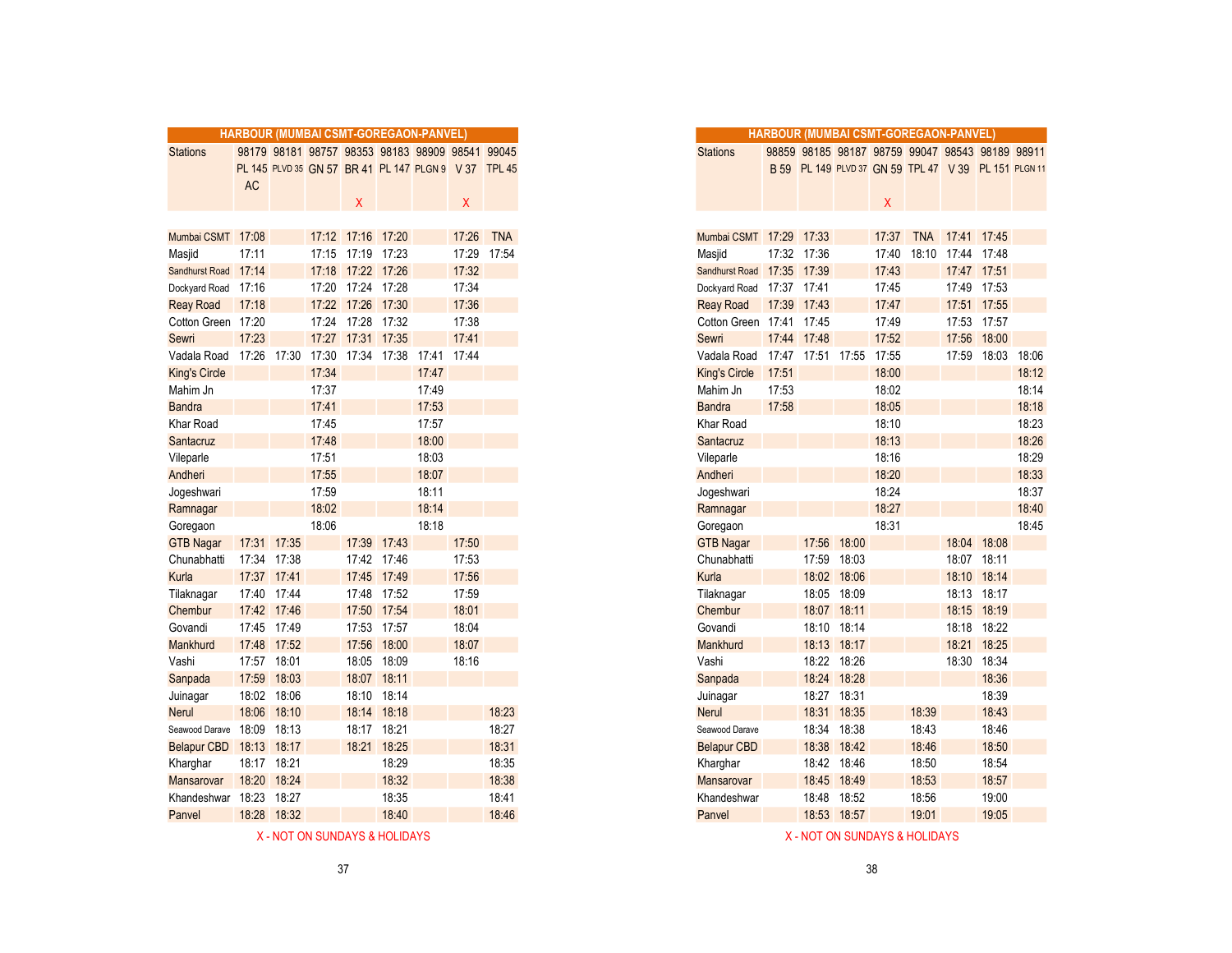|                      | <b>HARBOUR (MUMBAI CSMT-GOREGAON-PANVEL)</b> |             |       |                   |             |                                                      |       |            |
|----------------------|----------------------------------------------|-------------|-------|-------------------|-------------|------------------------------------------------------|-------|------------|
| <b>Stations</b>      |                                              |             |       |                   |             | 98179 98181 98757 98353 98183 98909 98541 99045      |       |            |
|                      |                                              |             |       |                   |             | PL 145 PLVD 35 GN 57 BR 41 PL 147 PLGN 9 V 37 TPL 45 |       |            |
|                      | <b>AC</b>                                    |             |       |                   |             |                                                      |       |            |
|                      |                                              |             |       | X                 |             |                                                      | X     |            |
|                      |                                              |             |       |                   |             |                                                      |       |            |
| Mumbai CSMT 17:08    |                                              |             |       | 17:12 17:16 17:20 |             |                                                      | 17:26 | <b>TNA</b> |
| Masjid               | 17:11                                        |             |       | 17:15 17:19       | 17:23       |                                                      | 17:29 | 17:54      |
| Sandhurst Road       | 17:14                                        |             |       | 17:18 17:22 17:26 |             |                                                      | 17:32 |            |
| Dockyard Road        | 17:16                                        |             |       | 17:20 17:24 17:28 |             |                                                      | 17:34 |            |
| <b>Reay Road</b>     | 17:18                                        |             |       | 17:22 17:26 17:30 |             |                                                      | 17:36 |            |
| Cotton Green         | 17:20                                        |             |       | 17:24 17:28       | 17:32       |                                                      | 17:38 |            |
| Sewri                | 17:23                                        |             |       | 17:27 17:31       | 17:35       |                                                      | 17:41 |            |
| Vadala Road          | 17:26                                        | 17:30       | 17:30 | 17:34             | 17:38       | 17:41                                                | 17:44 |            |
| <b>King's Circle</b> |                                              |             | 17:34 |                   |             | 17:47                                                |       |            |
| Mahim Jn             |                                              |             | 17:37 |                   |             | 17:49                                                |       |            |
| <b>Bandra</b>        |                                              |             | 17:41 |                   |             | 17:53                                                |       |            |
| Khar Road            |                                              |             | 17:45 |                   |             | 17:57                                                |       |            |
| Santacruz            |                                              |             | 17:48 |                   |             | 18:00                                                |       |            |
| Vileparle            |                                              |             | 17:51 |                   |             | 18:03                                                |       |            |
| Andheri              |                                              |             | 17:55 |                   |             | 18:07                                                |       |            |
| Jogeshwari           |                                              |             | 17:59 |                   |             | 18:11                                                |       |            |
| Ramnagar             |                                              |             | 18:02 |                   |             | 18:14                                                |       |            |
| Goregaon             |                                              |             | 18:06 |                   |             | 18:18                                                |       |            |
| <b>GTB Nagar</b>     |                                              | 17:31 17:35 |       | 17:39             | 17:43       |                                                      | 17:50 |            |
| Chunabhatti          |                                              | 17:34 17:38 |       |                   | 17:42 17:46 |                                                      | 17:53 |            |
| Kurla                | 17:37 17:41                                  |             |       | 17:45             | 17:49       |                                                      | 17:56 |            |
| Tilaknagar           |                                              | 17:40 17:44 |       | 17:48             | 17:52       |                                                      | 17:59 |            |
| Chembur              |                                              | 17:42 17:46 |       | 17:50             | 17:54       |                                                      | 18:01 |            |
| Govandi              |                                              | 17:45 17:49 |       | 17:53             | 17:57       |                                                      | 18:04 |            |
| Mankhurd             |                                              | 17:48 17:52 |       | 17:56             | 18:00       |                                                      | 18:07 |            |
| Vashi                |                                              | 17:57 18:01 |       |                   | 18:05 18:09 |                                                      | 18:16 |            |
| Sanpada              | 17:59                                        | 18:03       |       |                   | 18:07 18:11 |                                                      |       |            |
| Juinagar             | 18:02                                        | 18:06       |       | 18:10             | 18:14       |                                                      |       |            |
| Nerul                | 18:06                                        | 18:10       |       | 18:14             | 18:18       |                                                      |       | 18:23      |
| Seawood Darave       | 18:09                                        | 18:13       |       |                   | 18:17 18:21 |                                                      |       | 18:27      |
| <b>Belapur CBD</b>   |                                              | 18:13 18:17 |       |                   | 18:21 18:25 |                                                      |       | 18:31      |
| Kharghar             |                                              | 18:17 18:21 |       |                   | 18:29       |                                                      |       | 18:35      |
| Mansarovar           |                                              | 18:20 18:24 |       |                   | 18:32       |                                                      |       | 18:38      |
| Khandeshwar          | 18:23                                        | 18:27       |       |                   | 18:35       |                                                      |       | 18:41      |
| Panvel               |                                              | 18:28 18:32 |       |                   | 18:40       |                                                      |       | 18:46      |
|                      |                                              |             |       |                   |             |                                                      |       |            |

| 18:32 | 18:38 |
|-------|-------|
| 18:35 | 18:41 |
| 18:40 | 18:46 |
|       |       |

| X - NOT ON SUNDAYS & HOLIDAYS |  |
|-------------------------------|--|
|-------------------------------|--|

|                       |             |             |       |                   |             | <b>HARBOUR (MUMBAI CSMT-GOREGAON-PANVEL)</b>         |       |             |
|-----------------------|-------------|-------------|-------|-------------------|-------------|------------------------------------------------------|-------|-------------|
| <b>Stations</b>       |             |             |       |                   |             | 98179 98181 98757 98353 98183 98909 98541 99045      |       |             |
|                       |             |             |       |                   |             | PL 145 PLVD 35 GN 57 BR 41 PL 147 PLGN 9 V 37 TPL 45 |       |             |
|                       | <b>AC</b>   |             |       |                   |             |                                                      |       |             |
|                       |             |             |       | X                 |             |                                                      | Χ     |             |
|                       |             |             |       |                   |             |                                                      |       |             |
| Mumbai CSMT 17:08     |             |             |       | 17:12 17:16 17:20 |             |                                                      | 17:26 | <b>TNA</b>  |
| Masjid                | 17:11       |             |       | 17:15 17:19 17:23 |             |                                                      |       | 17:29 17:54 |
| <b>Sandhurst Road</b> | 17:14       |             |       | 17:18 17:22 17:26 |             |                                                      | 17:32 |             |
| Dockyard Road         | 17:16       |             |       | 17:20 17:24 17:28 |             |                                                      | 17:34 |             |
|                       |             |             |       | 17:22 17:26 17:30 |             |                                                      | 17:36 |             |
| Reay Road             | 17:18       |             |       |                   |             |                                                      |       |             |
| Cotton Green 17:20    |             |             |       | 17:24 17:28       | 17:32       |                                                      | 17:38 |             |
| Sewri                 | 17:23       |             | 17:27 | 17:31 17:35       |             |                                                      | 17:41 |             |
| Vadala Road           | 17:26       | 17:30       | 17:30 |                   | 17:34 17:38 | 17:41                                                | 17:44 |             |
| King's Circle         |             |             | 17:34 |                   |             | 17:47                                                |       |             |
| Mahim Jn              |             |             | 17:37 |                   |             | 17:49                                                |       |             |
| Bandra                |             |             | 17:41 |                   |             | 17:53                                                |       |             |
| Khar Road             |             |             | 17:45 |                   |             | 17:57                                                |       |             |
| Santacruz             |             |             | 17:48 |                   |             | 18:00                                                |       |             |
| Vileparle             |             |             | 17:51 |                   |             | 18:03                                                |       |             |
| Andheri               |             |             | 17:55 |                   |             | 18:07                                                |       |             |
| Jogeshwari            |             |             | 17:59 |                   |             | 18:11                                                |       |             |
| Ramnagar              |             |             | 18:02 |                   |             | 18:14                                                |       |             |
| Goregaon              |             |             | 18:06 |                   |             | 18:18                                                |       |             |
| <b>GTB Nagar</b>      |             | 17:31 17:35 |       |                   | 17:39 17:43 |                                                      | 17:50 |             |
| Chunabhatti           | 17:34 17:38 |             |       |                   | 17:42 17:46 |                                                      | 17:53 |             |
| Kurla                 | 17:37 17:41 |             |       |                   | 17:45 17:49 |                                                      | 17:56 |             |
| Tilaknagar            | 17:40       | 17:44       |       | 17:48             | 17:52       |                                                      | 17:59 |             |
| Chembur               |             | 17:42 17:46 |       | 17:50             | 17:54       |                                                      | 18:01 |             |
| Govandi               | 17:45       | 17:49       |       |                   | 17:53 17:57 |                                                      | 18:04 |             |
| <b>Mankhurd</b>       | 17:48       | 17:52       |       | 17:56             | 18:00       |                                                      | 18:07 |             |
| Vashi                 | 17:57 18:01 |             |       |                   | 18:05 18:09 |                                                      | 18:16 |             |
| Sanpada               | 17:59       | 18:03       |       | 18:07             | 18:11       |                                                      |       |             |
| Juinagar              | 18:02       | 18:06       |       | 18:10             | 18:14       |                                                      |       |             |
| Nerul                 | 18:06       | 18:10       |       |                   | 18:14 18:18 |                                                      |       | 18:23       |
| Seawood Darave        |             | 18:09 18:13 |       |                   | 18:17 18:21 |                                                      |       | 18:27       |
| <b>Belapur CBD</b>    | 18:13 18:17 |             |       |                   | 18:21 18:25 |                                                      |       | 18:31       |
| Kharghar              | 18:17 18:21 |             |       |                   | 18:29       |                                                      |       | 18:35       |
| Mansarovar            | 18:20       | 18:24       |       |                   | 18:32       |                                                      |       | 18:38       |
| Khandeshwar           | 18:23       | 18:27       |       |                   | 18:35       |                                                      |       | 18:41       |
| Panvel                |             | 18:28 18:32 |       |                   | 18:40       |                                                      |       | 18:46       |
|                       |             |             |       |                   |             |                                                      |       |             |

X - NOT ON SUNDAYS & HOLIDAYS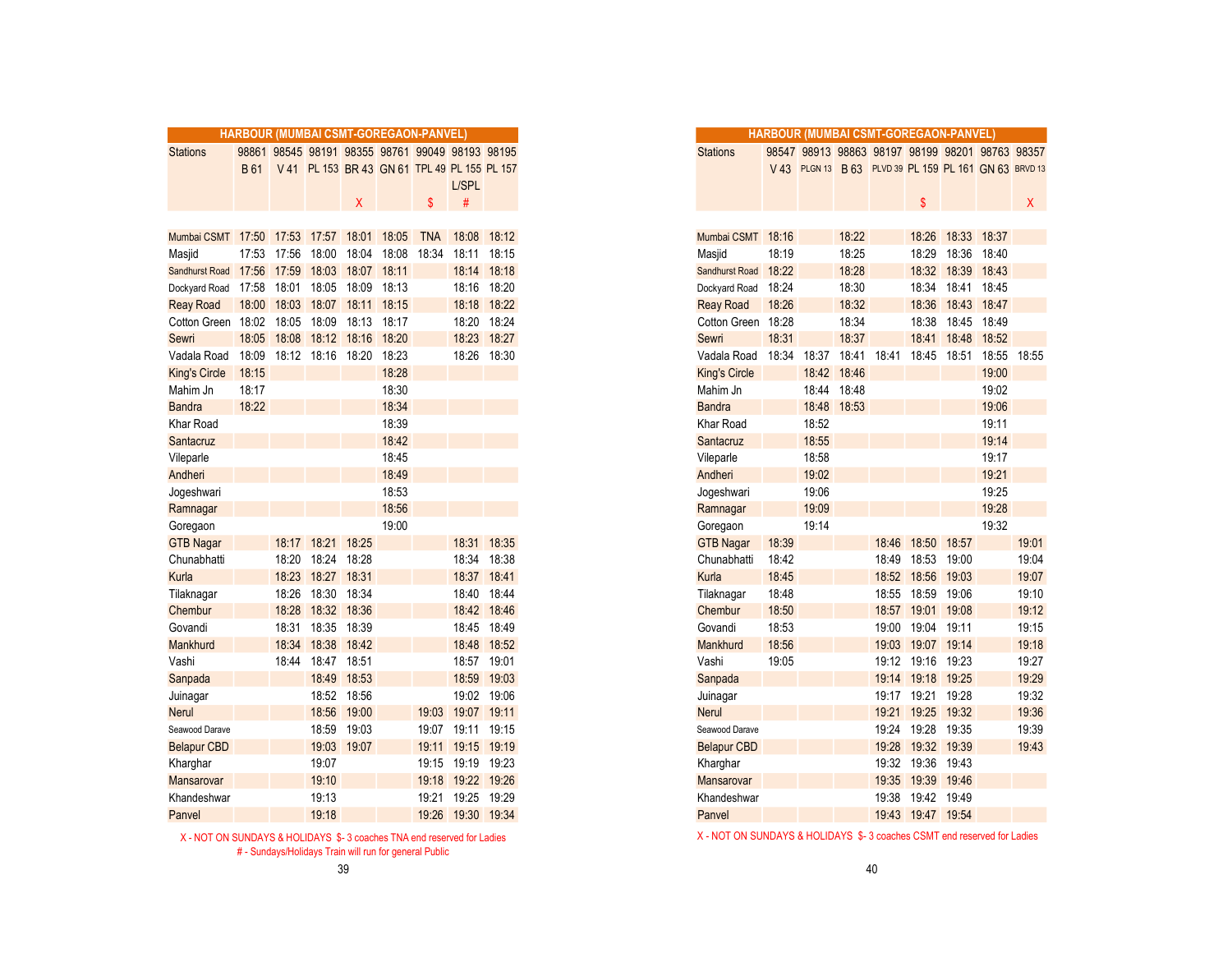|                                           |       |       |                         |             |             | <b>HARBOUR (MUMBAI CSMT-GOREGAON-PANVEL)</b>    |             |             |
|-------------------------------------------|-------|-------|-------------------------|-------------|-------------|-------------------------------------------------|-------------|-------------|
| <b>Stations</b>                           |       |       |                         |             |             | 98861 98545 98191 98355 98761 99049 98193 98195 |             |             |
|                                           | B 61  |       |                         |             |             | V 41 PL 153 BR 43 GN 61 TPL 49 PL 155 PL 157    |             |             |
|                                           |       |       |                         |             |             |                                                 | L/SPL       |             |
|                                           |       |       |                         | X.          |             | $\mathbf{s}$                                    | #           |             |
|                                           |       |       |                         |             |             |                                                 |             |             |
| Mumbai CSMT 17:50 17:53 17:57 18:01 18:05 |       |       |                         |             |             | <b>TNA</b>                                      | 18:08 18:12 |             |
| Masjid                                    | 17:53 | 17:56 | 18:00                   |             | 18:04 18:08 | 18:34                                           | 18:11       | 18:15       |
| <b>Sandhurst Road</b>                     | 17:56 | 17:59 |                         | 18:03 18:07 | 18:11       |                                                 | 18:14       | 18:18       |
| Dockyard Road                             | 17:58 | 18:01 | 18:05                   | 18:09       | 18:13       |                                                 | 18:16       | 18:20       |
| <b>Reay Road</b>                          | 18:00 |       | 18:03 18:07 18:11 18:15 |             |             |                                                 |             | 18:18 18:22 |
| Cotton Green                              | 18:02 | 18:05 | 18:09                   |             | 18:13 18:17 |                                                 | 18:20 18:24 |             |
| Sewri                                     | 18:05 |       | 18:08 18:12 18:16       |             | 18:20       |                                                 | 18:23       | 18:27       |
| Vadala Road                               | 18:09 |       | 18:12 18:16 18:20       |             | 18:23       |                                                 | 18:26 18:30 |             |
| <b>King's Circle</b>                      | 18:15 |       |                         |             | 18:28       |                                                 |             |             |
| Mahim Jn                                  | 18:17 |       |                         |             | 18:30       |                                                 |             |             |
| <b>Bandra</b>                             | 18:22 |       |                         |             | 18:34       |                                                 |             |             |
| Khar Road                                 |       |       |                         |             | 18:39       |                                                 |             |             |
| Santacruz                                 |       |       |                         |             | 18:42       |                                                 |             |             |
| Vileparle                                 |       |       |                         |             | 18:45       |                                                 |             |             |
| Andheri                                   |       |       |                         |             | 18:49       |                                                 |             |             |
| Jogeshwari                                |       |       |                         |             | 18:53       |                                                 |             |             |
| Ramnagar                                  |       |       |                         |             | 18:56       |                                                 |             |             |
| Goregaon                                  |       |       |                         |             | 19:00       |                                                 |             |             |
| <b>GTB Nagar</b>                          |       |       | 18:17 18:21             | 18:25       |             |                                                 | 18:31       | 18:35       |
| Chunabhatti                               |       | 18:20 | 18:24                   | 18:28       |             |                                                 | 18:34       | 18:38       |
| Kurla                                     |       | 18:23 | 18:27                   | 18:31       |             |                                                 | 18:37       | 18:41       |
| Tilaknagar                                |       | 18:26 | 18:30 18:34             |             |             |                                                 | 18:40 18:44 |             |
| Chembur                                   |       | 18:28 |                         | 18:32 18:36 |             |                                                 | 18:42       | 18:46       |
| Govandi                                   |       | 18:31 | 18:35                   | 18:39       |             |                                                 | 18:45 18:49 |             |
| Mankhurd                                  |       | 18:34 | 18:38                   | 18:42       |             |                                                 | 18:48       | 18:52       |
| Vashi                                     |       | 18:44 | 18:47                   | 18:51       |             |                                                 | 18:57       | 19:01       |
| Sanpada                                   |       |       |                         | 18:49 18:53 |             |                                                 |             | 18:59 19:03 |
| Juinagar                                  |       |       |                         | 18:52 18:56 |             |                                                 | 19:02 19:06 |             |
| Nerul                                     |       |       | 18:56                   | 19:00       |             | 19:03                                           | 19:07 19:11 |             |
| Seawood Darave                            |       |       | 18:59                   | 19:03       |             | 19:07                                           | 19:11       | 19:15       |
| <b>Belapur CBD</b>                        |       |       | 19:03                   | 19:07       |             | 19:11                                           | 19:15       | 19:19       |
| Kharghar                                  |       |       | 19:07                   |             |             | 19:15                                           | 19:19       | 19:23       |
| Mansarovar                                |       |       | 19:10                   |             |             | 19:18                                           | 19:22 19:26 |             |
| Khandeshwar                               |       |       | 19:13                   |             |             | 19:21                                           | 19:25 19:29 |             |
| Panvel                                    |       |       | 19:18                   |             |             | 19:26                                           | 19:30 19:34 |             |

# - Sundays/Holidays Train will run for general Public

| ×                | ۰.          |
|------------------|-------------|
|                  |             |
| I<br>I<br>$\sim$ | I<br>$\sim$ |
|                  |             |

|                               |       | <b>HARBOUR (MUMBAI CSMT-GOREGAON-PANVEL)</b>    |                                              |             |       |            |                   |             |
|-------------------------------|-------|-------------------------------------------------|----------------------------------------------|-------------|-------|------------|-------------------|-------------|
| <b>Stations</b>               |       | 98861 98545 98191 98355 98761 99049 98193 98195 |                                              |             |       |            |                   |             |
|                               | B 61  |                                                 | V 41 PL 153 BR 43 GN 61 TPL 49 PL 155 PL 157 |             |       |            |                   |             |
|                               |       |                                                 |                                              |             |       |            | L/SPL             |             |
|                               |       |                                                 |                                              | X           |       | \$         | #                 |             |
|                               |       |                                                 |                                              |             |       |            |                   |             |
| Mumbai CSMT 17:50 17:53 17:57 |       |                                                 |                                              | 18:01 18:05 |       | <b>TNA</b> |                   | 18:08 18:12 |
| Masjid                        | 17:53 | 17:56                                           | 18:00                                        | 18:04       | 18:08 | 18:34      | 18:11             | 18:15       |
| <b>Sandhurst Road</b>         | 17:56 | 17:59                                           | 18:03                                        | 18:07       | 18:11 |            |                   | 18:14 18:18 |
| Dockyard Road                 | 17:58 |                                                 | 18:01 18:05 18:09 18:13                      |             |       |            |                   | 18:16 18:20 |
| <b>Reay Road</b>              | 18:00 | 18:03                                           | 18:07                                        | 18:11 18:15 |       |            |                   | 18:18 18:22 |
| Cotton Green 18:02            |       | 18:05                                           | 18:09                                        | 18:13       | 18:17 |            | 18:20 18:24       |             |
| Sewri                         | 18:05 | 18:08                                           | 18:12                                        | 18:16       | 18:20 |            |                   | 18:23 18:27 |
| Vadala Road                   | 18:09 |                                                 | 18:12 18:16 18:20                            |             | 18:23 |            | 18:26 18:30       |             |
| King's Circle                 | 18:15 |                                                 |                                              |             | 18:28 |            |                   |             |
| Mahim Jn                      | 18:17 |                                                 |                                              |             | 18:30 |            |                   |             |
| <b>Bandra</b>                 | 18:22 |                                                 |                                              |             | 18:34 |            |                   |             |
| Khar Road                     |       |                                                 |                                              |             | 18:39 |            |                   |             |
| Santacruz                     |       |                                                 |                                              |             | 18:42 |            |                   |             |
| Vileparle                     |       |                                                 |                                              |             | 18:45 |            |                   |             |
| Andheri                       |       |                                                 |                                              |             | 18:49 |            |                   |             |
| Jogeshwari                    |       |                                                 |                                              |             | 18:53 |            |                   |             |
| Ramnagar                      |       |                                                 |                                              |             | 18:56 |            |                   |             |
| Goregaon                      |       |                                                 |                                              |             | 19:00 |            |                   |             |
| <b>GTB Nagar</b>              |       | 18:17                                           | 18:21                                        | 18:25       |       |            |                   | 18:31 18:35 |
| Chunabhatti                   |       | 18:20                                           | 18:24                                        | 18:28       |       |            | 18:34 18:38       |             |
| Kurla                         |       | 18:23                                           | 18:27                                        | 18:31       |       |            | 18:37 18:41       |             |
| Tilaknagar                    |       | 18:26                                           | 18:30                                        | 18:34       |       |            | 18:40             | 18:44       |
| Chembur                       |       | 18:28                                           | 18:32 18:36                                  |             |       |            |                   | 18:42 18:46 |
| Govandi                       |       |                                                 | 18:31 18:35 18:39                            |             |       |            |                   | 18:45 18:49 |
| Mankhurd                      |       | 18:34                                           | 18:38 18:42                                  |             |       |            |                   | 18:48 18:52 |
| Vashi                         |       | 18:44                                           | 18:47                                        | 18:51       |       |            | 18:57 19:01       |             |
| Sanpada                       |       |                                                 | 18:49                                        | 18:53       |       |            | 18:59             | 19:03       |
| Juinagar                      |       |                                                 | 18:52 18:56                                  |             |       |            |                   | 19:02 19:06 |
| Nerul                         |       |                                                 | 18:56                                        | 19:00       |       | 19:03      | 19:07 19:11       |             |
| Seawood Darave                |       |                                                 | 18:59                                        | 19:03       |       | 19:07      | 19:11 19:15       |             |
| <b>Belapur CBD</b>            |       |                                                 | 19:03                                        | 19:07       |       | 19:11      | 19:15 19:19       |             |
| Kharghar                      |       |                                                 | 19:07                                        |             |       |            | 19:15 19:19       | 19:23       |
| Mansarovar                    |       |                                                 | 19:10                                        |             |       |            | 19:18 19:22 19:26 |             |
| Khandeshwar                   |       |                                                 | 19:13                                        |             |       | 19:21      | 19:25 19:29       |             |
| Panvel                        |       |                                                 | 19:18                                        |             |       |            | 19:26 19:30 19:34 |             |
|                               |       |                                                 |                                              |             |       |            |                   |             |

X - NOT ON SUNDAYS & HOLIDAYS \$-3 coaches TNA end reserved for Ladies X - NOT ON SUNDAYS & HOLIDAYS \$-3 coaches CSMT end reserved for Ladies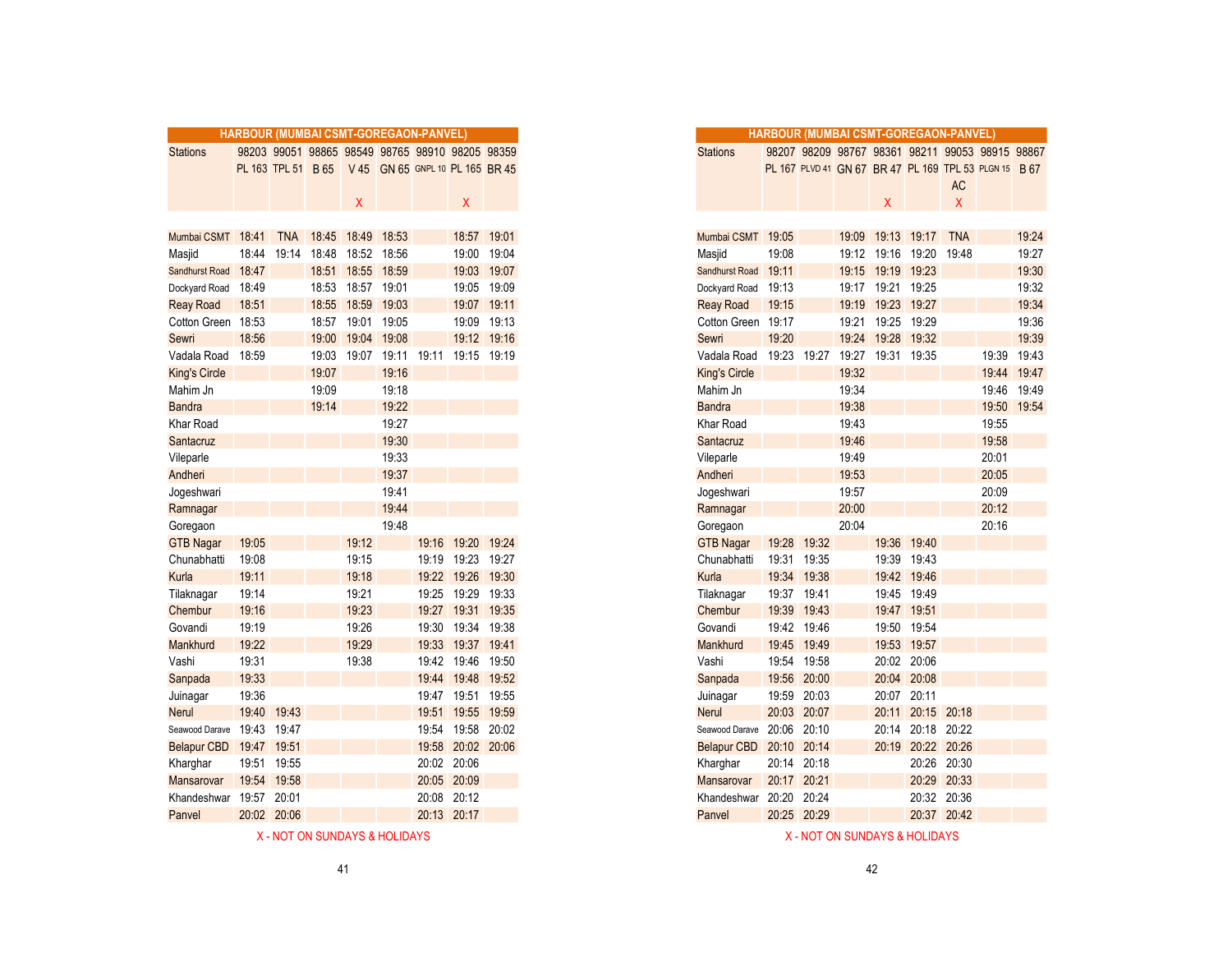|                      | HARBOUR (MUMBAI CSMT-GOREGAON-PANVEL) |             |       |                   |                                                    |       |                     |             |
|----------------------|---------------------------------------|-------------|-------|-------------------|----------------------------------------------------|-------|---------------------|-------------|
| <b>Stations</b>      |                                       |             |       |                   | 98203 99051 98865 98549 98765 98910 98205 98359    |       |                     |             |
|                      |                                       |             |       |                   | PL 163 TPL 51 B 65 V 45 GN 65 GNPL 10 PL 165 BR 45 |       |                     |             |
|                      |                                       |             |       |                   |                                                    |       |                     |             |
|                      |                                       |             |       | X                 |                                                    |       | Χ                   |             |
|                      |                                       |             |       |                   |                                                    |       |                     |             |
| Mumbai CSMT 18:41    |                                       | <b>TNA</b>  |       | 18:45 18:49 18:53 |                                                    |       |                     | 18:57 19:01 |
| Masjid               | 18:44                                 | 19:14       | 18:48 |                   | 18:52 18:56                                        |       | 19:00               | 19:04       |
| Sandhurst Road       | 18:47                                 |             | 18:51 | 18:55             | 18:59                                              |       |                     | 19:03 19:07 |
| Dockyard Road        | 18:49                                 |             | 18:53 | 18:57 19:01       |                                                    |       |                     | 19:05 19:09 |
| <b>Reay Road</b>     | 18:51                                 |             | 18:55 | 18:59             | 19:03                                              |       |                     | 19:07 19:11 |
| Cotton Green 18:53   |                                       |             |       | 18:57 19:01       | 19:05                                              |       |                     | 19:09 19:13 |
| Sewri                | 18:56                                 |             | 19:00 |                   | 19:04 19:08                                        |       |                     | 19:12 19:16 |
| Vadala Road          | 18:59                                 |             | 19:03 | 19:07             | 19:11                                              | 19:11 | 19:15 19:19         |             |
| <b>King's Circle</b> |                                       |             | 19:07 |                   | 19:16                                              |       |                     |             |
| Mahim Jn             |                                       |             | 19:09 |                   | 19:18                                              |       |                     |             |
| <b>Bandra</b>        |                                       |             | 19:14 |                   | 19:22                                              |       |                     |             |
| Khar Road            |                                       |             |       |                   | 19:27                                              |       |                     |             |
| Santacruz            |                                       |             |       |                   | 19:30                                              |       |                     |             |
| Vileparle            |                                       |             |       |                   | 19:33                                              |       |                     |             |
| Andheri              |                                       |             |       |                   | 19:37                                              |       |                     |             |
| Jogeshwari           |                                       |             |       |                   | 19:41                                              |       |                     |             |
| Ramnagar             |                                       |             |       |                   | 19:44                                              |       |                     |             |
| Goregaon             |                                       |             |       |                   | 19:48                                              |       |                     |             |
| <b>GTB Nagar</b>     | 19:05                                 |             |       | 19:12             |                                                    |       | 19:16 19:20 19:24   |             |
| Chunabhatti          | 19:08                                 |             |       | 19:15             |                                                    | 19:19 | 19:23 19:27         |             |
| Kurla                | 19:11                                 |             |       | 19:18             |                                                    |       | 19:22 19:26 19:30   |             |
| Tilaknagar           | 19:14                                 |             |       | 19:21             |                                                    |       | 19:25 19:29 19:33   |             |
| Chembur              | 19:16                                 |             |       | 19:23             |                                                    |       | 19:27 19:31 19:35   |             |
| Govandi              | 19:19                                 |             |       | 19:26             |                                                    |       | 19:30  19:34  19:38 |             |
| Mankhurd             | 19:22                                 |             |       | 19:29             |                                                    | 19:33 | 19:37 19:41         |             |
| Vashi                | 19:31                                 |             |       | 19:38             |                                                    | 19:42 | 19:46               | 19:50       |
| Sanpada              | 19:33                                 |             |       |                   |                                                    |       | 19:44 19:48 19:52   |             |
| Juinagar             | 19:36                                 |             |       |                   |                                                    |       | 19:47 19:51 19:55   |             |
| <b>Nerul</b>         |                                       | 19:40 19:43 |       |                   |                                                    | 19:51 | 19:55 19:59         |             |
| Seawood Darave 19:43 |                                       | 19:47       |       |                   |                                                    |       | 19:54 19:58         | 20:02       |
| Belapur CBD 19:47    |                                       | 19:51       |       |                   |                                                    | 19:58 |                     | 20:02 20:06 |
| Kharghar             | 19:51                                 | 19:55       |       |                   |                                                    |       | 20:02 20:06         |             |
| Mansarovar           |                                       | 19:54 19:58 |       |                   |                                                    |       | 20:05 20:09         |             |
| Khandeshwar          |                                       | 19:57 20:01 |       |                   |                                                    |       | 20:08 20:12         |             |
| Panvel               |                                       | 20:02 20:06 |       |                   |                                                    |       | 20:13 20:17         |             |
|                      |                                       |             |       |                   |                                                    |       |                     |             |

|                       |             |             |           |                   | HARBOUR (MUMBAI CSMT-GOREGAON-PANVEL)              |       |                   |             |
|-----------------------|-------------|-------------|-----------|-------------------|----------------------------------------------------|-------|-------------------|-------------|
| Stations              |             |             |           |                   | 98203 99051 98865 98549 98765 98910 98205 98359    |       |                   |             |
|                       |             |             |           |                   | PL 163 TPL 51 B 65 V 45 GN 65 GNPL 10 PL 165 BR 45 |       |                   |             |
|                       |             |             |           |                   |                                                    |       |                   |             |
|                       |             |             |           | X                 |                                                    |       | X                 |             |
|                       |             |             |           |                   |                                                    |       |                   |             |
| Mumbai CSMT 18:41     |             |             | TNA 18:45 | 18:49 18:53       |                                                    |       |                   | 18:57 19:01 |
| Masjid                | 18:44       | 19:14       | 18:48     |                   | 18:52 18:56                                        |       |                   | 19:00 19:04 |
| <b>Sandhurst Road</b> | 18:47       |             | 18:51     |                   | 18:55 18:59                                        |       |                   | 19:03 19:07 |
| Dockyard Road         | 18:49       |             | 18:53     | 18:57             | 19:01                                              |       |                   | 19:05 19:09 |
| <b>Reay Road</b>      | 18:51       |             | 18:55     | 18:59 19:03       |                                                    |       |                   | 19:07 19:11 |
| Cotton Green          | 18:53       |             |           | 18:57 19:01 19:05 |                                                    |       |                   | 19:09 19:13 |
| Sewri                 | 18:56       |             | 19:00     |                   | 19:04 19:08                                        |       |                   | 19:12 19:16 |
| Vadala Road           | 18:59       |             | 19:03     |                   | 19:07 19:11 19:11 19:15 19:19                      |       |                   |             |
| King's Circle         |             |             | 19:07     |                   | 19:16                                              |       |                   |             |
| Mahim Jn              |             |             | 19:09     |                   | 19:18                                              |       |                   |             |
| Bandra                |             |             | 19:14     |                   | 19:22                                              |       |                   |             |
| Khar Road             |             |             |           |                   | 19:27                                              |       |                   |             |
| Santacruz             |             |             |           |                   | 19:30                                              |       |                   |             |
| Vileparle             |             |             |           |                   | 19:33                                              |       |                   |             |
| Andheri               |             |             |           |                   | 19:37                                              |       |                   |             |
| Jogeshwari            |             |             |           |                   | 19:41                                              |       |                   |             |
| Ramnagar              |             |             |           |                   | 19:44                                              |       |                   |             |
| Goregaon              |             |             |           |                   | 19:48                                              |       |                   |             |
| <b>GTB Nagar</b>      | 19:05       |             |           | 19:12             |                                                    |       | 19:16 19:20 19:24 |             |
| Chunabhatti           | 19:08       |             |           | 19:15             |                                                    |       | 19:19 19:23 19:27 |             |
| Kurla                 | 19:11       |             |           | 19:18             |                                                    |       | 19:22 19:26 19:30 |             |
| Tilaknagar            | 19:14       |             |           | 19:21             |                                                    |       | 19:25 19:29 19:33 |             |
| Chembur               | 19:16       |             |           | 19:23             |                                                    | 19:27 | 19:31 19:35       |             |
| Govandi               | 19:19       |             |           | 19:26             |                                                    | 19:30 | 19:34             | 19:38       |
| Mankhurd              | 19:22       |             |           | 19:29             |                                                    |       | 19:33 19:37 19:41 |             |
| Vashi                 | 19:31       |             |           | 19:38             |                                                    |       | 19:42 19:46 19:50 |             |
| Sanpada               | 19:33       |             |           |                   |                                                    | 19:44 | 19:48             | 19:52       |
| Juinagar              | 19:36       |             |           |                   |                                                    |       | 19:47 19:51 19:55 |             |
| Nerul                 | 19:40       | 19:43       |           |                   |                                                    | 19:51 |                   | 19:55 19:59 |
| Seawood Darave        | 19:43       | 19:47       |           |                   |                                                    |       | 19:54 19:58 20:02 |             |
| <b>Belapur CBD</b>    | 19:47 19:51 |             |           |                   |                                                    |       | 19:58 20:02 20:06 |             |
| Kharghar              |             | 19:51 19:55 |           |                   |                                                    |       | 20:02 20:06       |             |
| Mansarovar            |             | 19:54 19:58 |           |                   |                                                    |       | 20:05 20:09       |             |
|                       | 19:57 20:01 |             |           |                   |                                                    |       |                   |             |
| Khandeshwar           |             |             |           |                   |                                                    |       | 20:08 20:12       |             |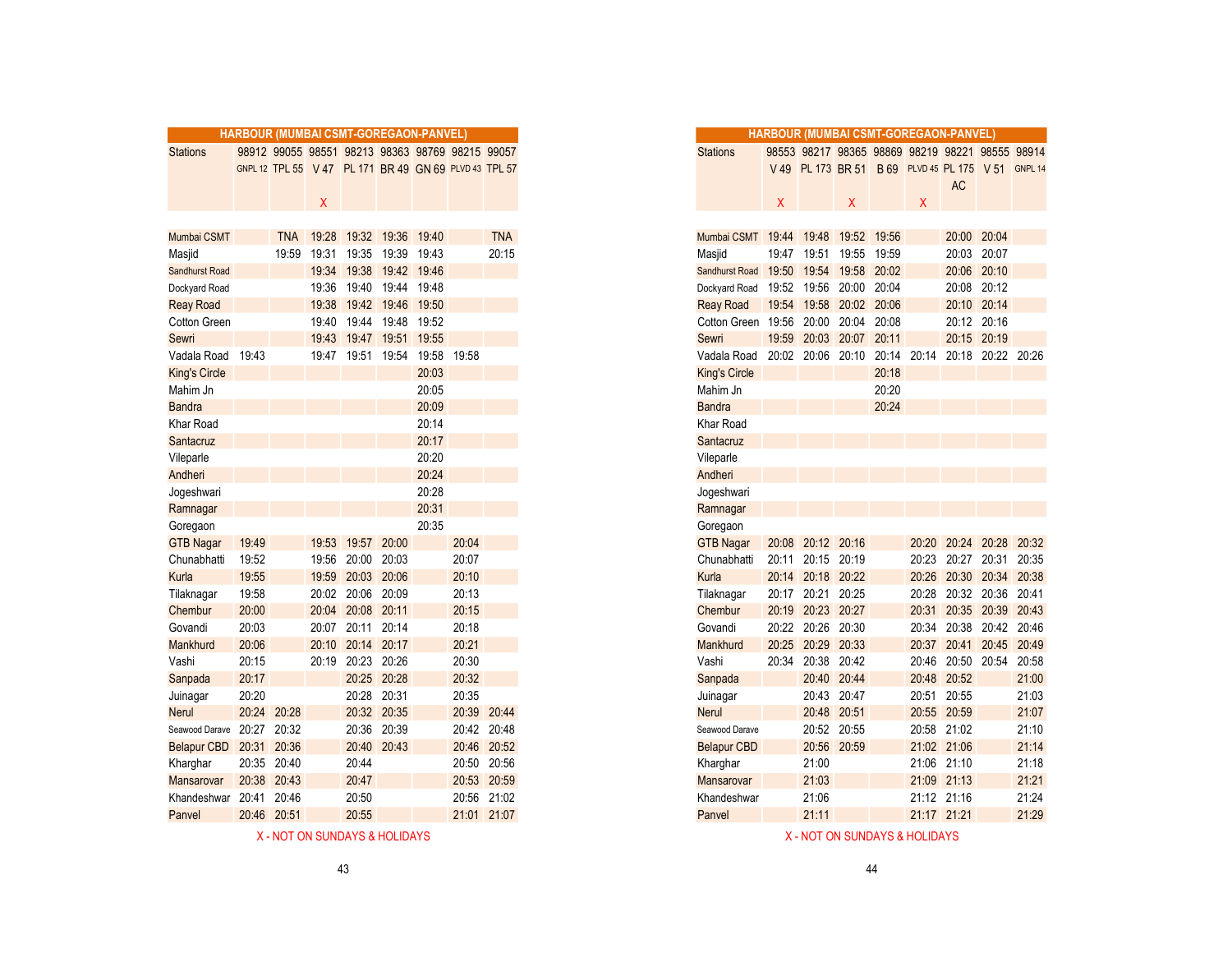|                            | HARBOUR (MUMBAI CSMT-GOREGAON-PANVEL) |             |       |                   |                         |       |                                                       |             |
|----------------------------|---------------------------------------|-------------|-------|-------------------|-------------------------|-------|-------------------------------------------------------|-------------|
| <b>Stations</b>            |                                       |             |       |                   |                         |       | 98912 99055 98551 98213 98363 98769 98215 99057       |             |
|                            |                                       |             |       |                   |                         |       | GNPL 12 TPL 55 V 47 PL 171 BR 49 GN 69 PLVD 43 TPL 57 |             |
|                            |                                       |             |       |                   |                         |       |                                                       |             |
|                            |                                       |             | Χ     |                   |                         |       |                                                       |             |
|                            |                                       |             |       |                   |                         |       |                                                       |             |
| Mumbai CSMT                |                                       | <b>TNA</b>  |       | 19:28 19:32 19:36 |                         | 19:40 |                                                       | <b>TNA</b>  |
| Masjid                     |                                       | 19:59       |       | 19:31 19:35       | 19:39                   | 19:43 |                                                       | 20:15       |
| Sandhurst Road             |                                       |             |       | 19:34 19:38       | 19:42                   | 19:46 |                                                       |             |
| Dockyard Road              |                                       |             |       |                   | 19:36 19:40 19:44 19:48 |       |                                                       |             |
| <b>Reay Road</b>           |                                       |             |       |                   | 19:38 19:42 19:46       | 19:50 |                                                       |             |
| Cotton Green               |                                       |             |       | 19:40 19:44 19:48 |                         | 19:52 |                                                       |             |
| Sewri                      |                                       |             | 19:43 | 19:47             | 19:51                   | 19:55 |                                                       |             |
| Vadala Road 19:43          |                                       |             |       | 19:47 19:51 19:54 |                         | 19:58 | 19:58                                                 |             |
| <b>King's Circle</b>       |                                       |             |       |                   |                         | 20:03 |                                                       |             |
| Mahim Jn                   |                                       |             |       |                   |                         | 20:05 |                                                       |             |
| <b>Bandra</b>              |                                       |             |       |                   |                         | 20:09 |                                                       |             |
| Khar Road                  |                                       |             |       |                   |                         | 20:14 |                                                       |             |
| Santacruz                  |                                       |             |       |                   |                         | 20:17 |                                                       |             |
| Vileparle                  |                                       |             |       |                   |                         | 20:20 |                                                       |             |
| Andheri                    |                                       |             |       |                   |                         | 20:24 |                                                       |             |
| Jogeshwari                 |                                       |             |       |                   |                         | 20:28 |                                                       |             |
| Ramnagar                   |                                       |             |       |                   |                         | 20:31 |                                                       |             |
| Goregaon                   |                                       |             |       |                   |                         | 20:35 |                                                       |             |
| <b>GTB Nagar</b>           | 19:49                                 |             | 19:53 | 19:57             | 20:00                   |       | 20:04                                                 |             |
| Chunabhatti                | 19:52                                 |             |       | 19:56 20:00       | 20:03                   |       | 20:07                                                 |             |
| Kurla                      | 19:55                                 |             |       | 19:59 20:03 20:06 |                         |       | 20:10                                                 |             |
| Tilaknagar                 | 19:58                                 |             |       | 20:02 20:06 20:09 |                         |       | 20:13                                                 |             |
| Chembur                    | 20:00                                 |             |       | 20:04 20:08 20:11 |                         |       | 20:15                                                 |             |
| Govandi                    | 20:03                                 |             |       | 20:07 20:11       | 20:14                   |       | 20:18                                                 |             |
| Mankhurd                   | 20:06                                 |             | 20:10 | 20:14             | 20:17                   |       | 20:21                                                 |             |
| Vashi                      | 20:15                                 |             | 20:19 | 20:23 20:26       |                         |       | 20:30                                                 |             |
| Sanpada                    | 20:17                                 |             |       |                   | 20:25 20:28             |       | 20:32                                                 |             |
| Juinagar                   | 20:20                                 |             |       |                   | 20:28 20:31             |       | 20:35                                                 |             |
| <b>Nerul</b>               |                                       | 20:24 20:28 |       |                   | 20:32 20:35             |       |                                                       | 20:39 20:44 |
| Seawood Darave 20:27 20:32 |                                       |             |       | 20:36             | 20:39                   |       |                                                       | 20:42 20:48 |
| Belapur CBD                | 20:31                                 | 20:36       |       | 20:40             | 20:43                   |       | 20:46                                                 | 20:52       |
| Kharghar                   |                                       | 20:35 20:40 |       | 20:44             |                         |       |                                                       | 20:50 20:56 |
| Mansarovar                 |                                       | 20:38 20:43 |       | 20:47             |                         |       |                                                       | 20:53 20:59 |
| Khandeshwar                |                                       | 20:41 20:46 |       | 20:50             |                         |       |                                                       | 20:56 21:02 |
| Panvel                     |                                       | 20:46 20:51 |       | 20:55             |                         |       |                                                       | 21:01 21:07 |

| X - NOT ON SUNDAYS & HOLIDAYS | X - NOT ON SUNDAYS & HOLIDAYS |
|-------------------------------|-------------------------------|
|                               |                               |

|                                 |             | <b>HARBOUR (MUMBAI CSMT-GOREGAON-PANVEL)</b> |       |                   |                            |       |                                                       |             |
|---------------------------------|-------------|----------------------------------------------|-------|-------------------|----------------------------|-------|-------------------------------------------------------|-------------|
| <b>Stations</b>                 |             |                                              |       |                   |                            |       | 98912 99055 98551 98213 98363 98769 98215 99057       |             |
|                                 |             |                                              |       |                   |                            |       | GNPL 12 TPL 55 V 47 PL 171 BR 49 GN 69 PLVD 43 TPL 57 |             |
|                                 |             |                                              |       |                   |                            |       |                                                       |             |
|                                 |             |                                              | X     |                   |                            |       |                                                       |             |
|                                 |             |                                              |       |                   |                            |       |                                                       |             |
| Mumbai CSMT                     |             |                                              |       |                   |                            | 19:40 |                                                       | <b>TNA</b>  |
|                                 |             | <b>TNA</b><br>19:59                          | 19:31 | 19:35             | 19:28 19:32 19:36<br>19:39 | 19:43 |                                                       | 20:15       |
| Masjid<br><b>Sandhurst Road</b> |             |                                              | 19:34 | 19:38             | 19:42                      | 19:46 |                                                       |             |
| Dockyard Road                   |             |                                              | 19:36 | 19:40             | 19:44                      | 19:48 |                                                       |             |
|                                 |             |                                              | 19:38 |                   | 19:42 19:46                | 19:50 |                                                       |             |
| <b>Reay Road</b>                |             |                                              |       |                   |                            |       |                                                       |             |
| Cotton Green                    |             |                                              | 19:40 | 19:44             | 19:48                      | 19:52 |                                                       |             |
| Sewri                           |             |                                              | 19:43 |                   | 19:47 19:51                | 19:55 |                                                       |             |
| Vadala Road                     | 19:43       |                                              | 19:47 | 19:51             | 19:54                      | 19:58 | 19:58                                                 |             |
| King's Circle                   |             |                                              |       |                   |                            | 20:03 |                                                       |             |
| Mahim Jn                        |             |                                              |       |                   |                            | 20:05 |                                                       |             |
| <b>Bandra</b>                   |             |                                              |       |                   |                            | 20:09 |                                                       |             |
| Khar Road                       |             |                                              |       |                   |                            | 20:14 |                                                       |             |
| Santacruz                       |             |                                              |       |                   |                            | 20:17 |                                                       |             |
| Vileparle                       |             |                                              |       |                   |                            | 20:20 |                                                       |             |
| Andheri                         |             |                                              |       |                   |                            | 20:24 |                                                       |             |
| Jogeshwari                      |             |                                              |       |                   |                            | 20:28 |                                                       |             |
| Ramnagar                        |             |                                              |       |                   |                            | 20:31 |                                                       |             |
| Goregaon                        |             |                                              |       |                   |                            | 20:35 |                                                       |             |
| <b>GTB Nagar</b>                | 19:49       |                                              | 19:53 | 19:57 20:00       |                            |       | 20:04                                                 |             |
| Chunabhatti                     | 19:52       |                                              | 19:56 | 20:00             | 20:03                      |       | 20:07                                                 |             |
| Kurla                           | 19:55       |                                              | 19:59 | 20:03 20:06       |                            |       | 20:10                                                 |             |
| Tilaknagar                      | 19:58       |                                              | 20:02 | 20:06             | 20:09                      |       | 20:13                                                 |             |
| Chembur                         | 20:00       |                                              | 20:04 | 20:08 20:11       |                            |       | 20:15                                                 |             |
| Govandi                         | 20:03       |                                              |       | 20:07 20:11 20:14 |                            |       | 20:18                                                 |             |
| Mankhurd                        | 20:06       |                                              | 20:10 | 20:14 20:17       |                            |       | 20:21                                                 |             |
| Vashi                           | 20:15       |                                              |       | 20:19 20:23 20:26 |                            |       | 20:30                                                 |             |
| Sanpada                         | 20:17       |                                              |       | 20:25 20:28       |                            |       | 20:32                                                 |             |
| Juinagar                        | 20:20       |                                              |       | 20:28 20:31       |                            |       | 20:35                                                 |             |
| Nerul                           | 20:24       | 20:28                                        |       | 20:32 20:35       |                            |       |                                                       | 20:39 20:44 |
| Seawood Darave                  | 20:27       | 20:32                                        |       |                   | 20:36 20:39                |       |                                                       | 20:42 20:48 |
| <b>Belapur CBD</b>              | 20:31       | 20:36                                        |       | 20:40 20:43       |                            |       |                                                       | 20:46 20:52 |
| Kharghar                        | 20:35 20:40 |                                              |       | 20:44             |                            |       |                                                       | 20:50 20:56 |
| Mansarovar                      | 20:38       | 20:43                                        |       | 20:47             |                            |       |                                                       | 20:53 20:59 |
| Khandeshwar                     | 20:41       | 20:46                                        |       | 20:50             |                            |       |                                                       | 20:56 21:02 |
| Panvel                          | 20:46 20:51 |                                              |       | 20:55             |                            |       |                                                       | 21:01 21:07 |
|                                 |             |                                              |       |                   |                            |       |                                                       |             |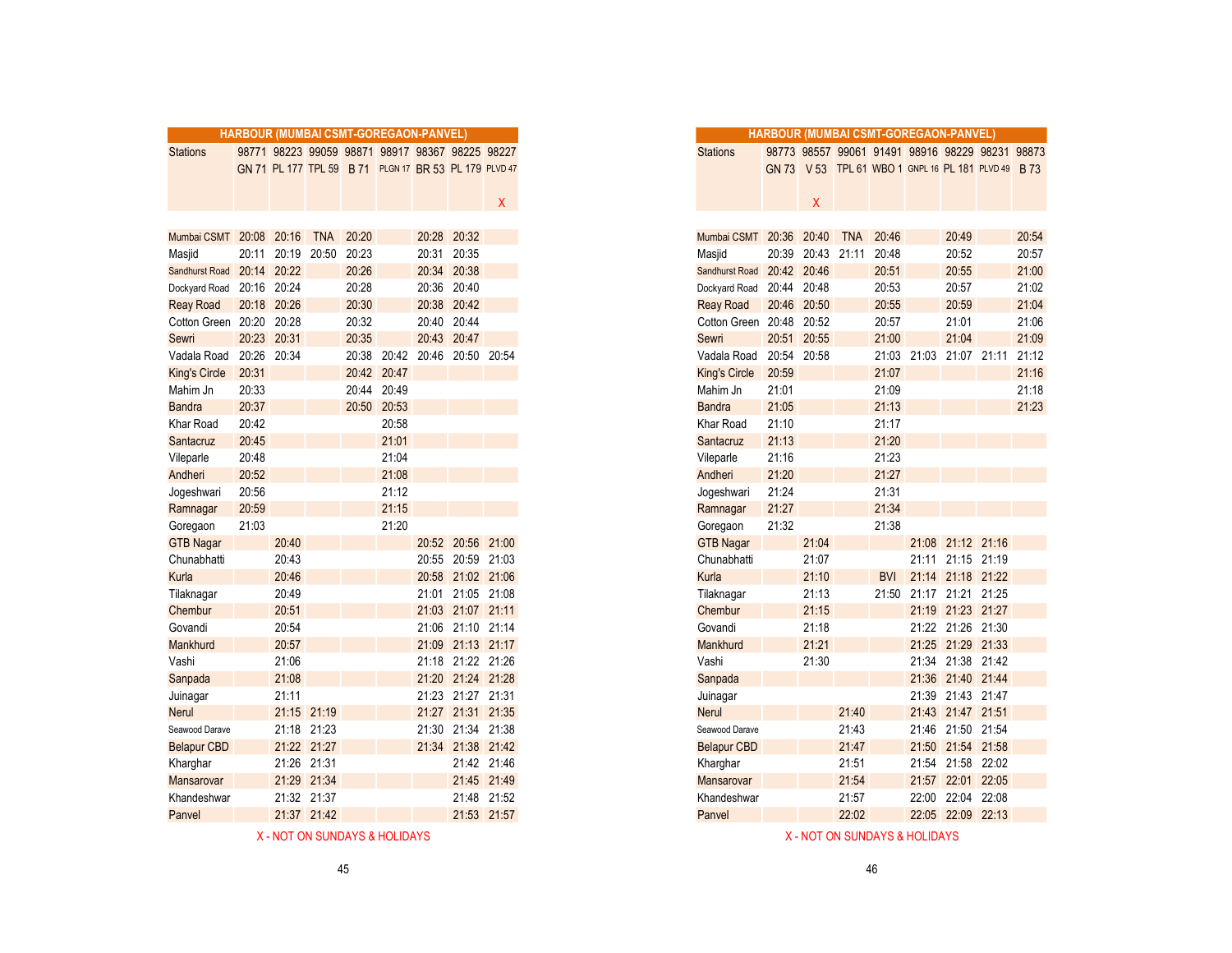|                          |       | HARBOUR (MUMBAI CSMT-GOREGAON-PANVEL) |             |       |             |       |                                                       |             |
|--------------------------|-------|---------------------------------------|-------------|-------|-------------|-------|-------------------------------------------------------|-------------|
| <b>Stations</b>          |       |                                       |             |       |             |       | 98771 98223 99059 98871 98917 98367 98225 98227       |             |
|                          |       |                                       |             |       |             |       | GN 71 PL 177 TPL 59 B 71 PLGN 17 BR 53 PL 179 PLVD 47 |             |
|                          |       |                                       |             |       |             |       |                                                       |             |
|                          |       |                                       |             |       |             |       |                                                       | $X -$       |
|                          |       |                                       |             |       |             |       |                                                       |             |
| Mumbai CSMT 20:08 20:16  |       |                                       | <b>TNA</b>  | 20:20 |             |       | 20:28 20:32                                           |             |
| Masjid                   |       | 20:11 20:19 20:50                     |             | 20:23 |             | 20:31 | 20:35                                                 |             |
| Sandhurst Road           |       | 20:14 20:22                           |             | 20:26 |             | 20:34 | 20:38                                                 |             |
| Dockyard Road            |       | 20:16 20:24                           |             | 20:28 |             |       | 20:36 20:40                                           |             |
| <b>Reay Road</b>         |       | 20:18 20:26                           |             | 20:30 |             | 20:38 | 20:42                                                 |             |
| Cotton Green 20:20 20:28 |       |                                       |             | 20:32 |             |       | 20:40 20:44                                           |             |
| Sewri                    |       | 20:23 20:31                           |             | 20:35 |             |       | 20:43 20:47                                           |             |
| Vadala Road              | 20:26 | 20:34                                 |             | 20:38 |             |       | 20:42 20:46 20:50 20:54                               |             |
| <b>King's Circle</b>     | 20:31 |                                       |             |       | 20:42 20:47 |       |                                                       |             |
| Mahim Jn                 | 20:33 |                                       |             |       | 20:44 20:49 |       |                                                       |             |
| <b>Bandra</b>            | 20:37 |                                       |             |       | 20:50 20:53 |       |                                                       |             |
| Khar Road                | 20:42 |                                       |             |       | 20:58       |       |                                                       |             |
| Santacruz                | 20:45 |                                       |             |       | 21:01       |       |                                                       |             |
| Vileparle                | 20:48 |                                       |             |       | 21:04       |       |                                                       |             |
| Andheri                  | 20:52 |                                       |             |       | 21:08       |       |                                                       |             |
| Jogeshwari               | 20:56 |                                       |             |       | 21:12       |       |                                                       |             |
| Ramnagar                 | 20:59 |                                       |             |       | 21:15       |       |                                                       |             |
| Goregaon                 | 21:03 |                                       |             |       | 21:20       |       |                                                       |             |
| <b>GTB Nagar</b>         |       | 20:40                                 |             |       |             |       | 20:52 20:56 21:00                                     |             |
| Chunabhatti              |       | 20:43                                 |             |       |             |       | 20:55 20:59 21:03                                     |             |
| Kurla                    |       | 20:46                                 |             |       |             |       | 20:58 21:02 21:06                                     |             |
| Tilaknagar               |       | 20:49                                 |             |       |             |       | 21:01 21:05 21:08                                     |             |
| Chembur                  |       | 20:51                                 |             |       |             |       | 21:03 21:07 21:11                                     |             |
| Govandi                  |       | 20:54                                 |             |       |             |       | 21:06 21:10 21:14                                     |             |
| Mankhurd                 |       | 20:57                                 |             |       |             |       | 21:09 21:13 21:17                                     |             |
| Vashi                    |       | 21:06                                 |             |       |             |       | 21:18 21:22 21:26                                     |             |
| Sanpada                  |       | 21:08                                 |             |       |             |       | 21:20 21:24 21:28                                     |             |
| Juinagar                 |       | 21:11                                 |             |       |             |       | 21:23 21:27 21:31                                     |             |
| <b>Nerul</b>             |       |                                       | 21:15 21:19 |       |             |       | 21:27 21:31 21:35                                     |             |
| Seawood Darave           |       |                                       | 21:18 21:23 |       |             |       | 21:30 21:34 21:38                                     |             |
| <b>Belapur CBD</b>       |       |                                       | 21:22 21:27 |       |             |       | 21:34 21:38 21:42                                     |             |
| Kharghar                 |       |                                       | 21:26 21:31 |       |             |       |                                                       | 21:42 21:46 |
| <b>Mansarovar</b>        |       |                                       | 21:29 21:34 |       |             |       |                                                       | 21:45 21:49 |
| Khandeshwar              |       |                                       | 21:32 21:37 |       |             |       |                                                       | 21:48 21:52 |
|                          |       |                                       |             |       |             |       |                                                       |             |
| Panvel                   |       |                                       | 21:37 21:42 |       |             |       |                                                       | 21:53 21:57 |

| X - NOT ON SUNDAYS & HOLIDAYS | X - NOT ON SUNDAYS & HOLIDAYS |
|-------------------------------|-------------------------------|
|                               |                               |

|                             | <b>HARBOUR (MUMBAI CSMT-GOREGAON-PANVEL)</b> |                   |             |             |             |                                                       |             |
|-----------------------------|----------------------------------------------|-------------------|-------------|-------------|-------------|-------------------------------------------------------|-------------|
| <b>Stations</b>             |                                              |                   |             |             |             | 98771 98223 99059 98871 98917 98367 98225 98227       |             |
|                             |                                              |                   |             |             |             | GN 71 PL 177 TPL 59 B 71 PLGN 17 BR 53 PL 179 PLVD 47 |             |
|                             |                                              |                   |             |             |             |                                                       |             |
|                             |                                              |                   |             |             |             |                                                       | X.          |
|                             |                                              |                   |             |             |             |                                                       |             |
| Mumbai CSMT 20:08 20:16 TNA |                                              |                   |             | 20:20       |             | 20:28 20:32                                           |             |
| Masjid                      |                                              | 20:11 20:19 20:50 |             | 20:23       |             | 20:31 20:35                                           |             |
| <b>Sandhurst Road</b>       | 20:14 20:22                                  |                   |             | 20:26       |             | 20:34 20:38                                           |             |
| Dockyard Road               | 20:16                                        | 20:24             |             | 20:28       |             | 20:36 20:40                                           |             |
| <b>Reay Road</b>            |                                              | 20:18 20:26       |             | 20:30       |             | 20:38 20:42                                           |             |
| Cotton Green 20:20 20:28    |                                              |                   |             | 20:32       |             | 20:40 20:44                                           |             |
| Sewri                       | 20:23                                        | 20:31             |             | 20:35       |             | 20:43 20:47                                           |             |
| Vadala Road                 | 20:26                                        | 20:34             |             | 20:38       |             | 20:42 20:46 20:50 20:54                               |             |
| King's Circle               | 20:31                                        |                   |             | 20:42 20:47 |             |                                                       |             |
| Mahim Jn                    | 20:33                                        |                   |             |             | 20:44 20:49 |                                                       |             |
| <b>Bandra</b>               | 20:37                                        |                   |             |             | 20:50 20:53 |                                                       |             |
| Khar Road                   | 20:42                                        |                   |             |             | 20:58       |                                                       |             |
| Santacruz                   | 20:45                                        |                   |             |             | 21:01       |                                                       |             |
| Vileparle                   | 20:48                                        |                   |             |             | 21:04       |                                                       |             |
| Andheri                     | 20:52                                        |                   |             |             | 21:08       |                                                       |             |
| Jogeshwari                  | 20:56                                        |                   |             |             | 21:12       |                                                       |             |
| Ramnagar                    | 20:59                                        |                   |             |             | 21:15       |                                                       |             |
| Goregaon                    | 21:03                                        |                   |             |             | 21:20       |                                                       |             |
| <b>GTB Nagar</b>            |                                              | 20:40             |             |             |             | 20:52 20:56 21:00                                     |             |
| Chunabhatti                 |                                              | 20:43             |             |             |             | 20:55 20:59 21:03                                     |             |
| Kurla                       |                                              | 20:46             |             |             |             | 20:58 21:02 21:06                                     |             |
| Tilaknagar                  |                                              | 20:49             |             |             |             | 21:01 21:05 21:08                                     |             |
| Chembur                     |                                              | 20:51             |             |             |             | 21:03 21:07 21:11                                     |             |
| Govandi                     |                                              | 20:54             |             |             |             | 21:06 21:10 21:14                                     |             |
| Mankhurd                    |                                              | 20:57             |             |             |             | 21:09 21:13 21:17                                     |             |
| Vashi                       |                                              | 21:06             |             |             |             | 21:18 21:22 21:26                                     |             |
| Sanpada                     |                                              | 21:08             |             |             |             | 21:20 21:24 21:28                                     |             |
| Juinagar                    |                                              | 21:11             |             |             |             | 21:23 21:27 21:31                                     |             |
| Nerul                       |                                              |                   | 21:15 21:19 |             |             | 21:27 21:31 21:35                                     |             |
| Seawood Darave              |                                              | 21:18 21:23       |             |             |             | 21:30 21:34 21:38                                     |             |
| <b>Belapur CBD</b>          |                                              |                   | 21:22 21:27 |             |             | 21:34 21:38 21:42                                     |             |
| Kharghar                    |                                              | 21:26 21:31       |             |             |             |                                                       | 21:42 21:46 |
| Mansarovar                  |                                              |                   | 21:29 21:34 |             |             |                                                       | 21:45 21:49 |
| Khandeshwar                 |                                              |                   | 21:32 21:37 |             |             |                                                       | 21:48 21:52 |
| Panvel                      |                                              |                   | 21:37 21:42 |             |             |                                                       | 21:53 21:57 |
|                             |                                              |                   |             |             |             |                                                       |             |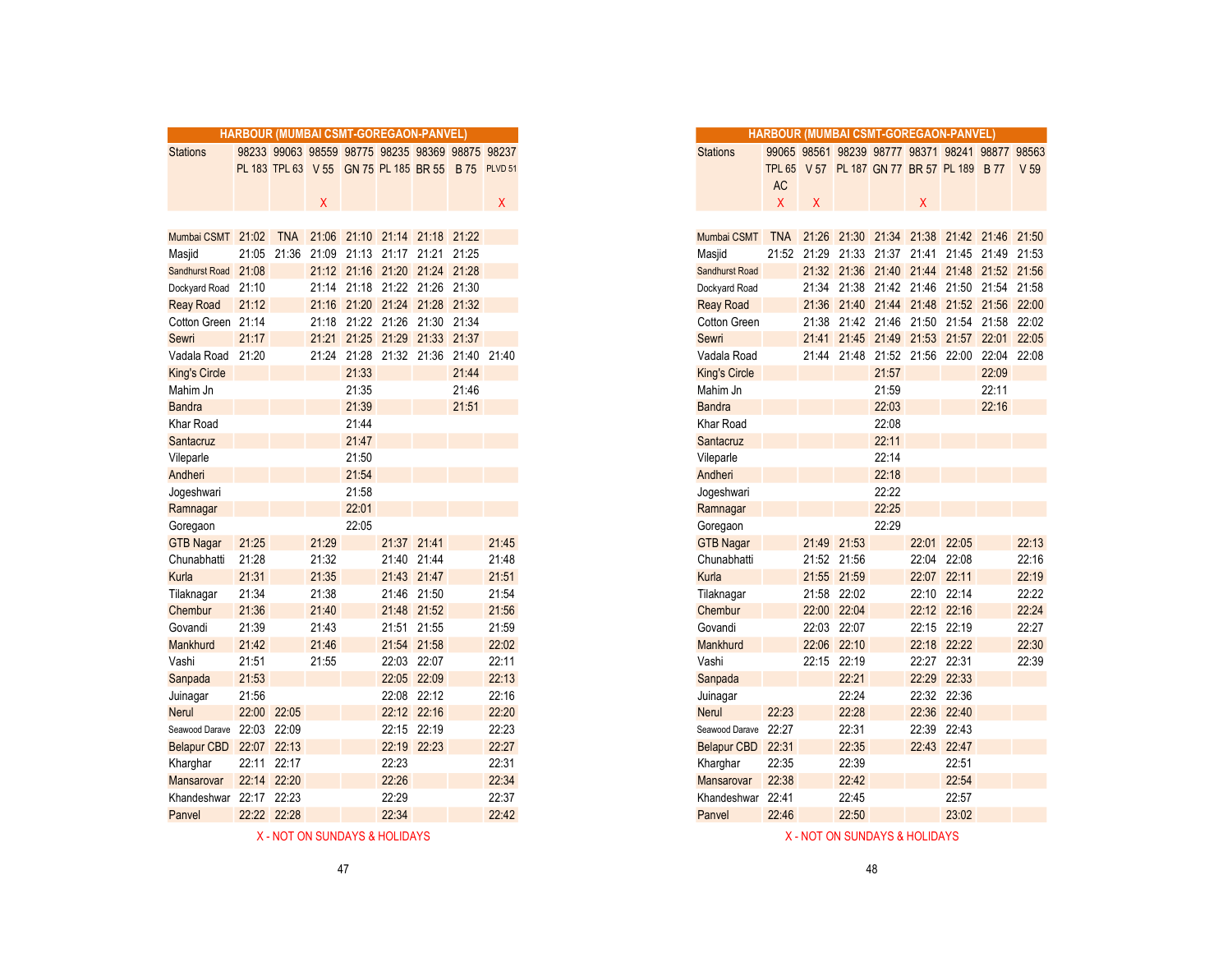|                                                     | HARBOUR (MUMBAI CSMT-GOREGAON-PANVEL) |             |       |       |       |                                                    |       |       |
|-----------------------------------------------------|---------------------------------------|-------------|-------|-------|-------|----------------------------------------------------|-------|-------|
| <b>Stations</b>                                     |                                       |             |       |       |       | 98233 99063 98559 98775 98235 98369 98875 98237    |       |       |
|                                                     |                                       |             |       |       |       | PL 183 TPL 63 V 55 GN 75 PL 185 BR 55 B 75 PLVD 51 |       |       |
|                                                     |                                       |             |       |       |       |                                                    |       |       |
|                                                     |                                       |             | Χ     |       |       |                                                    |       | X.    |
|                                                     |                                       |             |       |       |       |                                                    |       |       |
| Mumbai CSMT 21:02 TNA 21:06 21:10 21:14 21:18 21:22 |                                       |             |       |       |       |                                                    |       |       |
| Masjid                                              | 21:05                                 |             |       |       |       | 21:36 21:09 21:13 21:17 21:21 21:25                |       |       |
| Sandhurst Road 21:08                                |                                       |             |       |       |       | 21:12 21:16 21:20 21:24 21:28                      |       |       |
| Dockyard Road 21:10                                 |                                       |             |       |       |       | 21:14 21:18 21:22 21:26 21:30                      |       |       |
| <b>Reay Road</b>                                    | 21:12                                 |             |       |       |       | 21:16 21:20 21:24 21:28 21:32                      |       |       |
| Cotton Green 21:14                                  |                                       |             |       |       |       | 21:18 21:22 21:26 21:30 21:34                      |       |       |
| Sewri                                               | 21:17                                 |             |       |       |       | 21:21 21:25 21:29 21:33 21:37                      |       |       |
| Vadala Road                                         | 21:20                                 |             |       |       |       | 21:24 21:28 21:32 21:36 21:40                      |       | 21:40 |
| <b>King's Circle</b>                                |                                       |             |       | 21:33 |       |                                                    | 21:44 |       |
| Mahim Jn                                            |                                       |             |       | 21:35 |       |                                                    | 21:46 |       |
| <b>Bandra</b>                                       |                                       |             |       | 21:39 |       |                                                    | 21:51 |       |
| Khar Road                                           |                                       |             |       | 21:44 |       |                                                    |       |       |
| Santacruz                                           |                                       |             |       | 21:47 |       |                                                    |       |       |
| Vileparle                                           |                                       |             |       | 21:50 |       |                                                    |       |       |
| Andheri                                             |                                       |             |       | 21:54 |       |                                                    |       |       |
| Jogeshwari                                          |                                       |             |       | 21:58 |       |                                                    |       |       |
| Ramnagar                                            |                                       |             |       | 22:01 |       |                                                    |       |       |
| Goregaon                                            |                                       |             |       | 22:05 |       |                                                    |       |       |
| <b>GTB Nagar</b>                                    | 21:25                                 |             | 21:29 |       |       | 21:37 21:41                                        |       | 21:45 |
| Chunabhatti                                         | 21:28                                 |             | 21:32 |       |       | 21:40 21:44                                        |       | 21:48 |
| Kurla                                               | 21:31                                 |             | 21:35 |       |       | 21:43 21:47                                        |       | 21:51 |
| Tilaknagar                                          | 21:34                                 |             | 21:38 |       |       | 21:46 21:50                                        |       | 21:54 |
| Chembur                                             | 21:36                                 |             | 21:40 |       |       | 21:48 21:52                                        |       | 21:56 |
| Govandi                                             | 21:39                                 |             | 21:43 |       |       | 21:51 21:55                                        |       | 21:59 |
| Mankhurd                                            | 21:42                                 |             | 21:46 |       |       | 21:54 21:58                                        |       | 22:02 |
| Vashi                                               | 21:51                                 |             | 21:55 |       |       | 22:03 22:07                                        |       | 22:11 |
| Sanpada                                             | 21:53                                 |             |       |       |       | 22:05 22:09                                        |       | 22:13 |
| Juinagar                                            | 21:56                                 |             |       |       |       | 22:08 22:12                                        |       | 22:16 |
| <b>Nerul</b>                                        | 22:00                                 | 22:05       |       |       |       | 22:12 22:16                                        |       | 22:20 |
| Seawood Darave                                      | 22:03                                 | 22:09       |       |       |       | 22:15 22:19                                        |       | 22:23 |
| Belapur CBD                                         |                                       | 22:07 22:13 |       |       |       | 22:19 22:23                                        |       | 22:27 |
| Kharghar                                            |                                       | 22:11 22:17 |       |       | 22:23 |                                                    |       | 22:31 |
| Mansarovar                                          |                                       | 22:14 22:20 |       |       | 22:26 |                                                    |       | 22:34 |
| Khandeshwar                                         | 22:17 22:23                           |             |       |       | 22:29 |                                                    |       | 22:37 |
| Panvel                                              |                                       | 22:22 22:28 |       |       | 22:34 |                                                    |       | 22:42 |
|                                                     |                                       |             |       |       |       |                                                    |       |       |

| X - NOT ON SUNDAYS & HOLIDAYS | X - NOT ON SUNDAYS & HOLIDAYS |
|-------------------------------|-------------------------------|

|                      |             |             |       |       | HARBOUR (MUMBAI CSMT-GOREGAON-PANVEL)              |             |       |       |
|----------------------|-------------|-------------|-------|-------|----------------------------------------------------|-------------|-------|-------|
| <b>Stations</b>      |             |             |       |       | 98233 99063 98559 98775 98235 98369 98875 98237    |             |       |       |
|                      |             |             |       |       | PL 183 TPL 63 V 55 GN 75 PL 185 BR 55 B 75 PLVD 51 |             |       |       |
|                      |             |             |       |       |                                                    |             |       |       |
|                      |             |             | X     |       |                                                    |             |       | X.    |
|                      |             |             |       |       |                                                    |             |       |       |
| Mumbai CSMT 21:02    |             | <b>TNA</b>  |       |       | 21:06 21:10 21:14 21:18 21:22                      |             |       |       |
| Masjid               |             | 21:05 21:36 |       |       | 21:09 21:13 21:17 21:21 21:25                      |             |       |       |
| Sandhurst Road       | 21:08       |             |       |       | 21:12 21:16 21:20 21:24 21:28                      |             |       |       |
| Dockyard Road        | 21:10       |             | 21:14 |       | 21:18 21:22 21:26 21:30                            |             |       |       |
| <b>Reay Road</b>     | 21:12       |             | 21:16 |       | 21:20 21:24 21:28 21:32                            |             |       |       |
| Cotton Green 21:14   |             |             | 21:18 |       | 21:22 21:26 21:30 21:34                            |             |       |       |
| Sewri                | 21:17       |             | 21:21 |       | 21:25 21:29 21:33 21:37                            |             |       |       |
| Vadala Road          | 21:20       |             |       |       | 21:24 21:28 21:32 21:36 21:40 21:40                |             |       |       |
| <b>King's Circle</b> |             |             |       | 21:33 |                                                    |             | 21:44 |       |
| Mahim Jn             |             |             |       | 21:35 |                                                    |             | 21:46 |       |
| <b>Bandra</b>        |             |             |       | 21:39 |                                                    |             | 21:51 |       |
| Khar Road            |             |             |       | 21:44 |                                                    |             |       |       |
| Santacruz            |             |             |       | 21:47 |                                                    |             |       |       |
| Vileparle            |             |             |       | 21:50 |                                                    |             |       |       |
| Andheri              |             |             |       | 21:54 |                                                    |             |       |       |
| Jogeshwari           |             |             |       | 21:58 |                                                    |             |       |       |
| Ramnagar             |             |             |       | 22:01 |                                                    |             |       |       |
| Goregaon             |             |             |       | 22:05 |                                                    |             |       |       |
| <b>GTB Nagar</b>     | 21:25       |             | 21:29 |       | 21:37 21:41                                        |             |       | 21:45 |
| Chunabhatti          | 21:28       |             | 21:32 |       |                                                    | 21:40 21:44 |       | 21:48 |
| Kurla                | 21:31       |             | 21:35 |       | 21:43                                              | 21:47       |       | 21:51 |
| Tilaknagar           | 21:34       |             | 21:38 |       | 21:46                                              | 21:50       |       | 21:54 |
| Chembur              | 21:36       |             | 21:40 |       |                                                    | 21:48 21:52 |       | 21:56 |
| Govandi              | 21:39       |             | 21:43 |       |                                                    | 21:51 21:55 |       | 21:59 |
| Mankhurd             | 21:42       |             | 21:46 |       | 21:54                                              | 21:58       |       | 22:02 |
| Vashi                | 21:51       |             | 21:55 |       |                                                    | 22:03 22:07 |       | 22:11 |
| Sanpada              | 21:53       |             |       |       | 22:05                                              | 22:09       |       | 22:13 |
| Juinagar             | 21:56       |             |       |       |                                                    | 22:08 22:12 |       | 22:16 |
| Nerul                | 22:00       | 22:05       |       |       |                                                    | 22:12 22:16 |       | 22:20 |
| Seawood Darave       | 22:03       | 22:09       |       |       |                                                    | 22:15 22:19 |       | 22:23 |
| <b>Belapur CBD</b>   | 22:07       | 22:13       |       |       |                                                    | 22:19 22:23 |       | 22:27 |
| Kharghar             | 22:11       | 22:17       |       |       | 22:23                                              |             |       | 22:31 |
| <b>Mansarovar</b>    | 22:14       | 22:20       |       |       | 22:26                                              |             |       | 22:34 |
| Khandeshwar          | 22:17 22:23 |             |       |       | 22:29                                              |             |       | 22:37 |
| Panvel               | 22:22 22:28 |             |       |       | 22:34                                              |             |       | 22:42 |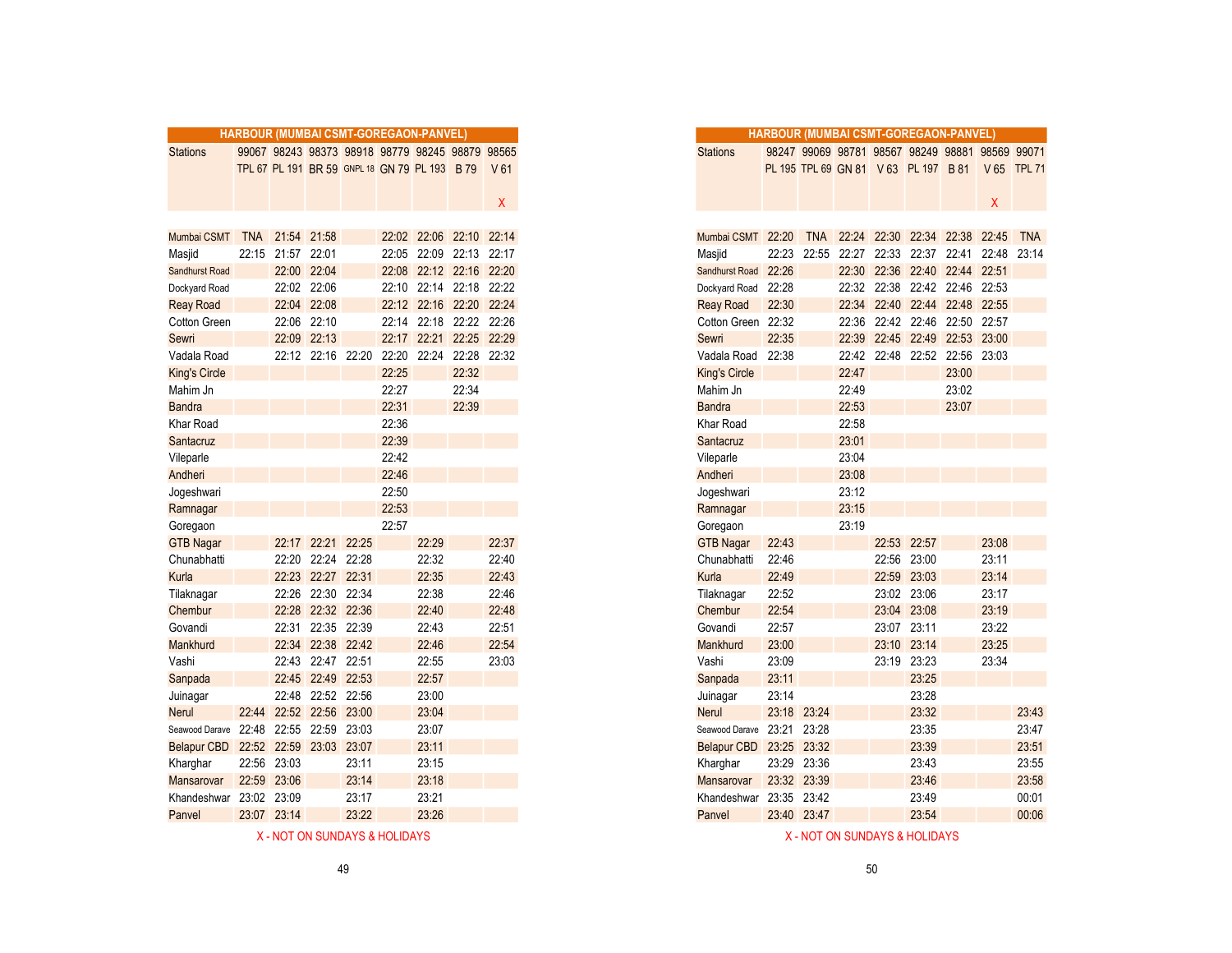|                       |            |                         |                   |             |       | HARBOUR (MUMBAI CSMT-GOREGAON-PANVEL)           |             |                 |
|-----------------------|------------|-------------------------|-------------------|-------------|-------|-------------------------------------------------|-------------|-----------------|
| <b>Stations</b>       |            |                         |                   |             |       | 99067 98243 98373 98918 98779 98245 98879 98565 |             |                 |
|                       |            |                         |                   |             |       | TPL 67 PL 191 BR 59 GNPL 18 GN 79 PL 193 B 79   |             | V <sub>61</sub> |
|                       |            |                         |                   |             |       |                                                 |             |                 |
|                       |            |                         |                   |             |       |                                                 |             | X.              |
|                       |            |                         |                   |             |       |                                                 |             |                 |
| Mumbai CSMT           | <b>TNA</b> |                         | 21:54 21:58       |             |       | 22:02 22:06 22:10                               |             | 22:14           |
| Masjid                | 22:15      | 21:57                   | 22:01             |             | 22:05 |                                                 | 22:09 22:13 | 22:17           |
| <b>Sandhurst Road</b> |            | 22:00                   | 22:04             |             |       | 22:08 22:12 22:16 22:20                         |             |                 |
| Dockyard Road         |            |                         | 22:02 22:06       |             |       | 22:10 22:14 22:18 22:22                         |             |                 |
| <b>Reay Road</b>      |            | 22:04                   | 22:08             |             |       | 22:12 22:16 22:20 22:24                         |             |                 |
| Cotton Green          |            |                         | 22:06 22:10       |             |       | 22:14 22:18 22:22 22:26                         |             |                 |
| Sewri                 |            | 22:09                   | 22:13             |             | 22:17 |                                                 | 22:21 22:25 | 22:29           |
| Vadala Road           |            | 22:12                   | 22:16             | 22:20       | 22:20 | 22:24                                           | 22:28       | 22:32           |
| <b>King's Circle</b>  |            |                         |                   |             | 22:25 |                                                 | 22:32       |                 |
| Mahim Jn              |            |                         |                   |             | 22:27 |                                                 | 22:34       |                 |
| <b>Bandra</b>         |            |                         |                   |             | 22:31 |                                                 | 22:39       |                 |
| <b>Khar Road</b>      |            |                         |                   |             | 22:36 |                                                 |             |                 |
| Santacruz             |            |                         |                   |             | 22:39 |                                                 |             |                 |
| Vileparle             |            |                         |                   |             | 22:42 |                                                 |             |                 |
| Andheri               |            |                         |                   |             | 22:46 |                                                 |             |                 |
| Jogeshwari            |            |                         |                   |             | 22:50 |                                                 |             |                 |
| Ramnagar              |            |                         |                   |             | 22:53 |                                                 |             |                 |
| Goregaon              |            |                         |                   |             | 22:57 |                                                 |             |                 |
| <b>GTB Nagar</b>      |            | 22:17                   | 22:21             | 22:25       |       | 22:29                                           |             | 22:37           |
| Chunabhatti           |            | 22:20                   | 22:24             | 22:28       |       | 22:32                                           |             | 22:40           |
| Kurla                 |            | 22:23                   | 22:27             | 22:31       |       | 22:35                                           |             | 22:43           |
| Tilaknagar            |            | 22:26                   |                   | 22:30 22:34 |       | 22:38                                           |             | 22:46           |
| Chembur               |            | 22:28                   |                   | 22:32 22:36 |       | 22:40                                           |             | 22:48           |
| Govandi               |            | 22:31                   |                   | 22:35 22:39 |       | 22:43                                           |             | 22:51           |
| Mankhurd              |            | 22:34                   | 22:38             | 22:42       |       | 22:46                                           |             | 22:54           |
| Vashi                 |            | 22:43                   |                   | 22:47 22:51 |       | 22:55                                           |             | 23:03           |
| Sanpada               |            | 22:45                   |                   | 22:49 22:53 |       | 22:57                                           |             |                 |
| Juinagar              |            | 22:48                   |                   | 22:52 22:56 |       | 23:00                                           |             |                 |
| <b>Nerul</b>          | 22:44      |                         | 22:52 22:56 23:00 |             |       | 23:04                                           |             |                 |
| Seawood Darave        | 22:48      | 22:55                   |                   | 22:59 23:03 |       | 23:07                                           |             |                 |
| Belapur CBD           |            | 22:52 22:59 23:03 23:07 |                   |             |       | 23:11                                           |             |                 |
| Kharghar              | 22:56      | 23:03                   |                   | 23:11       |       | 23:15                                           |             |                 |
| Mansarovar            | 22:59      | 23:06                   |                   | 23:14       |       | 23:18                                           |             |                 |
| Khandeshwar           |            | 23:02 23:09             |                   | 23:17       |       | 23:21                                           |             |                 |
| Panvel                |            | 23:07 23:14             |                   | 23:22       |       | 23:26                                           |             |                 |

|                    |             |             |                   |       | <b>HARBOUR (MUMBAI CSMT-GOREGAON-PANVEL)</b>    |       |                         |              |
|--------------------|-------------|-------------|-------------------|-------|-------------------------------------------------|-------|-------------------------|--------------|
| <b>Stations</b>    |             |             |                   |       | 99067 98243 98373 98918 98779 98245 98879 98565 |       |                         |              |
|                    |             |             |                   |       | TPL 67 PL 191 BR 59 GNPL 18 GN 79 PL 193 B 79   |       |                         | V 61         |
|                    |             |             |                   |       |                                                 |       |                         |              |
|                    |             |             |                   |       |                                                 |       |                         | $\mathsf{X}$ |
|                    |             |             |                   |       |                                                 |       |                         |              |
| Mumbai CSMT        | <b>TNA</b>  | 21:54 21:58 |                   |       |                                                 |       | 22:02 22:06 22:10 22:14 |              |
| Masjid             | 22:15       | 21:57 22:01 |                   |       |                                                 |       | 22:05 22:09 22:13 22:17 |              |
| Sandhurst Road     |             | 22:00       | 22:04             |       | 22:08                                           |       | 22:12 22:16 22:20       |              |
| Dockyard Road      |             |             | 22:02 22:06       |       | 22:10                                           |       | 22:14 22:18 22:22       |              |
| <b>Reay Road</b>   |             |             | 22:04 22:08       |       |                                                 |       | 22:12 22:16 22:20 22:24 |              |
| Cotton Green       |             | 22:06       | 22:10             |       | 22:14                                           |       | 22:18 22:22 22:26       |              |
| Sewri              |             |             | 22:09 22:13       |       |                                                 |       | 22:17 22:21 22:25 22:29 |              |
| Vadala Road        |             |             | 22:12 22:16 22:20 |       | 22:20                                           | 22:24 | 22:28 22:32             |              |
| King's Circle      |             |             |                   |       | 22:25                                           |       | 22:32                   |              |
| Mahim Jn           |             |             |                   |       | 22:27                                           |       | 22:34                   |              |
| <b>Bandra</b>      |             |             |                   |       | 22:31                                           |       | 22:39                   |              |
| Khar Road          |             |             |                   |       | 22:36                                           |       |                         |              |
| Santacruz          |             |             |                   |       | 22:39                                           |       |                         |              |
| Vileparle          |             |             |                   |       | 22:42                                           |       |                         |              |
| Andheri            |             |             |                   |       | 22:46                                           |       |                         |              |
| Jogeshwari         |             |             |                   |       | 22:50                                           |       |                         |              |
| Ramnagar           |             |             |                   |       | 22:53                                           |       |                         |              |
| Goregaon           |             |             |                   |       | 22:57                                           |       |                         |              |
| <b>GTB Nagar</b>   |             |             | 22:17 22:21 22:25 |       |                                                 | 22:29 |                         | 22:37        |
| Chunabhatti        |             |             | 22:20 22:24 22:28 |       |                                                 | 22:32 |                         | 22:40        |
| Kurla              |             | 22:23       | 22:27             | 22:31 |                                                 | 22:35 |                         | 22:43        |
| Tilaknagar         |             | 22:26       | 22:30             | 22:34 |                                                 | 22:38 |                         | 22:46        |
| Chembur            |             |             | 22:28 22:32 22:36 |       |                                                 | 22:40 |                         | 22:48        |
| Govandi            |             |             | 22:31 22:35 22:39 |       |                                                 | 22:43 |                         | 22:51        |
| Mankhurd           |             |             | 22:34 22:38 22:42 |       |                                                 | 22:46 |                         | 22:54        |
| Vashi              |             | 22:43       | 22:47 22:51       |       |                                                 | 22:55 |                         | 23:03        |
| Sanpada            |             | 22:45       | 22:49             | 22:53 |                                                 | 22:57 |                         |              |
| Juinagar           |             | 22:48       | 22:52 22:56       |       |                                                 | 23:00 |                         |              |
| Nerul              | 22:44       |             | 22:52 22:56       | 23:00 |                                                 | 23:04 |                         |              |
| Seawood Darave     | 22:48       | 22:55 22:59 |                   | 23:03 |                                                 | 23:07 |                         |              |
| <b>Belapur CBD</b> | 22:52 22:59 |             | 23:03             | 23:07 |                                                 | 23:11 |                         |              |
| Kharghar           | 22:56       | 23:03       |                   | 23:11 |                                                 | 23:15 |                         |              |
| <b>Mansarovar</b>  |             | 22:59 23:06 |                   | 23:14 |                                                 | 23:18 |                         |              |
| Khandeshwar        | 23:02 23:09 |             |                   | 23:17 |                                                 | 23:21 |                         |              |
| Panvel             |             | 23:07 23:14 |                   | 23:22 |                                                 | 23:26 |                         |              |
|                    |             |             |                   |       |                                                 |       |                         |              |